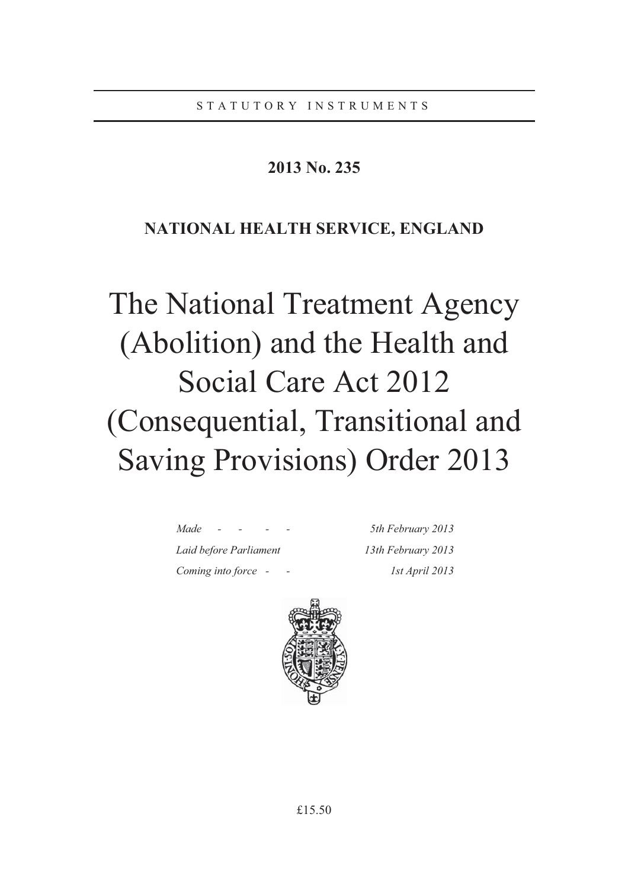# **2013 No. 235**

# **NATIONAL HEALTH SERVICE, ENGLAND**

# The National Treatment Agency (Abolition) and the Health and Social Care Act 2012 (Consequential, Transitional and Saving Provisions) Order 2013

*Made - - - - 5th February 2013 Laid before Parliament 13th February 2013 Coming into force - - 1st April 2013* 

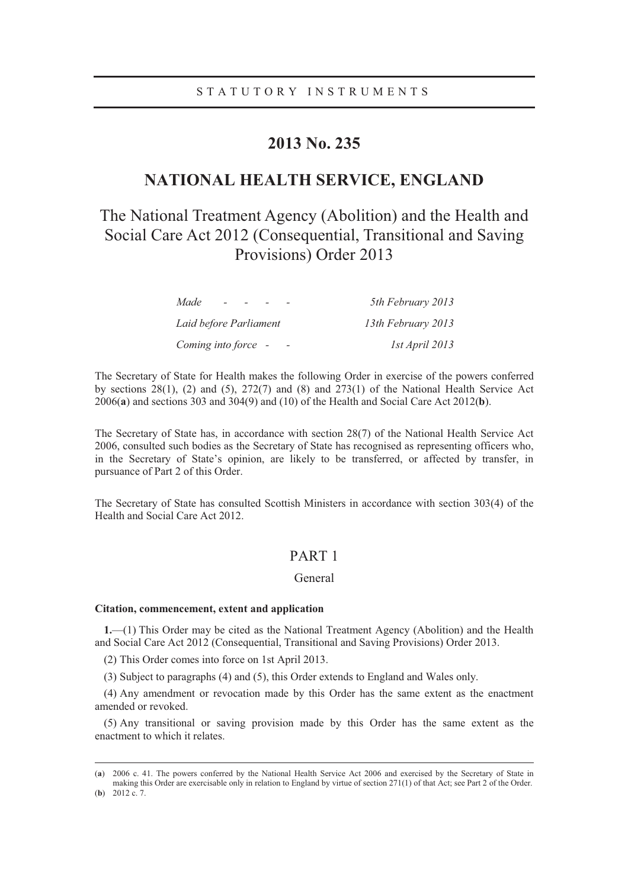# **2013 No. 235**

# **NATIONAL HEALTH SERVICE, ENGLAND**

# The National Treatment Agency (Abolition) and the Health and Social Care Act 2012 (Consequential, Transitional and Saving Provisions) Order 2013

| Made<br>$\sim$ $\sim$  | 5th February 2013  |
|------------------------|--------------------|
| Laid before Parliament | 13th February 2013 |
| Coming into force -    | 1st April 2013     |

The Secretary of State for Health makes the following Order in exercise of the powers conferred by sections 28(1), (2) and (5), 272(7) and (8) and 273(1) of the National Health Service Act 2006(**a**) and sections 303 and 304(9) and (10) of the Health and Social Care Act 2012(**b**).

The Secretary of State has, in accordance with section 28(7) of the National Health Service Act 2006, consulted such bodies as the Secretary of State has recognised as representing officers who, in the Secretary of State's opinion, are likely to be transferred, or affected by transfer, in pursuance of Part 2 of this Order.

The Secretary of State has consulted Scottish Ministers in accordance with section 303(4) of the Health and Social Care Act 2012.

# PART 1

# General

# **Citation, commencement, extent and application**

**1.**—(1) This Order may be cited as the National Treatment Agency (Abolition) and the Health and Social Care Act 2012 (Consequential, Transitional and Saving Provisions) Order 2013.

(2) This Order comes into force on 1st April 2013.

(3) Subject to paragraphs (4) and (5), this Order extends to England and Wales only.

(4) Any amendment or revocation made by this Order has the same extent as the enactment amended or revoked.

(5) Any transitional or saving provision made by this Order has the same extent as the enactment to which it relates.

 <sup>(</sup>**a**) 2006 c. 41. The powers conferred by the National Health Service Act 2006 and exercised by the Secretary of State in making this Order are exercisable only in relation to England by virtue of section 271(1) of that Act; see Part 2 of the Order. (**b**) 2012 c. 7.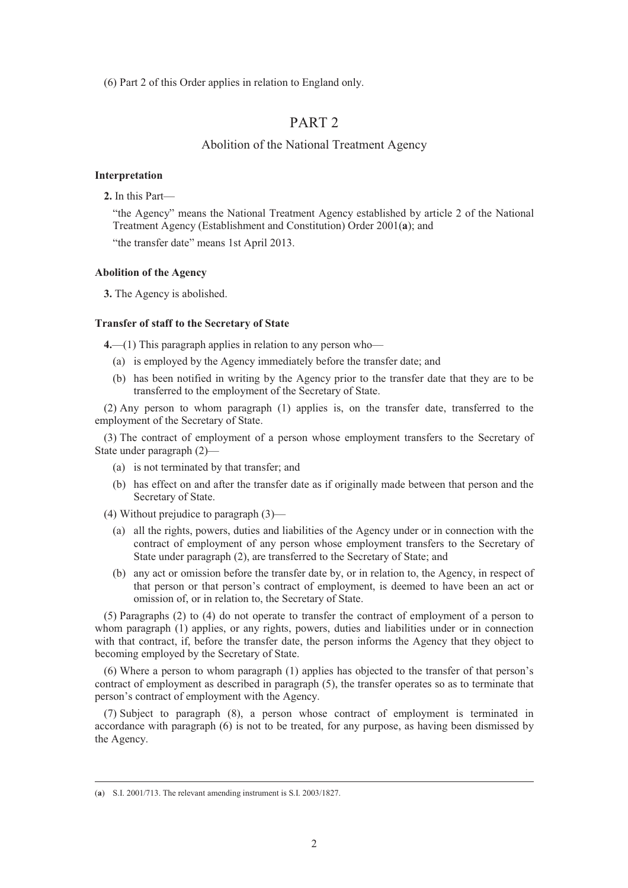(6) Part 2 of this Order applies in relation to England only.

# PART 2

# Abolition of the National Treatment Agency

# **Interpretation**

**2.** In this Part—

"the Agency" means the National Treatment Agency established by article 2 of the National Treatment Agency (Establishment and Constitution) Order 2001(**a**); and

"the transfer date" means 1st April 2013.

# **Abolition of the Agency**

**3.** The Agency is abolished.

# **Transfer of staff to the Secretary of State**

**4.**—(1) This paragraph applies in relation to any person who—

- (a) is employed by the Agency immediately before the transfer date; and
- (b) has been notified in writing by the Agency prior to the transfer date that they are to be transferred to the employment of the Secretary of State.

(2) Any person to whom paragraph (1) applies is, on the transfer date, transferred to the employment of the Secretary of State.

(3) The contract of employment of a person whose employment transfers to the Secretary of State under paragraph (2)—

- (a) is not terminated by that transfer; and
- (b) has effect on and after the transfer date as if originally made between that person and the Secretary of State.
- (4) Without prejudice to paragraph (3)—
	- (a) all the rights, powers, duties and liabilities of the Agency under or in connection with the contract of employment of any person whose employment transfers to the Secretary of State under paragraph (2), are transferred to the Secretary of State; and
	- (b) any act or omission before the transfer date by, or in relation to, the Agency, in respect of that person or that person's contract of employment, is deemed to have been an act or omission of, or in relation to, the Secretary of State.

(5) Paragraphs (2) to (4) do not operate to transfer the contract of employment of a person to whom paragraph (1) applies, or any rights, powers, duties and liabilities under or in connection with that contract, if, before the transfer date, the person informs the Agency that they object to becoming employed by the Secretary of State.

(6) Where a person to whom paragraph (1) applies has objected to the transfer of that person's contract of employment as described in paragraph (5), the transfer operates so as to terminate that person's contract of employment with the Agency.

(7) Subject to paragraph (8), a person whose contract of employment is terminated in accordance with paragraph (6) is not to be treated, for any purpose, as having been dismissed by the Agency.

 <sup>(</sup>**a**) S.I. 2001/713. The relevant amending instrument is S.I. 2003/1827.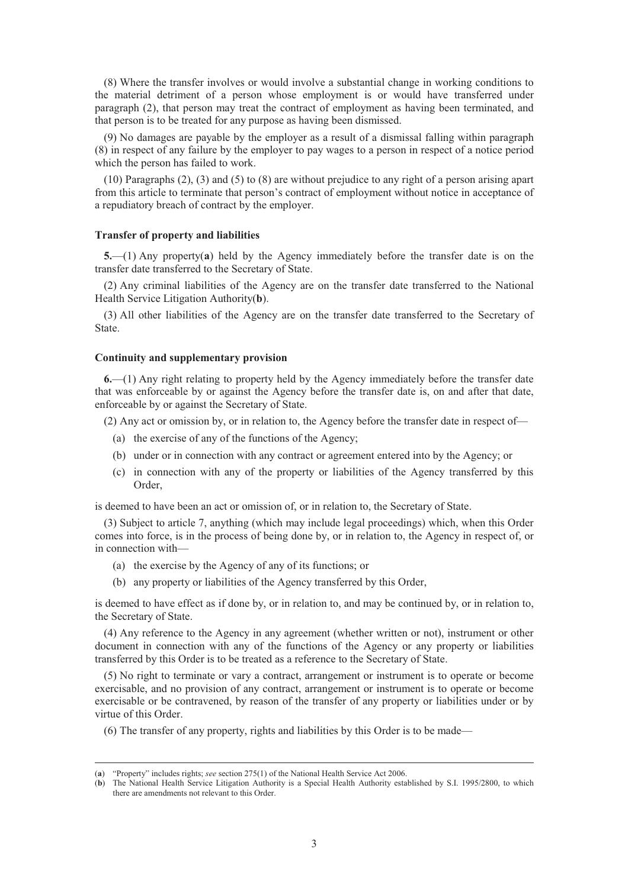(8) Where the transfer involves or would involve a substantial change in working conditions to the material detriment of a person whose employment is or would have transferred under paragraph (2), that person may treat the contract of employment as having been terminated, and that person is to be treated for any purpose as having been dismissed.

(9) No damages are payable by the employer as a result of a dismissal falling within paragraph (8) in respect of any failure by the employer to pay wages to a person in respect of a notice period which the person has failed to work.

(10) Paragraphs (2), (3) and (5) to (8) are without prejudice to any right of a person arising apart from this article to terminate that person's contract of employment without notice in acceptance of a repudiatory breach of contract by the employer.

# **Transfer of property and liabilities**

**5.**—(1) Any property(**a**) held by the Agency immediately before the transfer date is on the transfer date transferred to the Secretary of State.

(2) Any criminal liabilities of the Agency are on the transfer date transferred to the National Health Service Litigation Authority(**b**).

(3) All other liabilities of the Agency are on the transfer date transferred to the Secretary of State.

#### **Continuity and supplementary provision**

**6.**—(1) Any right relating to property held by the Agency immediately before the transfer date that was enforceable by or against the Agency before the transfer date is, on and after that date, enforceable by or against the Secretary of State.

(2) Any act or omission by, or in relation to, the Agency before the transfer date in respect of—

- (a) the exercise of any of the functions of the Agency;
- (b) under or in connection with any contract or agreement entered into by the Agency; or
- (c) in connection with any of the property or liabilities of the Agency transferred by this Order,

is deemed to have been an act or omission of, or in relation to, the Secretary of State.

(3) Subject to article 7, anything (which may include legal proceedings) which, when this Order comes into force, is in the process of being done by, or in relation to, the Agency in respect of, or in connection with—

- (a) the exercise by the Agency of any of its functions; or
- (b) any property or liabilities of the Agency transferred by this Order,

is deemed to have effect as if done by, or in relation to, and may be continued by, or in relation to, the Secretary of State.

(4) Any reference to the Agency in any agreement (whether written or not), instrument or other document in connection with any of the functions of the Agency or any property or liabilities transferred by this Order is to be treated as a reference to the Secretary of State.

(5) No right to terminate or vary a contract, arrangement or instrument is to operate or become exercisable, and no provision of any contract, arrangement or instrument is to operate or become exercisable or be contravened, by reason of the transfer of any property or liabilities under or by virtue of this Order.

(6) The transfer of any property, rights and liabilities by this Order is to be made—

 <sup>(</sup>**a**) "Property" includes rights; *see* section 275(1) of the National Health Service Act 2006.

<sup>(</sup>**b**) The National Health Service Litigation Authority is a Special Health Authority established by S.I. 1995/2800, to which there are amendments not relevant to this Order.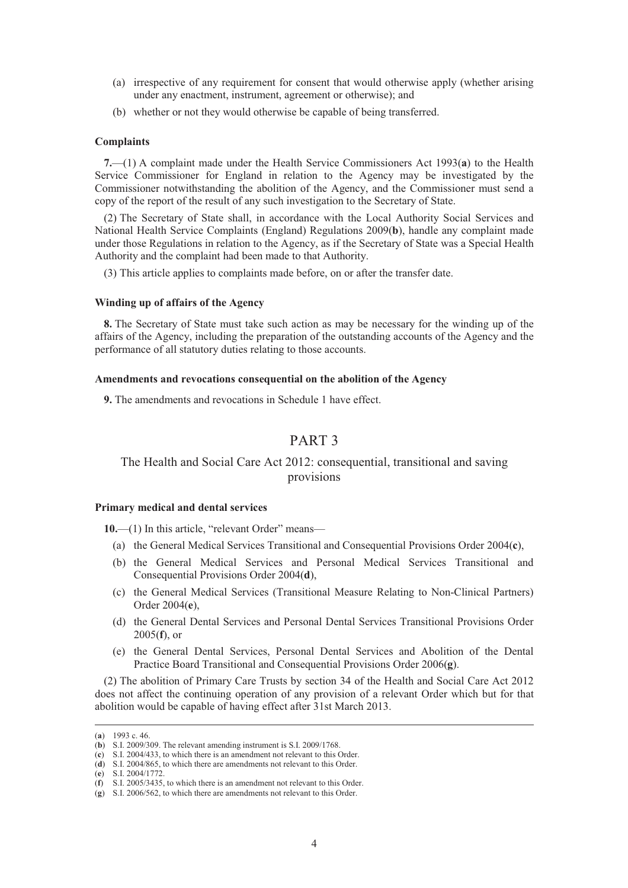- (a) irrespective of any requirement for consent that would otherwise apply (whether arising under any enactment, instrument, agreement or otherwise); and
- (b) whether or not they would otherwise be capable of being transferred.

#### **Complaints**

**7.**—(1) A complaint made under the Health Service Commissioners Act 1993(**a**) to the Health Service Commissioner for England in relation to the Agency may be investigated by the Commissioner notwithstanding the abolition of the Agency, and the Commissioner must send a copy of the report of the result of any such investigation to the Secretary of State.

(2) The Secretary of State shall, in accordance with the Local Authority Social Services and National Health Service Complaints (England) Regulations 2009(**b**), handle any complaint made under those Regulations in relation to the Agency, as if the Secretary of State was a Special Health Authority and the complaint had been made to that Authority.

(3) This article applies to complaints made before, on or after the transfer date.

## **Winding up of affairs of the Agency**

**8.** The Secretary of State must take such action as may be necessary for the winding up of the affairs of the Agency, including the preparation of the outstanding accounts of the Agency and the performance of all statutory duties relating to those accounts.

# **Amendments and revocations consequential on the abolition of the Agency**

**9.** The amendments and revocations in Schedule 1 have effect.

# PART 3

# The Health and Social Care Act 2012: consequential, transitional and saving provisions

#### **Primary medical and dental services**

**10.**—(1) In this article, "relevant Order" means—

- (a) the General Medical Services Transitional and Consequential Provisions Order 2004(**c**),
- (b) the General Medical Services and Personal Medical Services Transitional and Consequential Provisions Order 2004(**d**),
- (c) the General Medical Services (Transitional Measure Relating to Non-Clinical Partners) Order 2004(**e**),
- (d) the General Dental Services and Personal Dental Services Transitional Provisions Order 2005(**f**), or
- (e) the General Dental Services, Personal Dental Services and Abolition of the Dental Practice Board Transitional and Consequential Provisions Order 2006(**g**).

(2) The abolition of Primary Care Trusts by section 34 of the Health and Social Care Act 2012 does not affect the continuing operation of any provision of a relevant Order which but for that abolition would be capable of having effect after 31st March 2013.

 <sup>(</sup>**a**) 1993 c. 46.

<sup>(</sup>**b**) S.I. 2009/309. The relevant amending instrument is S.I. 2009/1768.

<sup>(</sup>**c**) S.I. 2004/433, to which there is an amendment not relevant to this Order.

<sup>(</sup>**d**) S.I. 2004/865, to which there are amendments not relevant to this Order.

<sup>(</sup>**e**) S.I. 2004/1772.

<sup>(</sup>**f**) S.I. 2005/3435, to which there is an amendment not relevant to this Order.

<sup>(</sup>**g**) S.I. 2006/562, to which there are amendments not relevant to this Order.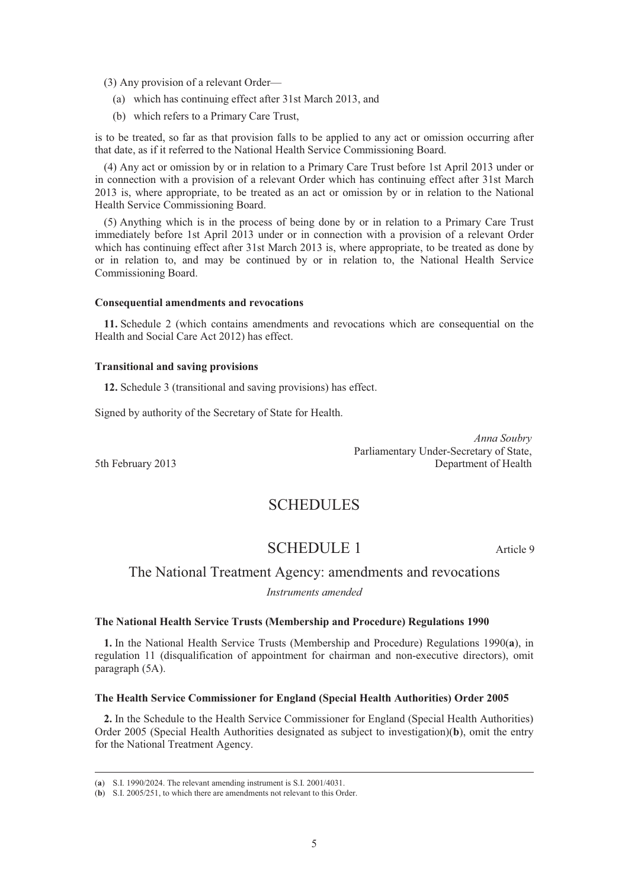(3) Any provision of a relevant Order—

- (a) which has continuing effect after 31st March 2013, and
- (b) which refers to a Primary Care Trust,

is to be treated, so far as that provision falls to be applied to any act or omission occurring after that date, as if it referred to the National Health Service Commissioning Board.

(4) Any act or omission by or in relation to a Primary Care Trust before 1st April 2013 under or in connection with a provision of a relevant Order which has continuing effect after 31st March 2013 is, where appropriate, to be treated as an act or omission by or in relation to the National Health Service Commissioning Board.

(5) Anything which is in the process of being done by or in relation to a Primary Care Trust immediately before 1st April 2013 under or in connection with a provision of a relevant Order which has continuing effect after 31st March 2013 is, where appropriate, to be treated as done by or in relation to, and may be continued by or in relation to, the National Health Service Commissioning Board.

# **Consequential amendments and revocations**

**11.** Schedule 2 (which contains amendments and revocations which are consequential on the Health and Social Care Act 2012) has effect.

#### **Transitional and saving provisions**

**12.** Schedule 3 (transitional and saving provisions) has effect.

Signed by authority of the Secretary of State for Health.

*Anna Soubry*  Parliamentary Under-Secretary of State, 5th February 2013 Department of Health

# **SCHEDULES**

# SCHEDULE 1 Article 9

# The National Treatment Agency: amendments and revocations

*Instruments amended* 

# **The National Health Service Trusts (Membership and Procedure) Regulations 1990**

**1.** In the National Health Service Trusts (Membership and Procedure) Regulations 1990(**a**), in regulation 11 (disqualification of appointment for chairman and non-executive directors), omit paragraph (5A).

# **The Health Service Commissioner for England (Special Health Authorities) Order 2005**

**2.** In the Schedule to the Health Service Commissioner for England (Special Health Authorities) Order 2005 (Special Health Authorities designated as subject to investigation)(**b**), omit the entry for the National Treatment Agency.

 <sup>(</sup>**a**) S.I. 1990/2024. The relevant amending instrument is S.I. 2001/4031.

<sup>(</sup>**b**) S.I. 2005/251, to which there are amendments not relevant to this Order.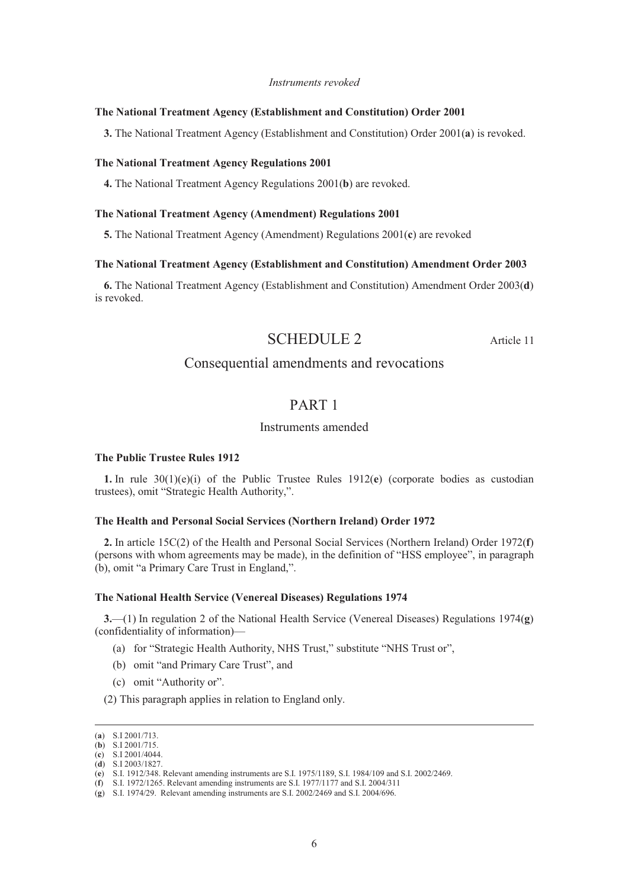#### *Instruments revoked*

## **The National Treatment Agency (Establishment and Constitution) Order 2001**

**3.** The National Treatment Agency (Establishment and Constitution) Order 2001(**a**) is revoked.

#### **The National Treatment Agency Regulations 2001**

**4.** The National Treatment Agency Regulations 2001(**b**) are revoked.

# **The National Treatment Agency (Amendment) Regulations 2001**

**5.** The National Treatment Agency (Amendment) Regulations 2001(**c**) are revoked

#### **The National Treatment Agency (Establishment and Constitution) Amendment Order 2003**

**6.** The National Treatment Agency (Establishment and Constitution) Amendment Order 2003(**d**) is revoked.

# SCHEDULE 2 Article 11

# Consequential amendments and revocations

# PART 1

# Instruments amended

# **The Public Trustee Rules 1912**

**1.** In rule  $30(1)(e)(i)$  of the Public Trustee Rules  $1912(e)$  (corporate bodies as custodian trustees), omit "Strategic Health Authority,".

# **The Health and Personal Social Services (Northern Ireland) Order 1972**

**2.** In article 15C(2) of the Health and Personal Social Services (Northern Ireland) Order 1972(**f**) (persons with whom agreements may be made), in the definition of "HSS employee", in paragraph (b), omit "a Primary Care Trust in England,".

#### **The National Health Service (Venereal Diseases) Regulations 1974**

**3.**—(1) In regulation 2 of the National Health Service (Venereal Diseases) Regulations 1974(**g**) (confidentiality of information)—

- (a) for "Strategic Health Authority, NHS Trust," substitute "NHS Trust or",
- (b) omit "and Primary Care Trust", and
- (c) omit "Authority or".

(2) This paragraph applies in relation to England only.

 <sup>(</sup>**a**) S.I 2001/713.

<sup>(</sup>**b**) S.I 2001/715.

<sup>(</sup>**c**) S.I 2001/4044. (**d**) S.I 2003/1827.

<sup>(</sup>**e**) S.I. 1912/348. Relevant amending instruments are S.I. 1975/1189, S.I. 1984/109 and S.I. 2002/2469.

<sup>(</sup>**f**) S.I. 1972/1265. Relevant amending instruments are S.I. 1977/1177 and S.I. 2004/311

<sup>(</sup>**g**) S.I. 1974/29. Relevant amending instruments are S.I. 2002/2469 and S.I. 2004/696.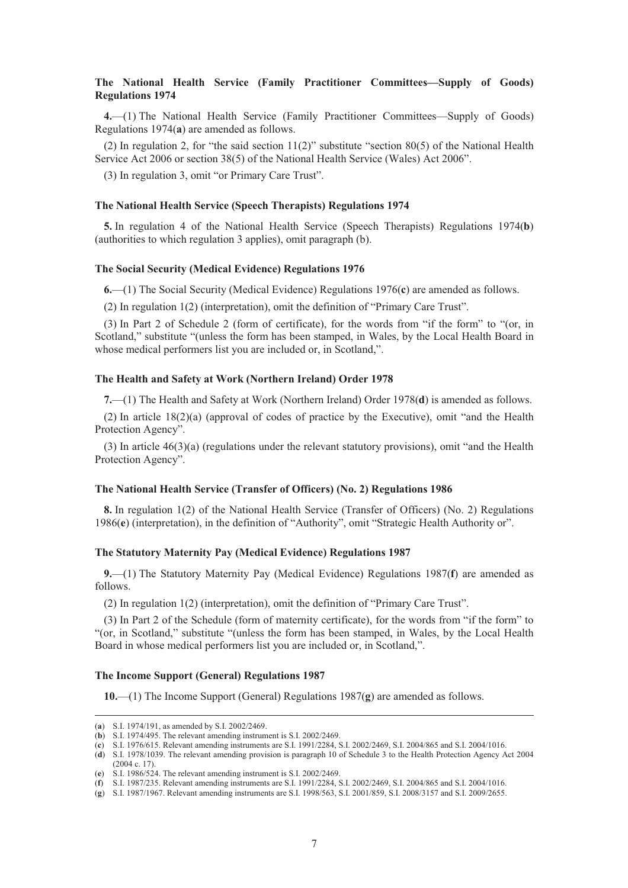# **The National Health Service (Family Practitioner Committees—Supply of Goods) Regulations 1974**

**4.**—(1) The National Health Service (Family Practitioner Committees—Supply of Goods) Regulations 1974(**a**) are amended as follows.

(2) In regulation 2, for "the said section  $11(2)$ " substitute "section 80(5) of the National Health Service Act 2006 or section 38(5) of the National Health Service (Wales) Act 2006".

(3) In regulation 3, omit "or Primary Care Trust".

# **The National Health Service (Speech Therapists) Regulations 1974**

**5.** In regulation 4 of the National Health Service (Speech Therapists) Regulations 1974(**b**) (authorities to which regulation 3 applies), omit paragraph (b).

#### **The Social Security (Medical Evidence) Regulations 1976**

**6.**—(1) The Social Security (Medical Evidence) Regulations 1976(**c**) are amended as follows.

(2) In regulation 1(2) (interpretation), omit the definition of "Primary Care Trust".

(3) In Part 2 of Schedule 2 (form of certificate), for the words from "if the form" to "(or, in Scotland," substitute "(unless the form has been stamped, in Wales, by the Local Health Board in whose medical performers list you are included or, in Scotland,".

#### **The Health and Safety at Work (Northern Ireland) Order 1978**

**7.**—(1) The Health and Safety at Work (Northern Ireland) Order 1978(**d**) is amended as follows.

(2) In article 18(2)(a) (approval of codes of practice by the Executive), omit "and the Health Protection Agency".

(3) In article 46(3)(a) (regulations under the relevant statutory provisions), omit "and the Health Protection Agency".

#### **The National Health Service (Transfer of Officers) (No. 2) Regulations 1986**

**8.** In regulation 1(2) of the National Health Service (Transfer of Officers) (No. 2) Regulations 1986(**e**) (interpretation), in the definition of "Authority", omit "Strategic Health Authority or".

#### **The Statutory Maternity Pay (Medical Evidence) Regulations 1987**

**9.**—(1) The Statutory Maternity Pay (Medical Evidence) Regulations 1987(**f**) are amended as follows.

(2) In regulation 1(2) (interpretation), omit the definition of "Primary Care Trust".

(3) In Part 2 of the Schedule (form of maternity certificate), for the words from "if the form" to "(or, in Scotland," substitute "(unless the form has been stamped, in Wales, by the Local Health Board in whose medical performers list you are included or, in Scotland,".

# **The Income Support (General) Regulations 1987**

**10.**—(1) The Income Support (General) Regulations 1987(**g**) are amended as follows.

 <sup>(</sup>**a**) S.I. 1974/191, as amended by S.I. 2002/2469.

<sup>(</sup>**b**) S.I. 1974/495. The relevant amending instrument is S.I. 2002/2469.

<sup>(</sup>**c**) S.I. 1976/615. Relevant amending instruments are S.I. 1991/2284, S.I. 2002/2469, S.I. 2004/865 and S.I. 2004/1016.

<sup>(</sup>**d**) S.I. 1978/1039. The relevant amending provision is paragraph 10 of Schedule 3 to the Health Protection Agency Act 2004 (2004 c. 17).

<sup>(</sup>**e**) S.I. 1986/524. The relevant amending instrument is S.I. 2002/2469.

<sup>(</sup>**f**) S.I. 1987/235. Relevant amending instruments are S.I. 1991/2284, S.I. 2002/2469, S.I. 2004/865 and S.I. 2004/1016.

<sup>(</sup>**g**) S.I. 1987/1967. Relevant amending instruments are S.I. 1998/563, S.I. 2001/859, S.I. 2008/3157 and S.I. 2009/2655.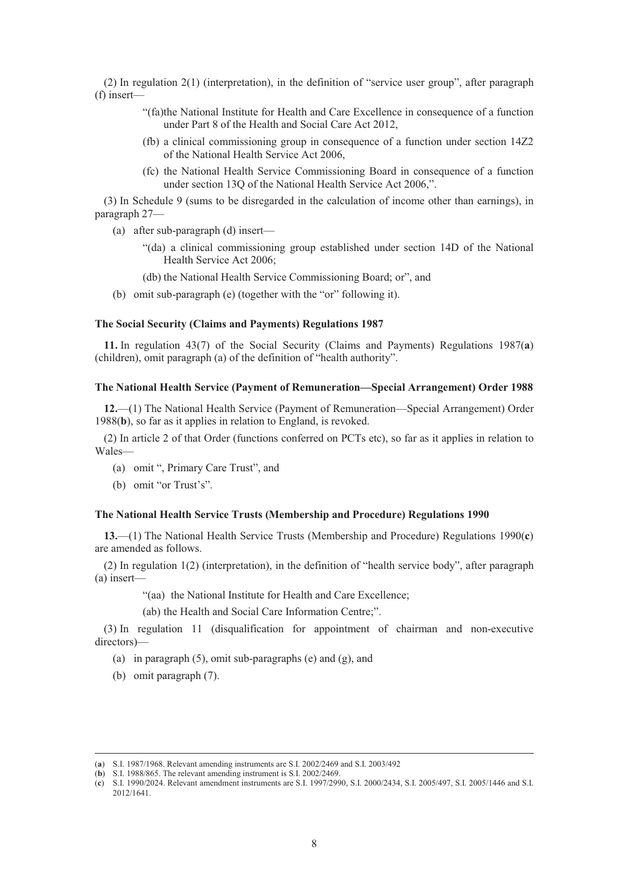(2) In regulation 2(1) (interpretation), in the definition of "service user group", after paragraph (f) insert—

- "(fa)the National Institute for Health and Care Excellence in consequence of a function under Part 8 of the Health and Social Care Act 2012,
- (fb) a clinical commissioning group in consequence of a function under section 14Z2 of the National Health Service Act 2006,
- (fc) the National Health Service Commissioning Board in consequence of a function under section 13Q of the National Health Service Act 2006,".

(3) In Schedule 9 (sums to be disregarded in the calculation of income other than earnings), in paragraph 27—

- (a) after sub-paragraph (d) insert—
	- "(da) a clinical commissioning group established under section 14D of the National Health Service Act 2006;
	- (db) the National Health Service Commissioning Board; or", and
- (b) omit sub-paragraph (e) (together with the "or" following it).

# **The Social Security (Claims and Payments) Regulations 1987**

**11.** In regulation 43(7) of the Social Security (Claims and Payments) Regulations 1987(**a**) (children), omit paragraph (a) of the definition of "health authority".

# **The National Health Service (Payment of Remuneration—Special Arrangement) Order 1988**

**12.**—(1) The National Health Service (Payment of Remuneration—Special Arrangement) Order 1988(**b**), so far as it applies in relation to England, is revoked.

(2) In article 2 of that Order (functions conferred on PCTs etc), so far as it applies in relation to Wales—

- (a) omit ", Primary Care Trust", and
- (b) omit "or Trust's".

# **The National Health Service Trusts (Membership and Procedure) Regulations 1990**

**13.**—(1) The National Health Service Trusts (Membership and Procedure) Regulations 1990(**c**) are amended as follows.

(2) In regulation 1(2) (interpretation), in the definition of "health service body", after paragraph (a) insert—

"(aa) the National Institute for Health and Care Excellence;

(ab) the Health and Social Care Information Centre;".

(3) In regulation 11 (disqualification for appointment of chairman and non-executive directors)—

- (a) in paragraph (5), omit sub-paragraphs (e) and (g), and
- (b) omit paragraph (7).

 <sup>(</sup>**a**) S.I. 1987/1968. Relevant amending instruments are S.I. 2002/2469 and S.I. 2003/492

<sup>(</sup>**b**) S.I. 1988/865. The relevant amending instrument is S.I. 2002/2469.

<sup>(</sup>**c**) S.I. 1990/2024. Relevant amendment instruments are S.I. 1997/2990, S.I. 2000/2434, S.I. 2005/497, S.I. 2005/1446 and S.I. 2012/1641.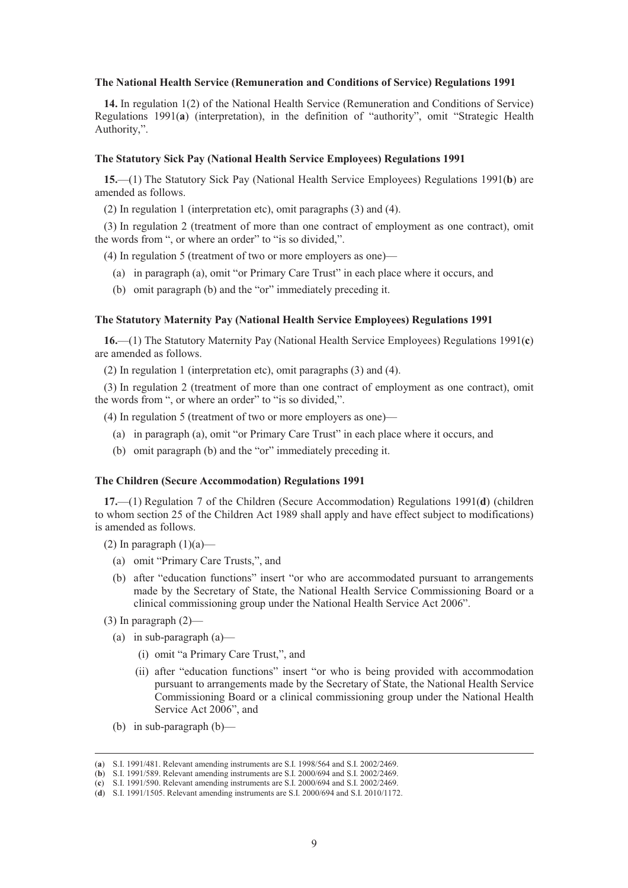#### **The National Health Service (Remuneration and Conditions of Service) Regulations 1991**

**14.** In regulation 1(2) of the National Health Service (Remuneration and Conditions of Service) Regulations 1991(**a**) (interpretation), in the definition of "authority", omit "Strategic Health Authority,".

#### **The Statutory Sick Pay (National Health Service Employees) Regulations 1991**

**15.**—(1) The Statutory Sick Pay (National Health Service Employees) Regulations 1991(**b**) are amended as follows.

(2) In regulation 1 (interpretation etc), omit paragraphs (3) and (4).

(3) In regulation 2 (treatment of more than one contract of employment as one contract), omit the words from ", or where an order" to "is so divided,".

(4) In regulation 5 (treatment of two or more employers as one)—

- (a) in paragraph (a), omit "or Primary Care Trust" in each place where it occurs, and
- (b) omit paragraph (b) and the "or" immediately preceding it.

# **The Statutory Maternity Pay (National Health Service Employees) Regulations 1991**

**16.**—(1) The Statutory Maternity Pay (National Health Service Employees) Regulations 1991(**c**) are amended as follows.

(2) In regulation 1 (interpretation etc), omit paragraphs (3) and (4).

(3) In regulation 2 (treatment of more than one contract of employment as one contract), omit the words from ", or where an order" to "is so divided,".

(4) In regulation 5 (treatment of two or more employers as one)—

- (a) in paragraph (a), omit "or Primary Care Trust" in each place where it occurs, and
- (b) omit paragraph (b) and the "or" immediately preceding it.

#### **The Children (Secure Accommodation) Regulations 1991**

**17.**—(1) Regulation 7 of the Children (Secure Accommodation) Regulations 1991(**d**) (children to whom section 25 of the Children Act 1989 shall apply and have effect subject to modifications) is amended as follows.

(2) In paragraph  $(1)(a)$ —

- (a) omit "Primary Care Trusts,", and
- (b) after "education functions" insert "or who are accommodated pursuant to arrangements made by the Secretary of State, the National Health Service Commissioning Board or a clinical commissioning group under the National Health Service Act 2006".
- $(3)$  In paragraph  $(2)$ 
	- (a) in sub-paragraph (a)—
		- (i) omit "a Primary Care Trust,", and
		- (ii) after "education functions" insert "or who is being provided with accommodation pursuant to arrangements made by the Secretary of State, the National Health Service Commissioning Board or a clinical commissioning group under the National Health Service Act 2006", and
	- (b) in sub-paragraph (b)—

 <sup>(</sup>**a**) S.I. 1991/481. Relevant amending instruments are S.I. 1998/564 and S.I. 2002/2469.

<sup>(</sup>**b**) S.I. 1991/589. Relevant amending instruments are S.I. 2000/694 and S.I. 2002/2469.

<sup>(</sup>**c**) S.I. 1991/590. Relevant amending instruments are S.I. 2000/694 and S.I. 2002/2469.

<sup>(</sup>**d**) S.I. 1991/1505. Relevant amending instruments are S.I. 2000/694 and S.I. 2010/1172.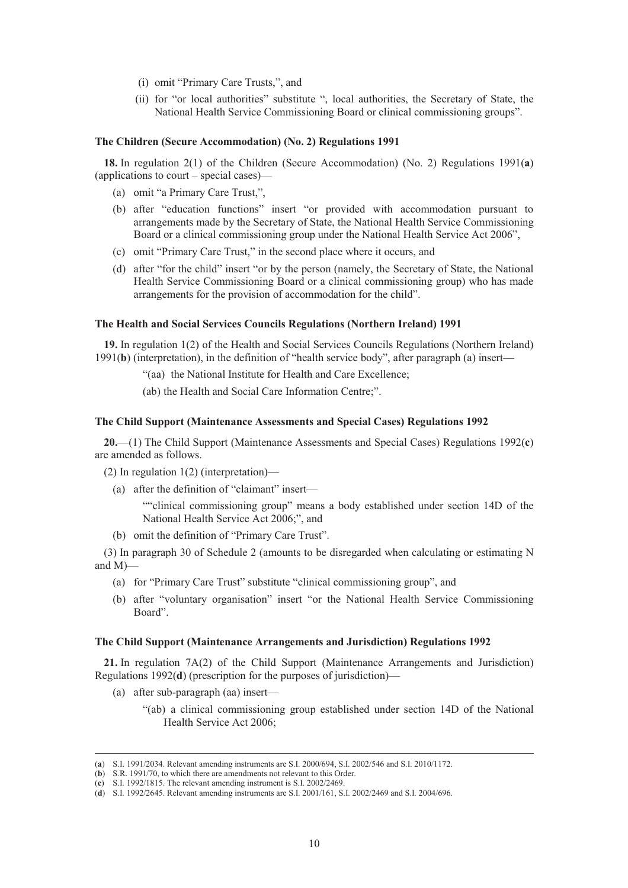- (i) omit "Primary Care Trusts,", and
- (ii) for "or local authorities" substitute ", local authorities, the Secretary of State, the National Health Service Commissioning Board or clinical commissioning groups".

#### **The Children (Secure Accommodation) (No. 2) Regulations 1991**

**18.** In regulation 2(1) of the Children (Secure Accommodation) (No. 2) Regulations 1991(**a**) (applications to court – special cases)—

- (a) omit "a Primary Care Trust,",
- (b) after "education functions" insert "or provided with accommodation pursuant to arrangements made by the Secretary of State, the National Health Service Commissioning Board or a clinical commissioning group under the National Health Service Act 2006",
- (c) omit "Primary Care Trust," in the second place where it occurs, and
- (d) after "for the child" insert "or by the person (namely, the Secretary of State, the National Health Service Commissioning Board or a clinical commissioning group) who has made arrangements for the provision of accommodation for the child".

#### **The Health and Social Services Councils Regulations (Northern Ireland) 1991**

**19.** In regulation 1(2) of the Health and Social Services Councils Regulations (Northern Ireland) 1991(**b**) (interpretation), in the definition of "health service body", after paragraph (a) insert—

"(aa) the National Institute for Health and Care Excellence;

(ab) the Health and Social Care Information Centre;".

# **The Child Support (Maintenance Assessments and Special Cases) Regulations 1992**

**20.**—(1) The Child Support (Maintenance Assessments and Special Cases) Regulations 1992(**c**) are amended as follows.

- (2) In regulation 1(2) (interpretation)—
	- (a) after the definition of "claimant" insert—

""clinical commissioning group" means a body established under section 14D of the National Health Service Act 2006;", and

(b) omit the definition of "Primary Care Trust".

(3) In paragraph 30 of Schedule 2 (amounts to be disregarded when calculating or estimating N and M)—

- (a) for "Primary Care Trust" substitute "clinical commissioning group", and
- (b) after "voluntary organisation" insert "or the National Health Service Commissioning Board".

#### **The Child Support (Maintenance Arrangements and Jurisdiction) Regulations 1992**

**21.** In regulation 7A(2) of the Child Support (Maintenance Arrangements and Jurisdiction) Regulations 1992(**d**) (prescription for the purposes of jurisdiction)—

- (a) after sub-paragraph (aa) insert—
	- "(ab) a clinical commissioning group established under section 14D of the National Health Service Act 2006;

 <sup>(</sup>**a**) S.I. 1991/2034. Relevant amending instruments are S.I. 2000/694, S.I. 2002/546 and S.I. 2010/1172.

<sup>(</sup>**b**) S.R. 1991/70, to which there are amendments not relevant to this Order.

<sup>(</sup>**c**) S.I. 1992/1815. The relevant amending instrument is S.I. 2002/2469.

<sup>(</sup>**d**) S.I. 1992/2645. Relevant amending instruments are S.I. 2001/161, S.I. 2002/2469 and S.I. 2004/696.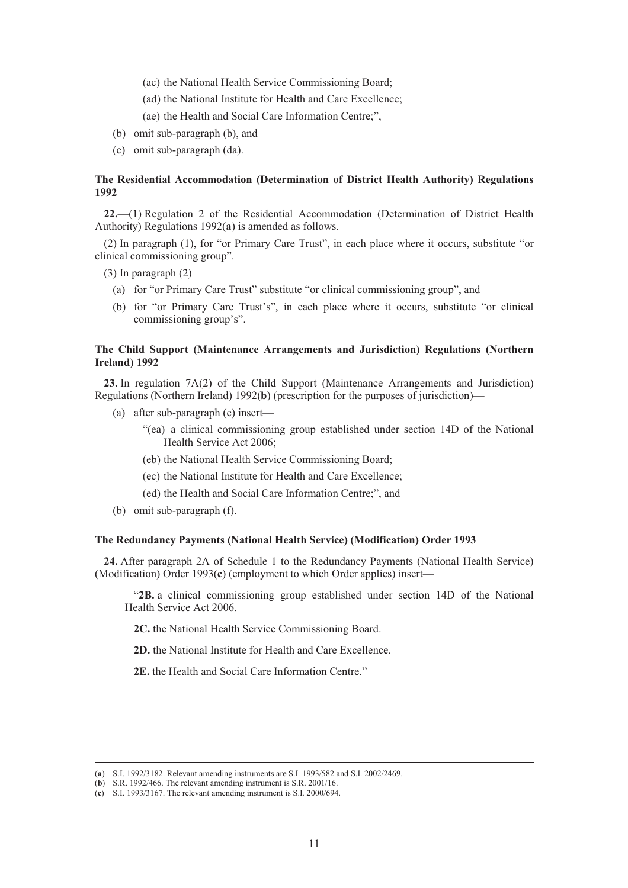- (ac) the National Health Service Commissioning Board;
- (ad) the National Institute for Health and Care Excellence;
- (ae) the Health and Social Care Information Centre;",
- (b) omit sub-paragraph (b), and
- (c) omit sub-paragraph (da).

# **The Residential Accommodation (Determination of District Health Authority) Regulations 1992**

**22.**—(1) Regulation 2 of the Residential Accommodation (Determination of District Health Authority) Regulations 1992(**a**) is amended as follows.

(2) In paragraph (1), for "or Primary Care Trust", in each place where it occurs, substitute "or clinical commissioning group".

- (3) In paragraph  $(2)$ 
	- (a) for "or Primary Care Trust" substitute "or clinical commissioning group", and
	- (b) for "or Primary Care Trust's", in each place where it occurs, substitute "or clinical commissioning group's".

# **The Child Support (Maintenance Arrangements and Jurisdiction) Regulations (Northern Ireland) 1992**

**23.** In regulation 7A(2) of the Child Support (Maintenance Arrangements and Jurisdiction) Regulations (Northern Ireland) 1992(**b**) (prescription for the purposes of jurisdiction)—

- (a) after sub-paragraph (e) insert—
	- "(ea) a clinical commissioning group established under section 14D of the National Health Service Act 2006;
	- (eb) the National Health Service Commissioning Board;
	- (ec) the National Institute for Health and Care Excellence;
	- (ed) the Health and Social Care Information Centre;", and
- (b) omit sub-paragraph (f).

# **The Redundancy Payments (National Health Service) (Modification) Order 1993**

**24.** After paragraph 2A of Schedule 1 to the Redundancy Payments (National Health Service) (Modification) Order 1993(**c**) (employment to which Order applies) insert—

"**2B.** a clinical commissioning group established under section 14D of the National Health Service Act 2006.

**2C.** the National Health Service Commissioning Board.

**2D.** the National Institute for Health and Care Excellence.

**2E.** the Health and Social Care Information Centre."

 <sup>(</sup>**a**) S.I. 1992/3182. Relevant amending instruments are S.I. 1993/582 and S.I. 2002/2469.

<sup>(</sup>**b**) S.R. 1992/466. The relevant amending instrument is S.R. 2001/16.

<sup>(</sup>**c**) S.I. 1993/3167. The relevant amending instrument is S.I. 2000/694.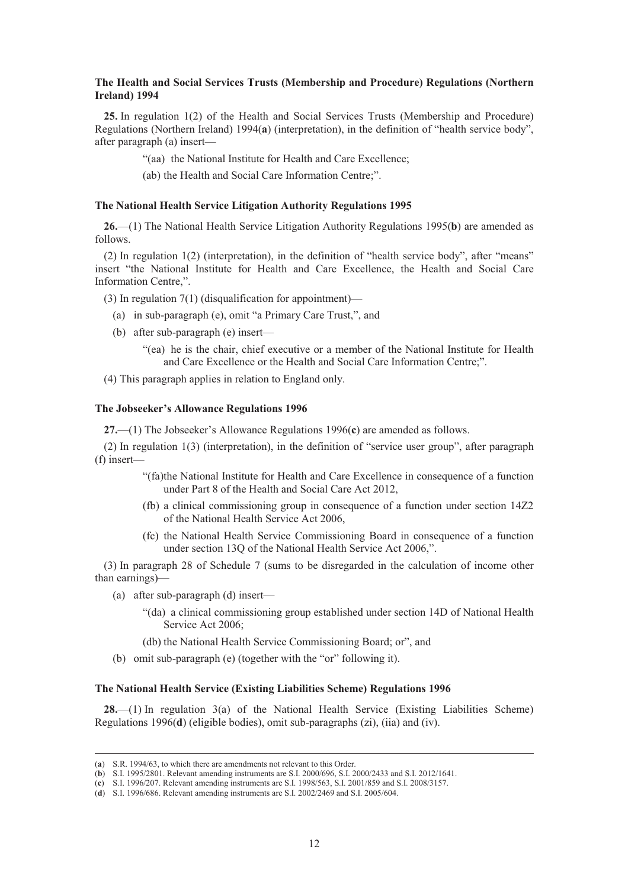# **The Health and Social Services Trusts (Membership and Procedure) Regulations (Northern Ireland) 1994**

**25.** In regulation 1(2) of the Health and Social Services Trusts (Membership and Procedure) Regulations (Northern Ireland) 1994(**a**) (interpretation), in the definition of "health service body", after paragraph (a) insert—

"(aa) the National Institute for Health and Care Excellence;

(ab) the Health and Social Care Information Centre;".

# **The National Health Service Litigation Authority Regulations 1995**

**26.**—(1) The National Health Service Litigation Authority Regulations 1995(**b**) are amended as follows.

(2) In regulation 1(2) (interpretation), in the definition of "health service body", after "means" insert "the National Institute for Health and Care Excellence, the Health and Social Care Information Centre,".

(3) In regulation 7(1) (disqualification for appointment)—

- (a) in sub-paragraph (e), omit "a Primary Care Trust,", and
- (b) after sub-paragraph (e) insert—
	- "(ea) he is the chair, chief executive or a member of the National Institute for Health and Care Excellence or the Health and Social Care Information Centre;".
- (4) This paragraph applies in relation to England only.

# **The Jobseeker's Allowance Regulations 1996**

**27.**—(1) The Jobseeker's Allowance Regulations 1996(**c**) are amended as follows.

(2) In regulation 1(3) (interpretation), in the definition of "service user group", after paragraph (f) insert—

- "(fa)the National Institute for Health and Care Excellence in consequence of a function under Part 8 of the Health and Social Care Act 2012,
- (fb) a clinical commissioning group in consequence of a function under section 14Z2 of the National Health Service Act 2006,
- (fc) the National Health Service Commissioning Board in consequence of a function under section 13Q of the National Health Service Act 2006,".

(3) In paragraph 28 of Schedule 7 (sums to be disregarded in the calculation of income other than earnings)—

- (a) after sub-paragraph (d) insert—
	- "(da) a clinical commissioning group established under section 14D of National Health Service Act 2006;
	- (db) the National Health Service Commissioning Board; or", and
- (b) omit sub-paragraph (e) (together with the "or" following it).

# **The National Health Service (Existing Liabilities Scheme) Regulations 1996**

**28.**—(1) In regulation 3(a) of the National Health Service (Existing Liabilities Scheme) Regulations 1996(**d**) (eligible bodies), omit sub-paragraphs (zi), (iia) and (iv).

 <sup>(</sup>**a**) S.R. 1994/63, to which there are amendments not relevant to this Order.

<sup>(</sup>**b**) S.I. 1995/2801. Relevant amending instruments are S.I. 2000/696, S.I. 2000/2433 and S.I. 2012/1641.

<sup>(</sup>**c**) S.I. 1996/207. Relevant amending instruments are S.I. 1998/563, S.I. 2001/859 and S.I. 2008/3157.

<sup>(</sup>**d**) S.I. 1996/686. Relevant amending instruments are S.I. 2002/2469 and S.I. 2005/604.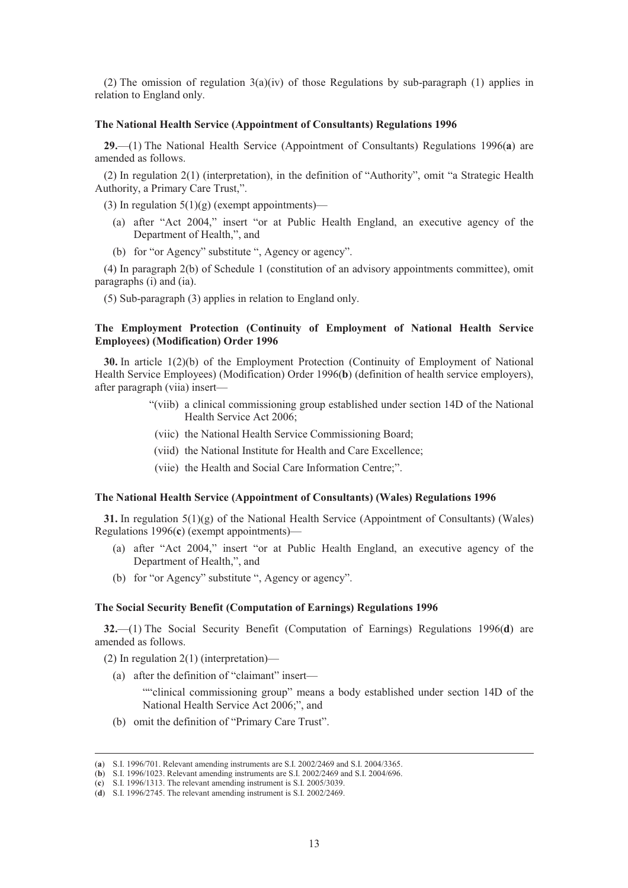(2) The omission of regulation  $3(a)(iv)$  of those Regulations by sub-paragraph (1) applies in relation to England only.

# **The National Health Service (Appointment of Consultants) Regulations 1996**

**29.**—(1) The National Health Service (Appointment of Consultants) Regulations 1996(**a**) are amended as follows.

(2) In regulation 2(1) (interpretation), in the definition of "Authority", omit "a Strategic Health Authority, a Primary Care Trust,".

(3) In regulation  $5(1)(g)$  (exempt appointments)—

- (a) after "Act 2004," insert "or at Public Health England, an executive agency of the Department of Health,", and
- (b) for "or Agency" substitute ", Agency or agency".

(4) In paragraph 2(b) of Schedule 1 (constitution of an advisory appointments committee), omit paragraphs (i) and (ia).

(5) Sub-paragraph (3) applies in relation to England only.

# **The Employment Protection (Continuity of Employment of National Health Service Employees) (Modification) Order 1996**

**30.** In article 1(2)(b) of the Employment Protection (Continuity of Employment of National Health Service Employees) (Modification) Order 1996(**b**) (definition of health service employers), after paragraph (viia) insert—

- "(viib) a clinical commissioning group established under section 14D of the National Health Service Act 2006;
- (viic) the National Health Service Commissioning Board;
- (viid) the National Institute for Health and Care Excellence;
- (viie) the Health and Social Care Information Centre;".

#### **The National Health Service (Appointment of Consultants) (Wales) Regulations 1996**

**31.** In regulation 5(1)(g) of the National Health Service (Appointment of Consultants) (Wales) Regulations 1996(**c**) (exempt appointments)—

- (a) after "Act 2004," insert "or at Public Health England, an executive agency of the Department of Health,", and
- (b) for "or Agency" substitute ", Agency or agency".

## **The Social Security Benefit (Computation of Earnings) Regulations 1996**

**32.**—(1) The Social Security Benefit (Computation of Earnings) Regulations 1996(**d**) are amended as follows.

(2) In regulation 2(1) (interpretation)—

(a) after the definition of "claimant" insert—

""clinical commissioning group" means a body established under section 14D of the National Health Service Act 2006;", and

(b) omit the definition of "Primary Care Trust".

 <sup>(</sup>**a**) S.I. 1996/701. Relevant amending instruments are S.I. 2002/2469 and S.I. 2004/3365.

<sup>(</sup>**b**) S.I. 1996/1023. Relevant amending instruments are S.I. 2002/2469 and S.I. 2004/696.

<sup>(</sup>**c**) S.I. 1996/1313. The relevant amending instrument is S.I. 2005/3039.

<sup>(</sup>**d**) S.I. 1996/2745. The relevant amending instrument is S.I. 2002/2469.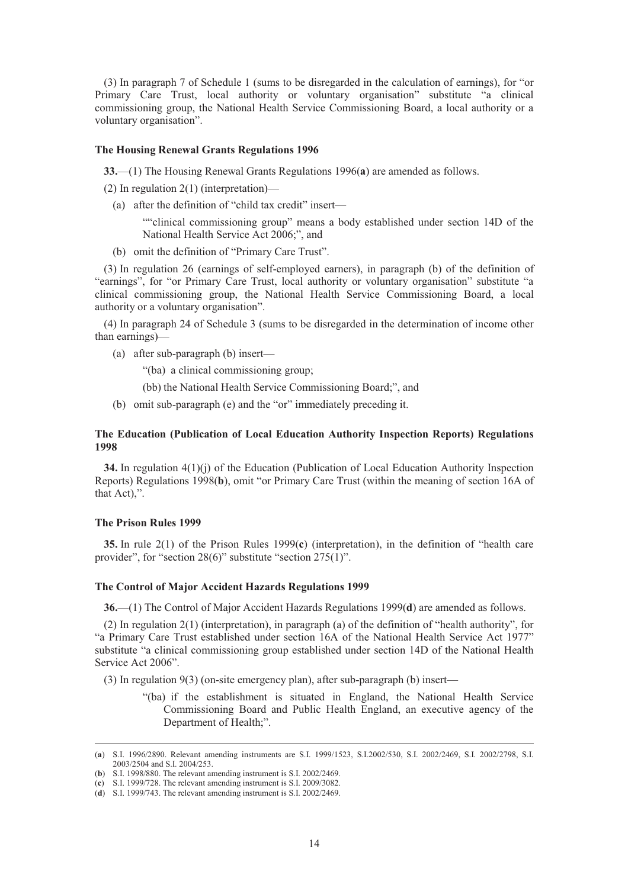(3) In paragraph 7 of Schedule 1 (sums to be disregarded in the calculation of earnings), for "or Primary Care Trust, local authority or voluntary organisation" substitute "a clinical commissioning group, the National Health Service Commissioning Board, a local authority or a voluntary organisation".

#### **The Housing Renewal Grants Regulations 1996**

**33.**—(1) The Housing Renewal Grants Regulations 1996(**a**) are amended as follows.

(2) In regulation 2(1) (interpretation)—

(a) after the definition of "child tax credit" insert—

""clinical commissioning group" means a body established under section 14D of the National Health Service Act 2006;", and

(b) omit the definition of "Primary Care Trust".

(3) In regulation 26 (earnings of self-employed earners), in paragraph (b) of the definition of "earnings", for "or Primary Care Trust, local authority or voluntary organisation" substitute "a clinical commissioning group, the National Health Service Commissioning Board, a local authority or a voluntary organisation".

(4) In paragraph 24 of Schedule 3 (sums to be disregarded in the determination of income other than earnings)—

(a) after sub-paragraph (b) insert—

"(ba) a clinical commissioning group;

(bb) the National Health Service Commissioning Board;", and

(b) omit sub-paragraph (e) and the "or" immediately preceding it.

# **The Education (Publication of Local Education Authority Inspection Reports) Regulations 1998**

**34.** In regulation 4(1)(j) of the Education (Publication of Local Education Authority Inspection Reports) Regulations 1998(**b**), omit "or Primary Care Trust (within the meaning of section 16A of that Act),".

## **The Prison Rules 1999**

**35.** In rule 2(1) of the Prison Rules 1999(**c**) (interpretation), in the definition of "health care provider", for "section 28(6)" substitute "section 275(1)".

# **The Control of Major Accident Hazards Regulations 1999**

**36.**—(1) The Control of Major Accident Hazards Regulations 1999(**d**) are amended as follows.

(2) In regulation 2(1) (interpretation), in paragraph (a) of the definition of "health authority", for "a Primary Care Trust established under section 16A of the National Health Service Act 1977" substitute "a clinical commissioning group established under section 14D of the National Health Service Act 2006".

(3) In regulation 9(3) (on-site emergency plan), after sub-paragraph (b) insert—

"(ba) if the establishment is situated in England, the National Health Service Commissioning Board and Public Health England, an executive agency of the Department of Health;".

 <sup>(</sup>**a**) S.I. 1996/2890. Relevant amending instruments are S.I. 1999/1523, S.I.2002/530, S.I. 2002/2469, S.I. 2002/2798, S.I. 2003/2504 and S.I. 2004/253.

<sup>(</sup>**b**) S.I. 1998/880. The relevant amending instrument is S.I. 2002/2469.

<sup>(</sup>**c**) S.I. 1999/728. The relevant amending instrument is S.I. 2009/3082.

<sup>(</sup>**d**) S.I. 1999/743. The relevant amending instrument is S.I. 2002/2469.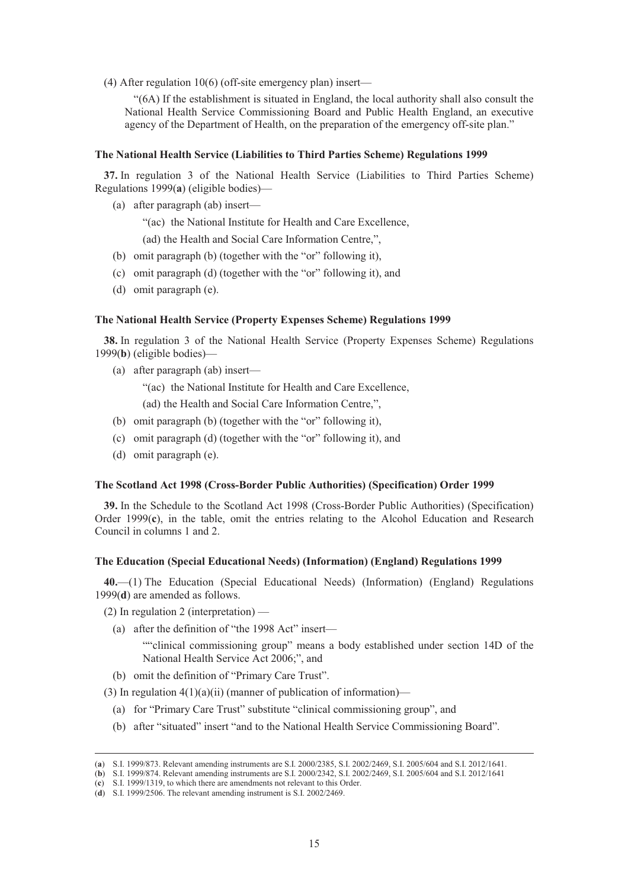(4) After regulation 10(6) (off-site emergency plan) insert—

"(6A) If the establishment is situated in England, the local authority shall also consult the National Health Service Commissioning Board and Public Health England, an executive agency of the Department of Health, on the preparation of the emergency off-site plan."

# **The National Health Service (Liabilities to Third Parties Scheme) Regulations 1999**

**37.** In regulation 3 of the National Health Service (Liabilities to Third Parties Scheme) Regulations 1999(**a**) (eligible bodies)—

(a) after paragraph (ab) insert—

"(ac) the National Institute for Health and Care Excellence,

(ad) the Health and Social Care Information Centre,",

- (b) omit paragraph (b) (together with the "or" following it),
- (c) omit paragraph (d) (together with the "or" following it), and
- (d) omit paragraph (e).

# **The National Health Service (Property Expenses Scheme) Regulations 1999**

**38.** In regulation 3 of the National Health Service (Property Expenses Scheme) Regulations 1999(**b**) (eligible bodies)—

(a) after paragraph (ab) insert—

"(ac) the National Institute for Health and Care Excellence,

(ad) the Health and Social Care Information Centre,",

- (b) omit paragraph (b) (together with the "or" following it),
- (c) omit paragraph (d) (together with the "or" following it), and
- (d) omit paragraph (e).

# **The Scotland Act 1998 (Cross-Border Public Authorities) (Specification) Order 1999**

**39.** In the Schedule to the Scotland Act 1998 (Cross-Border Public Authorities) (Specification) Order 1999(**c**), in the table, omit the entries relating to the Alcohol Education and Research Council in columns 1 and 2.

# **The Education (Special Educational Needs) (Information) (England) Regulations 1999**

**40.**—(1) The Education (Special Educational Needs) (Information) (England) Regulations 1999(**d**) are amended as follows.

- (2) In regulation 2 (interpretation)
	- (a) after the definition of "the 1998 Act" insert—

""clinical commissioning group" means a body established under section 14D of the National Health Service Act 2006;", and

(b) omit the definition of "Primary Care Trust".

(3) In regulation  $4(1)(a)(ii)$  (manner of publication of information)—

- (a) for "Primary Care Trust" substitute "clinical commissioning group", and
- (b) after "situated" insert "and to the National Health Service Commissioning Board".

 <sup>(</sup>**a**) S.I. 1999/873. Relevant amending instruments are S.I. 2000/2385, S.I. 2002/2469, S.I. 2005/604 and S.I. 2012/1641.

<sup>(</sup>**b**) S.I. 1999/874. Relevant amending instruments are S.I. 2000/2342, S.I. 2002/2469, S.I. 2005/604 and S.I. 2012/1641

<sup>(</sup>**c**) S.I. 1999/1319, to which there are amendments not relevant to this Order.

<sup>(</sup>**d**) S.I. 1999/2506. The relevant amending instrument is S.I. 2002/2469.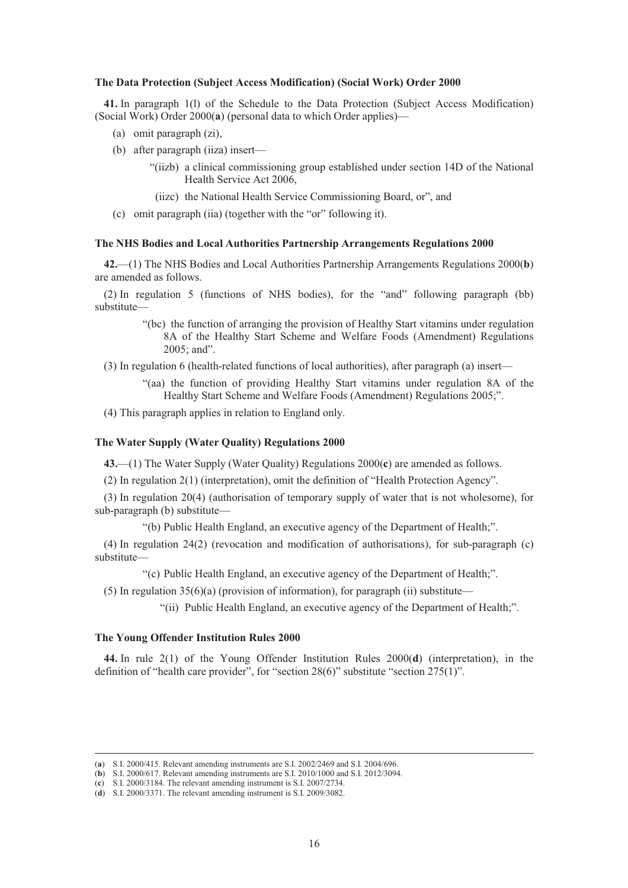#### **The Data Protection (Subject Access Modification) (Social Work) Order 2000**

**41.** In paragraph 1(l) of the Schedule to the Data Protection (Subject Access Modification) (Social Work) Order 2000(**a**) (personal data to which Order applies)—

- (a) omit paragraph (zi),
- (b) after paragraph (iiza) insert—
	- "(iizb) a clinical commissioning group established under section 14D of the National Health Service Act 2006,
	- (iizc) the National Health Service Commissioning Board, or", and
- (c) omit paragraph (iia) (together with the "or" following it).

# **The NHS Bodies and Local Authorities Partnership Arrangements Regulations 2000**

**42.**—(1) The NHS Bodies and Local Authorities Partnership Arrangements Regulations 2000(**b**) are amended as follows.

(2) In regulation 5 (functions of NHS bodies), for the "and" following paragraph (bb) substitute—

> "(bc) the function of arranging the provision of Healthy Start vitamins under regulation 8A of the Healthy Start Scheme and Welfare Foods (Amendment) Regulations 2005; and".

(3) In regulation 6 (health-related functions of local authorities), after paragraph (a) insert—

"(aa) the function of providing Healthy Start vitamins under regulation 8A of the Healthy Start Scheme and Welfare Foods (Amendment) Regulations 2005;".

(4) This paragraph applies in relation to England only.

# **The Water Supply (Water Quality) Regulations 2000**

**43.**—(1) The Water Supply (Water Quality) Regulations 2000(**c**) are amended as follows.

(2) In regulation 2(1) (interpretation), omit the definition of "Health Protection Agency".

(3) In regulation 20(4) (authorisation of temporary supply of water that is not wholesome), for sub-paragraph (b) substitute—

"(b) Public Health England, an executive agency of the Department of Health;".

(4) In regulation 24(2) (revocation and modification of authorisations), for sub-paragraph (c) substitute—

"(c) Public Health England, an executive agency of the Department of Health;".

(5) In regulation  $35(6)(a)$  (provision of information), for paragraph (ii) substitute—

"(ii) Public Health England, an executive agency of the Department of Health;".

# **The Young Offender Institution Rules 2000**

**44.** In rule 2(1) of the Young Offender Institution Rules 2000(**d**) (interpretation), in the definition of "health care provider", for "section 28(6)" substitute "section 275(1)".

 <sup>(</sup>**a**) S.I. 2000/415. Relevant amending instruments are S.I. 2002/2469 and S.I. 2004/696.

<sup>(</sup>**b**) S.I. 2000/617. Relevant amending instruments are S.I. 2010/1000 and S.I. 2012/3094.

<sup>(</sup>**c**) S.I. 2000/3184. The relevant amending instrument is S.I. 2007/2734.

<sup>(</sup>**d**) S.I. 2000/3371. The relevant amending instrument is S.I. 2009/3082.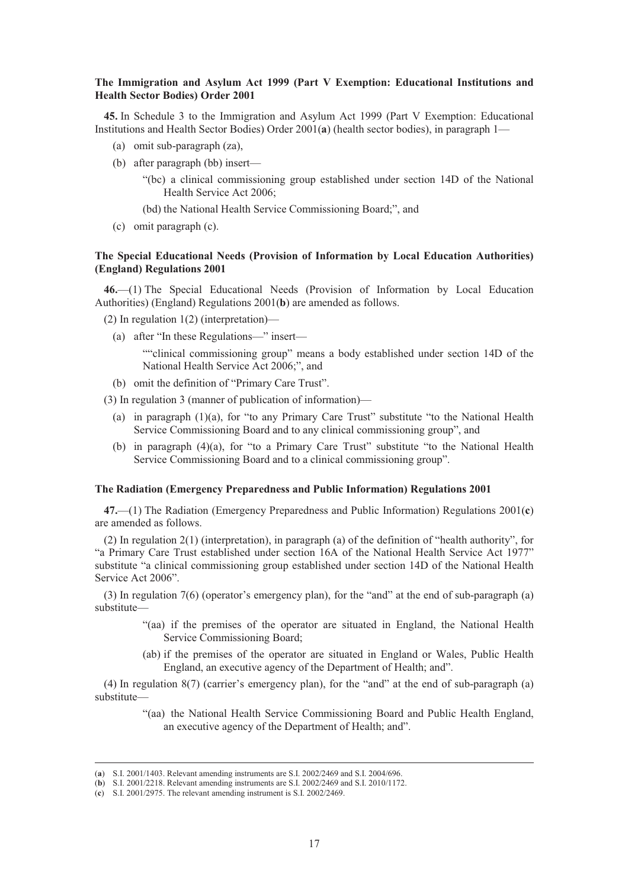# **The Immigration and Asylum Act 1999 (Part V Exemption: Educational Institutions and Health Sector Bodies) Order 2001**

**45.** In Schedule 3 to the Immigration and Asylum Act 1999 (Part V Exemption: Educational Institutions and Health Sector Bodies) Order 2001(**a**) (health sector bodies), in paragraph 1—

- (a) omit sub-paragraph (za),
- (b) after paragraph (bb) insert—
	- "(bc) a clinical commissioning group established under section 14D of the National Health Service Act 2006;
	- (bd) the National Health Service Commissioning Board;", and
- (c) omit paragraph (c).

# **The Special Educational Needs (Provision of Information by Local Education Authorities) (England) Regulations 2001**

**46.**—(1) The Special Educational Needs (Provision of Information by Local Education Authorities) (England) Regulations 2001(**b**) are amended as follows.

(2) In regulation 1(2) (interpretation)—

(a) after "In these Regulations—" insert—

""clinical commissioning group" means a body established under section 14D of the National Health Service Act 2006;", and

(b) omit the definition of "Primary Care Trust".

(3) In regulation 3 (manner of publication of information)—

- (a) in paragraph (1)(a), for "to any Primary Care Trust" substitute "to the National Health Service Commissioning Board and to any clinical commissioning group", and
- (b) in paragraph (4)(a), for "to a Primary Care Trust" substitute "to the National Health Service Commissioning Board and to a clinical commissioning group".

# **The Radiation (Emergency Preparedness and Public Information) Regulations 2001**

**47.**—(1) The Radiation (Emergency Preparedness and Public Information) Regulations 2001(**c**) are amended as follows.

(2) In regulation 2(1) (interpretation), in paragraph (a) of the definition of "health authority", for "a Primary Care Trust established under section 16A of the National Health Service Act 1977" substitute "a clinical commissioning group established under section 14D of the National Health Service Act 2006".

(3) In regulation 7(6) (operator's emergency plan), for the "and" at the end of sub-paragraph (a) substitute—

- "(aa) if the premises of the operator are situated in England, the National Health Service Commissioning Board;
- (ab) if the premises of the operator are situated in England or Wales, Public Health England, an executive agency of the Department of Health; and".

(4) In regulation 8(7) (carrier's emergency plan), for the "and" at the end of sub-paragraph (a) substitute—

> "(aa) the National Health Service Commissioning Board and Public Health England, an executive agency of the Department of Health; and".

 <sup>(</sup>**a**) S.I. 2001/1403. Relevant amending instruments are S.I. 2002/2469 and S.I. 2004/696.

<sup>(</sup>**b**) S.I. 2001/2218. Relevant amending instruments are S.I. 2002/2469 and S.I. 2010/1172.

<sup>(</sup>**c**) S.I. 2001/2975. The relevant amending instrument is S.I. 2002/2469.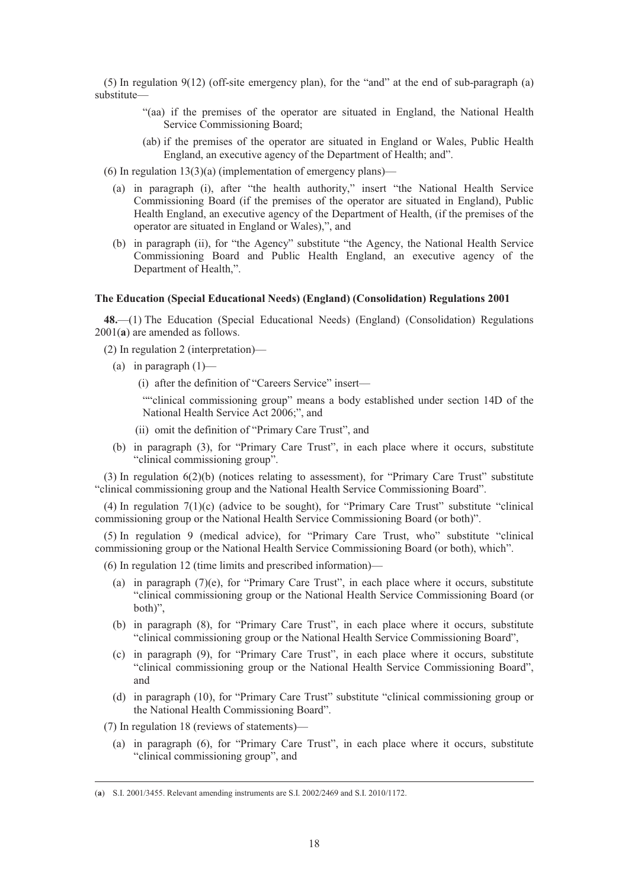(5) In regulation 9(12) (off-site emergency plan), for the "and" at the end of sub-paragraph (a) substitute—

- "(aa) if the premises of the operator are situated in England, the National Health Service Commissioning Board;
- (ab) if the premises of the operator are situated in England or Wales, Public Health England, an executive agency of the Department of Health; and".

(6) In regulation  $13(3)(a)$  (implementation of emergency plans)—

- (a) in paragraph (i), after "the health authority," insert "the National Health Service Commissioning Board (if the premises of the operator are situated in England), Public Health England, an executive agency of the Department of Health, (if the premises of the operator are situated in England or Wales),", and
- (b) in paragraph (ii), for "the Agency" substitute "the Agency, the National Health Service Commissioning Board and Public Health England, an executive agency of the Department of Health,".

# **The Education (Special Educational Needs) (England) (Consolidation) Regulations 2001**

**48.**—(1) The Education (Special Educational Needs) (England) (Consolidation) Regulations 2001(**a**) are amended as follows.

- (2) In regulation 2 (interpretation)—
	- (a) in paragraph  $(1)$ 
		- (i) after the definition of "Careers Service" insert—

""clinical commissioning group" means a body established under section 14D of the National Health Service Act 2006;", and

- (ii) omit the definition of "Primary Care Trust", and
- (b) in paragraph (3), for "Primary Care Trust", in each place where it occurs, substitute "clinical commissioning group".

(3) In regulation 6(2)(b) (notices relating to assessment), for "Primary Care Trust" substitute "clinical commissioning group and the National Health Service Commissioning Board".

(4) In regulation  $7(1)(c)$  (advice to be sought), for "Primary Care Trust" substitute "clinical commissioning group or the National Health Service Commissioning Board (or both)".

(5) In regulation 9 (medical advice), for "Primary Care Trust, who" substitute "clinical commissioning group or the National Health Service Commissioning Board (or both), which".

(6) In regulation 12 (time limits and prescribed information)—

- (a) in paragraph  $(7)(e)$ , for "Primary Care Trust", in each place where it occurs, substitute "clinical commissioning group or the National Health Service Commissioning Board (or both)",
- (b) in paragraph (8), for "Primary Care Trust", in each place where it occurs, substitute "clinical commissioning group or the National Health Service Commissioning Board",
- (c) in paragraph (9), for "Primary Care Trust", in each place where it occurs, substitute "clinical commissioning group or the National Health Service Commissioning Board", and
- (d) in paragraph (10), for "Primary Care Trust" substitute "clinical commissioning group or the National Health Commissioning Board".

(7) In regulation 18 (reviews of statements)—

(a) in paragraph (6), for "Primary Care Trust", in each place where it occurs, substitute "clinical commissioning group", and

 <sup>(</sup>**a**) S.I. 2001/3455. Relevant amending instruments are S.I. 2002/2469 and S.I. 2010/1172.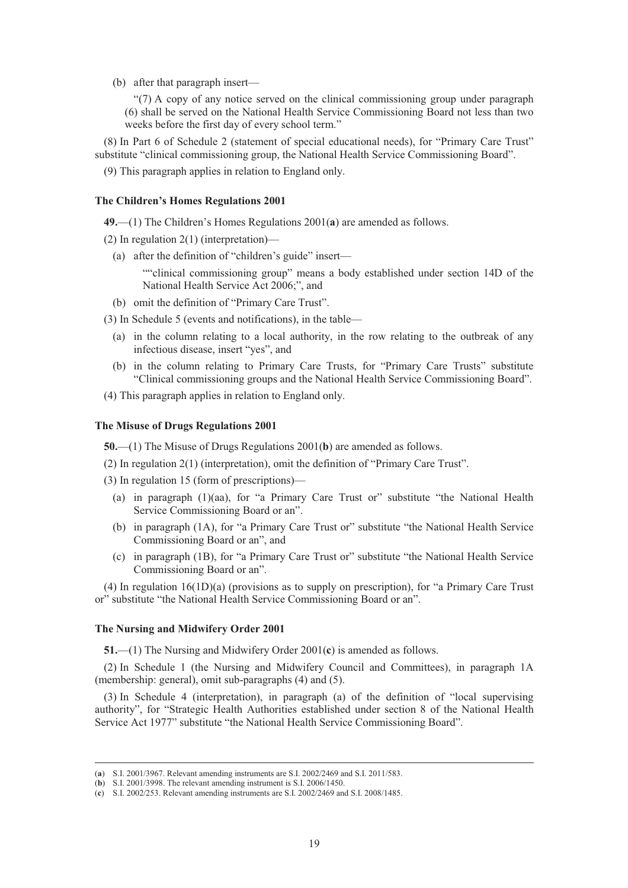(b) after that paragraph insert—

"(7) A copy of any notice served on the clinical commissioning group under paragraph (6) shall be served on the National Health Service Commissioning Board not less than two weeks before the first day of every school term."

(8) In Part 6 of Schedule 2 (statement of special educational needs), for "Primary Care Trust" substitute "clinical commissioning group, the National Health Service Commissioning Board".

(9) This paragraph applies in relation to England only.

# **The Children's Homes Regulations 2001**

**49.**—(1) The Children's Homes Regulations 2001(**a**) are amended as follows.

(2) In regulation 2(1) (interpretation)—

(a) after the definition of "children's guide" insert—

""clinical commissioning group" means a body established under section 14D of the National Health Service Act 2006;", and

(b) omit the definition of "Primary Care Trust".

(3) In Schedule 5 (events and notifications), in the table—

- (a) in the column relating to a local authority, in the row relating to the outbreak of any infectious disease, insert "yes", and
- (b) in the column relating to Primary Care Trusts, for "Primary Care Trusts" substitute "Clinical commissioning groups and the National Health Service Commissioning Board".
- (4) This paragraph applies in relation to England only.

# **The Misuse of Drugs Regulations 2001**

**50.**—(1) The Misuse of Drugs Regulations 2001(**b**) are amended as follows.

(2) In regulation 2(1) (interpretation), omit the definition of "Primary Care Trust".

(3) In regulation 15 (form of prescriptions)—

- (a) in paragraph (1)(aa), for "a Primary Care Trust or" substitute "the National Health Service Commissioning Board or an".
- (b) in paragraph (1A), for "a Primary Care Trust or" substitute "the National Health Service Commissioning Board or an", and
- (c) in paragraph (1B), for "a Primary Care Trust or" substitute "the National Health Service Commissioning Board or an".

(4) In regulation 16(1D)(a) (provisions as to supply on prescription), for "a Primary Care Trust or" substitute "the National Health Service Commissioning Board or an".

#### **The Nursing and Midwifery Order 2001**

**51.**—(1) The Nursing and Midwifery Order 2001(**c**) is amended as follows.

(2) In Schedule 1 (the Nursing and Midwifery Council and Committees), in paragraph 1A (membership: general), omit sub-paragraphs (4) and (5).

(3) In Schedule 4 (interpretation), in paragraph (a) of the definition of "local supervising authority", for "Strategic Health Authorities established under section 8 of the National Health Service Act 1977" substitute "the National Health Service Commissioning Board".

 <sup>(</sup>**a**) S.I. 2001/3967. Relevant amending instruments are S.I. 2002/2469 and S.I. 2011/583.

<sup>(</sup>**b**) S.I. 2001/3998. The relevant amending instrument is S.I. 2006/1450.

<sup>(</sup>**c**) S.I. 2002/253. Relevant amending instruments are S.I. 2002/2469 and S.I. 2008/1485.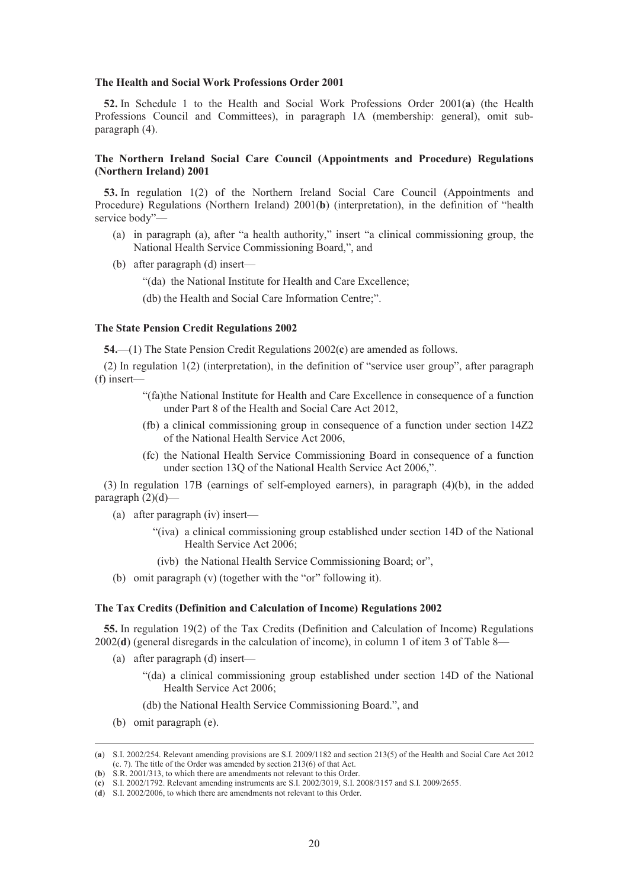#### **The Health and Social Work Professions Order 2001**

**52.** In Schedule 1 to the Health and Social Work Professions Order 2001(**a**) (the Health Professions Council and Committees), in paragraph 1A (membership: general), omit subparagraph (4).

# **The Northern Ireland Social Care Council (Appointments and Procedure) Regulations (Northern Ireland) 2001**

**53.** In regulation 1(2) of the Northern Ireland Social Care Council (Appointments and Procedure) Regulations (Northern Ireland) 2001(**b**) (interpretation), in the definition of "health service body"—

- (a) in paragraph (a), after "a health authority," insert "a clinical commissioning group, the National Health Service Commissioning Board,", and
- (b) after paragraph (d) insert—

"(da) the National Institute for Health and Care Excellence;

(db) the Health and Social Care Information Centre;".

# **The State Pension Credit Regulations 2002**

**54.**—(1) The State Pension Credit Regulations 2002(**c**) are amended as follows.

(2) In regulation 1(2) (interpretation), in the definition of "service user group", after paragraph (f) insert—

- "(fa)the National Institute for Health and Care Excellence in consequence of a function under Part 8 of the Health and Social Care Act 2012,
- (fb) a clinical commissioning group in consequence of a function under section 14Z2 of the National Health Service Act 2006,
- (fc) the National Health Service Commissioning Board in consequence of a function under section 13Q of the National Health Service Act 2006,".

(3) In regulation 17B (earnings of self-employed earners), in paragraph (4)(b), in the added paragraph  $(2)(d)$ —

- (a) after paragraph (iv) insert—
	- "(iva) a clinical commissioning group established under section 14D of the National Health Service Act 2006;
	- (ivb) the National Health Service Commissioning Board; or",
- (b) omit paragraph (v) (together with the "or" following it).

#### **The Tax Credits (Definition and Calculation of Income) Regulations 2002**

**55.** In regulation 19(2) of the Tax Credits (Definition and Calculation of Income) Regulations 2002(**d**) (general disregards in the calculation of income), in column 1 of item 3 of Table 8—

- (a) after paragraph (d) insert—
	- "(da) a clinical commissioning group established under section 14D of the National Health Service Act 2006;
	- (db) the National Health Service Commissioning Board.", and
- (b) omit paragraph (e).

 <sup>(</sup>**a**) S.I. 2002/254. Relevant amending provisions are S.I. 2009/1182 and section 213(5) of the Health and Social Care Act 2012 (c. 7). The title of the Order was amended by section 213(6) of that Act.

<sup>(</sup>**b**) S.R. 2001/313, to which there are amendments not relevant to this Order.

<sup>(</sup>**c**) S.I. 2002/1792. Relevant amending instruments are S.I. 2002/3019, S.I. 2008/3157 and S.I. 2009/2655.

<sup>(</sup>**d**) S.I. 2002/2006, to which there are amendments not relevant to this Order.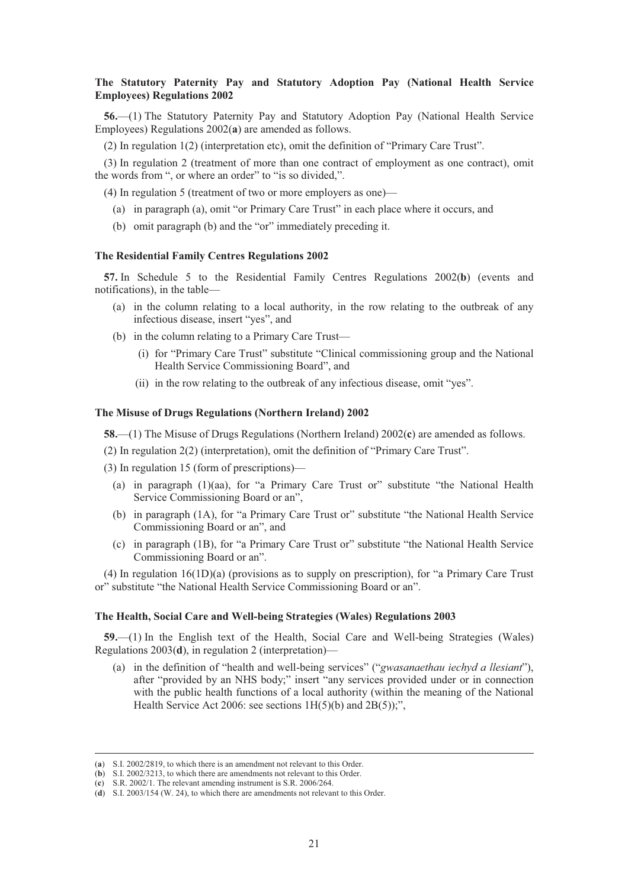# **The Statutory Paternity Pay and Statutory Adoption Pay (National Health Service Employees) Regulations 2002**

**56.**—(1) The Statutory Paternity Pay and Statutory Adoption Pay (National Health Service Employees) Regulations 2002(**a**) are amended as follows.

(2) In regulation 1(2) (interpretation etc), omit the definition of "Primary Care Trust".

(3) In regulation 2 (treatment of more than one contract of employment as one contract), omit the words from ", or where an order" to "is so divided,".

(4) In regulation 5 (treatment of two or more employers as one)—

- (a) in paragraph (a), omit "or Primary Care Trust" in each place where it occurs, and
- (b) omit paragraph (b) and the "or" immediately preceding it.

## **The Residential Family Centres Regulations 2002**

**57.** In Schedule 5 to the Residential Family Centres Regulations 2002(**b**) (events and notifications), in the table—

- (a) in the column relating to a local authority, in the row relating to the outbreak of any infectious disease, insert "yes", and
- (b) in the column relating to a Primary Care Trust—
	- (i) for "Primary Care Trust" substitute "Clinical commissioning group and the National Health Service Commissioning Board", and
	- (ii) in the row relating to the outbreak of any infectious disease, omit "yes".

# **The Misuse of Drugs Regulations (Northern Ireland) 2002**

**58.**—(1) The Misuse of Drugs Regulations (Northern Ireland) 2002(**c**) are amended as follows.

(2) In regulation 2(2) (interpretation), omit the definition of "Primary Care Trust".

(3) In regulation 15 (form of prescriptions)—

- (a) in paragraph (1)(aa), for "a Primary Care Trust or" substitute "the National Health Service Commissioning Board or an",
- (b) in paragraph (1A), for "a Primary Care Trust or" substitute "the National Health Service Commissioning Board or an", and
- (c) in paragraph (1B), for "a Primary Care Trust or" substitute "the National Health Service Commissioning Board or an".

(4) In regulation 16(1D)(a) (provisions as to supply on prescription), for "a Primary Care Trust or" substitute "the National Health Service Commissioning Board or an".

# **The Health, Social Care and Well-being Strategies (Wales) Regulations 2003**

**59.**—(1) In the English text of the Health, Social Care and Well-being Strategies (Wales) Regulations 2003(**d**), in regulation 2 (interpretation)—

(a) in the definition of "health and well-being services" ("*gwasanaethau iechyd a llesiant*"), after "provided by an NHS body;" insert "any services provided under or in connection with the public health functions of a local authority (within the meaning of the National Health Service Act 2006: see sections  $1H(5)(b)$  and  $2B(5)$ ;",

 <sup>(</sup>**a**) S.I. 2002/2819, to which there is an amendment not relevant to this Order.

<sup>(</sup>**b**) S.I. 2002/3213, to which there are amendments not relevant to this Order.

<sup>(</sup>**c**) S.R. 2002/1. The relevant amending instrument is S.R. 2006/264.

<sup>(</sup>**d**) S.I. 2003/154 (W. 24), to which there are amendments not relevant to this Order.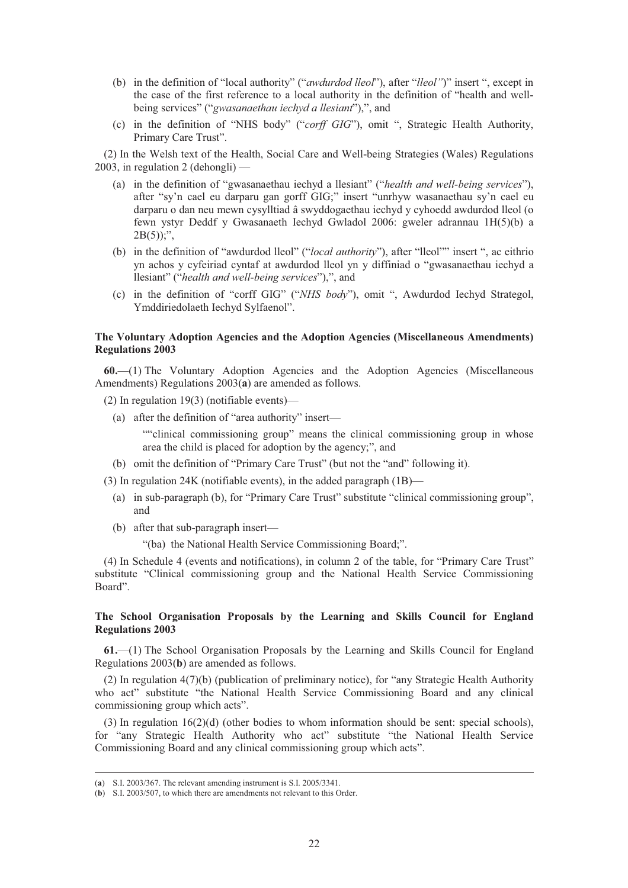- (b) in the definition of "local authority" ("*awdurdod lleol*"), after "*lleol"*)" insert ", except in the case of the first reference to a local authority in the definition of "health and wellbeing services" ("*gwasanaethau iechyd a llesiant*"),", and
- (c) in the definition of "NHS body" ("*corff GIG*"), omit ", Strategic Health Authority, Primary Care Trust".

(2) In the Welsh text of the Health, Social Care and Well-being Strategies (Wales) Regulations 2003, in regulation 2 (dehongli) —

- (a) in the definition of "gwasanaethau iechyd a llesiant" ("*health and well-being services*"), after "sy'n cael eu darparu gan gorff GIG;" insert "unrhyw wasanaethau sy'n cael eu darparu o dan neu mewn cysylltiad â swyddogaethau iechyd y cyhoedd awdurdod lleol (o fewn ystyr Deddf y Gwasanaeth Iechyd Gwladol 2006: gweler adrannau 1H(5)(b) a  $2B(5)$ ;",
- (b) in the definition of "awdurdod lleol" ("*local authority*"), after "lleol"" insert ", ac eithrio yn achos y cyfeiriad cyntaf at awdurdod lleol yn y diffiniad o "gwasanaethau iechyd a llesiant" ("*health and well-being services*"),", and
- (c) in the definition of "corff GIG" ("*NHS body*"), omit ", Awdurdod Iechyd Strategol, Ymddiriedolaeth Iechyd Sylfaenol".

# **The Voluntary Adoption Agencies and the Adoption Agencies (Miscellaneous Amendments) Regulations 2003**

**60.**—(1) The Voluntary Adoption Agencies and the Adoption Agencies (Miscellaneous Amendments) Regulations 2003(**a**) are amended as follows.

(2) In regulation 19(3) (notifiable events)—

(a) after the definition of "area authority" insert—

""clinical commissioning group" means the clinical commissioning group in whose area the child is placed for adoption by the agency;", and

(b) omit the definition of "Primary Care Trust" (but not the "and" following it).

(3) In regulation 24K (notifiable events), in the added paragraph (1B)—

- (a) in sub-paragraph (b), for "Primary Care Trust" substitute "clinical commissioning group", and
- (b) after that sub-paragraph insert—

"(ba) the National Health Service Commissioning Board;".

(4) In Schedule 4 (events and notifications), in column 2 of the table, for "Primary Care Trust" substitute "Clinical commissioning group and the National Health Service Commissioning Board".

# **The School Organisation Proposals by the Learning and Skills Council for England Regulations 2003**

**61.**—(1) The School Organisation Proposals by the Learning and Skills Council for England Regulations 2003(**b**) are amended as follows.

(2) In regulation 4(7)(b) (publication of preliminary notice), for "any Strategic Health Authority who act" substitute "the National Health Service Commissioning Board and any clinical commissioning group which acts".

(3) In regulation 16(2)(d) (other bodies to whom information should be sent: special schools), for "any Strategic Health Authority who act" substitute "the National Health Service Commissioning Board and any clinical commissioning group which acts".

 <sup>(</sup>**a**) S.I. 2003/367. The relevant amending instrument is S.I. 2005/3341.

<sup>(</sup>**b**) S.I. 2003/507, to which there are amendments not relevant to this Order.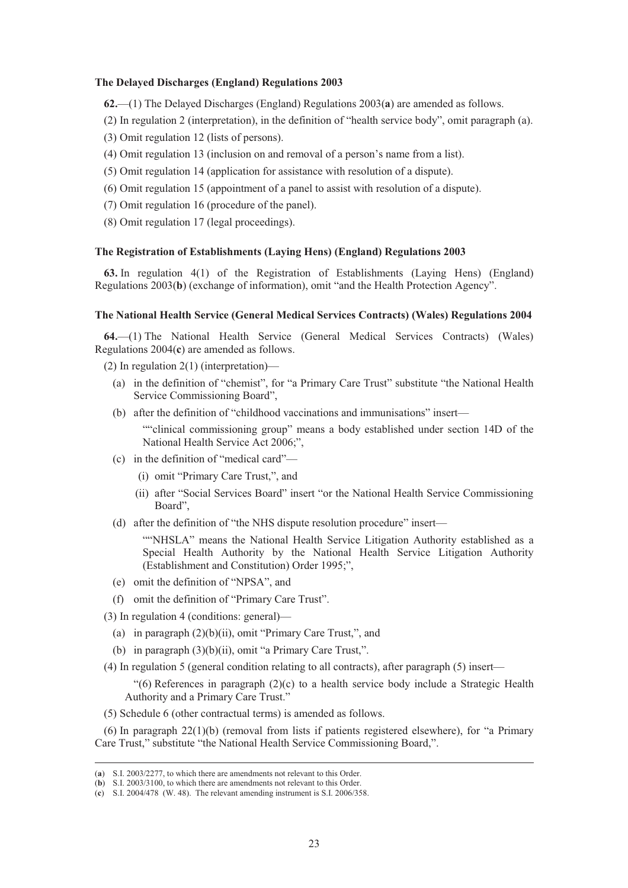## **The Delayed Discharges (England) Regulations 2003**

**62.**—(1) The Delayed Discharges (England) Regulations 2003(**a**) are amended as follows.

- (2) In regulation 2 (interpretation), in the definition of "health service body", omit paragraph (a).
- (3) Omit regulation 12 (lists of persons).
- (4) Omit regulation 13 (inclusion on and removal of a person's name from a list).
- (5) Omit regulation 14 (application for assistance with resolution of a dispute).
- (6) Omit regulation 15 (appointment of a panel to assist with resolution of a dispute).
- (7) Omit regulation 16 (procedure of the panel).
- (8) Omit regulation 17 (legal proceedings).

# **The Registration of Establishments (Laying Hens) (England) Regulations 2003**

**63.** In regulation 4(1) of the Registration of Establishments (Laying Hens) (England) Regulations 2003(**b**) (exchange of information), omit "and the Health Protection Agency".

# **The National Health Service (General Medical Services Contracts) (Wales) Regulations 2004**

**64.**—(1) The National Health Service (General Medical Services Contracts) (Wales) Regulations 2004(**c**) are amended as follows.

- (2) In regulation 2(1) (interpretation)—
	- (a) in the definition of "chemist", for "a Primary Care Trust" substitute "the National Health Service Commissioning Board",
	- (b) after the definition of "childhood vaccinations and immunisations" insert—

""clinical commissioning group" means a body established under section 14D of the National Health Service Act 2006;",

- (c) in the definition of "medical card"—
	- (i) omit "Primary Care Trust,", and
	- (ii) after "Social Services Board" insert "or the National Health Service Commissioning Board",
- (d) after the definition of "the NHS dispute resolution procedure" insert—

""NHSLA" means the National Health Service Litigation Authority established as a Special Health Authority by the National Health Service Litigation Authority (Establishment and Constitution) Order 1995;",

- (e) omit the definition of "NPSA", and
- (f) omit the definition of "Primary Care Trust".
- (3) In regulation 4 (conditions: general)—
	- (a) in paragraph (2)(b)(ii), omit "Primary Care Trust,", and
	- (b) in paragraph (3)(b)(ii), omit "a Primary Care Trust,".
- (4) In regulation 5 (general condition relating to all contracts), after paragraph (5) insert—

"(6) References in paragraph (2)(c) to a health service body include a Strategic Health Authority and a Primary Care Trust."

(5) Schedule 6 (other contractual terms) is amended as follows.

(6) In paragraph 22(1)(b) (removal from lists if patients registered elsewhere), for "a Primary Care Trust," substitute "the National Health Service Commissioning Board,".

 <sup>(</sup>**a**) S.I. 2003/2277, to which there are amendments not relevant to this Order.

<sup>(</sup>**b**) S.I. 2003/3100, to which there are amendments not relevant to this Order.

<sup>(</sup>**c**) S.I. 2004/478 (W. 48). The relevant amending instrument is S.I. 2006/358.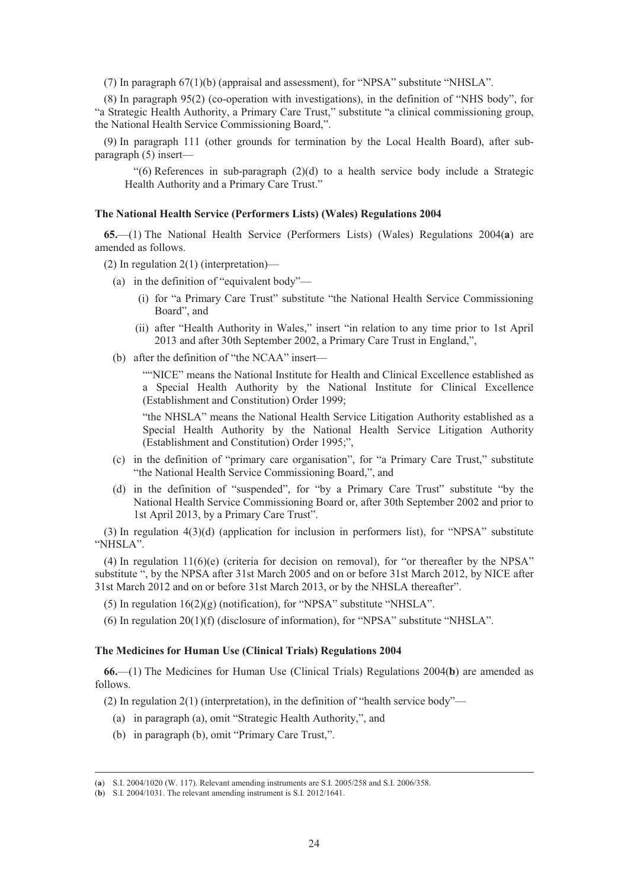(7) In paragraph 67(1)(b) (appraisal and assessment), for "NPSA" substitute "NHSLA".

(8) In paragraph 95(2) (co-operation with investigations), in the definition of "NHS body", for "a Strategic Health Authority, a Primary Care Trust," substitute "a clinical commissioning group, the National Health Service Commissioning Board,".

(9) In paragraph 111 (other grounds for termination by the Local Health Board), after subparagraph (5) insert—

"(6) References in sub-paragraph (2)(d) to a health service body include a Strategic Health Authority and a Primary Care Trust."

# **The National Health Service (Performers Lists) (Wales) Regulations 2004**

**65.**—(1) The National Health Service (Performers Lists) (Wales) Regulations 2004(**a**) are amended as follows.

(2) In regulation 2(1) (interpretation)—

- (a) in the definition of "equivalent body"—
	- (i) for "a Primary Care Trust" substitute "the National Health Service Commissioning Board", and
	- (ii) after "Health Authority in Wales," insert "in relation to any time prior to 1st April 2013 and after 30th September 2002, a Primary Care Trust in England,",
- (b) after the definition of "the NCAA" insert—

""NICE" means the National Institute for Health and Clinical Excellence established as a Special Health Authority by the National Institute for Clinical Excellence (Establishment and Constitution) Order 1999;

"the NHSLA" means the National Health Service Litigation Authority established as a Special Health Authority by the National Health Service Litigation Authority (Establishment and Constitution) Order 1995;",

- (c) in the definition of "primary care organisation", for "a Primary Care Trust," substitute "the National Health Service Commissioning Board,", and
- (d) in the definition of "suspended", for "by a Primary Care Trust" substitute "by the National Health Service Commissioning Board or, after 30th September 2002 and prior to 1st April 2013, by a Primary Care Trust".

(3) In regulation 4(3)(d) (application for inclusion in performers list), for "NPSA" substitute "NHSLA".

(4) In regulation 11(6)(e) (criteria for decision on removal), for "or thereafter by the NPSA" substitute ", by the NPSA after 31st March 2005 and on or before 31st March 2012, by NICE after 31st March 2012 and on or before 31st March 2013, or by the NHSLA thereafter".

(5) In regulation  $16(2)(g)$  (notification), for "NPSA" substitute "NHSLA".

(6) In regulation 20(1)(f) (disclosure of information), for "NPSA" substitute "NHSLA".

# **The Medicines for Human Use (Clinical Trials) Regulations 2004**

**66.**—(1) The Medicines for Human Use (Clinical Trials) Regulations 2004(**b**) are amended as follows.

(2) In regulation 2(1) (interpretation), in the definition of "health service body"—

- (a) in paragraph (a), omit "Strategic Health Authority,", and
- (b) in paragraph (b), omit "Primary Care Trust,".

 <sup>(</sup>**a**) S.I. 2004/1020 (W. 117). Relevant amending instruments are S.I. 2005/258 and S.I. 2006/358.

<sup>(</sup>**b**) S.I. 2004/1031. The relevant amending instrument is S.I. 2012/1641.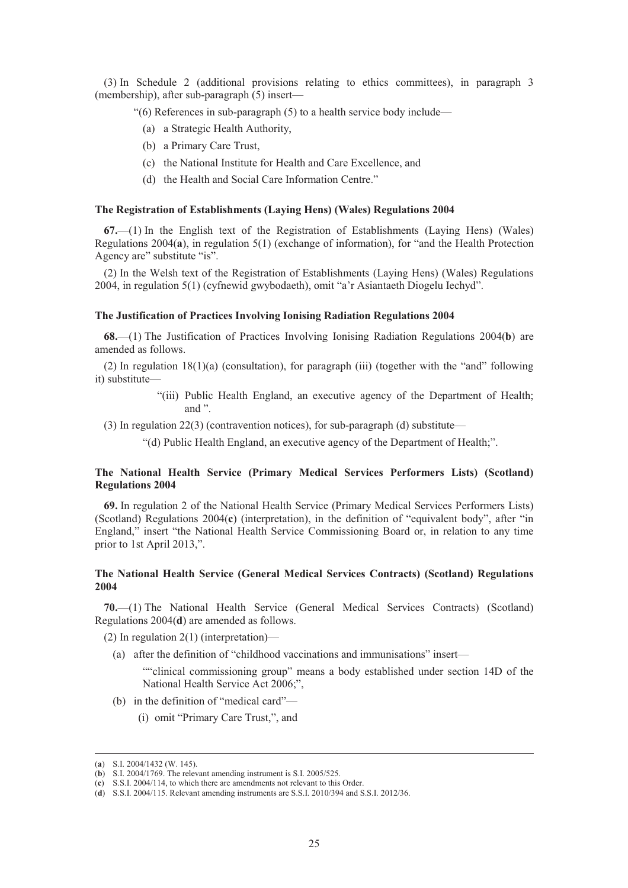(3) In Schedule 2 (additional provisions relating to ethics committees), in paragraph 3 (membership), after sub-paragraph (5) insert—

"(6) References in sub-paragraph (5) to a health service body include—

- (a) a Strategic Health Authority,
- (b) a Primary Care Trust,
- (c) the National Institute for Health and Care Excellence, and
- (d) the Health and Social Care Information Centre."

#### **The Registration of Establishments (Laying Hens) (Wales) Regulations 2004**

**67.**—(1) In the English text of the Registration of Establishments (Laying Hens) (Wales) Regulations 2004(**a**), in regulation 5(1) (exchange of information), for "and the Health Protection Agency are" substitute "is".

(2) In the Welsh text of the Registration of Establishments (Laying Hens) (Wales) Regulations 2004, in regulation 5(1) (cyfnewid gwybodaeth), omit "a'r Asiantaeth Diogelu Iechyd".

# **The Justification of Practices Involving Ionising Radiation Regulations 2004**

**68.**—(1) The Justification of Practices Involving Ionising Radiation Regulations 2004(**b**) are amended as follows.

(2) In regulation 18(1)(a) (consultation), for paragraph (iii) (together with the "and" following it) substitute—

- "(iii) Public Health England, an executive agency of the Department of Health; and ".
- (3) In regulation 22(3) (contravention notices), for sub-paragraph (d) substitute—
	- "(d) Public Health England, an executive agency of the Department of Health;".

# **The National Health Service (Primary Medical Services Performers Lists) (Scotland) Regulations 2004**

**69.** In regulation 2 of the National Health Service (Primary Medical Services Performers Lists) (Scotland) Regulations 2004(**c**) (interpretation), in the definition of "equivalent body", after "in England," insert "the National Health Service Commissioning Board or, in relation to any time prior to 1st April 2013,".

# **The National Health Service (General Medical Services Contracts) (Scotland) Regulations 2004**

**70.**—(1) The National Health Service (General Medical Services Contracts) (Scotland) Regulations 2004(**d**) are amended as follows.

(2) In regulation 2(1) (interpretation)—

(a) after the definition of "childhood vaccinations and immunisations" insert—

""clinical commissioning group" means a body established under section 14D of the National Health Service Act 2006;",

- (b) in the definition of "medical card"—
	- (i) omit "Primary Care Trust,", and

 <sup>(</sup>**a**) S.I. 2004/1432 (W. 145).

<sup>(</sup>**b**) S.I. 2004/1769. The relevant amending instrument is S.I. 2005/525.

<sup>(</sup>**c**) S.S.I. 2004/114, to which there are amendments not relevant to this Order.

<sup>(</sup>**d**) S.S.I. 2004/115. Relevant amending instruments are S.S.I. 2010/394 and S.S.I. 2012/36.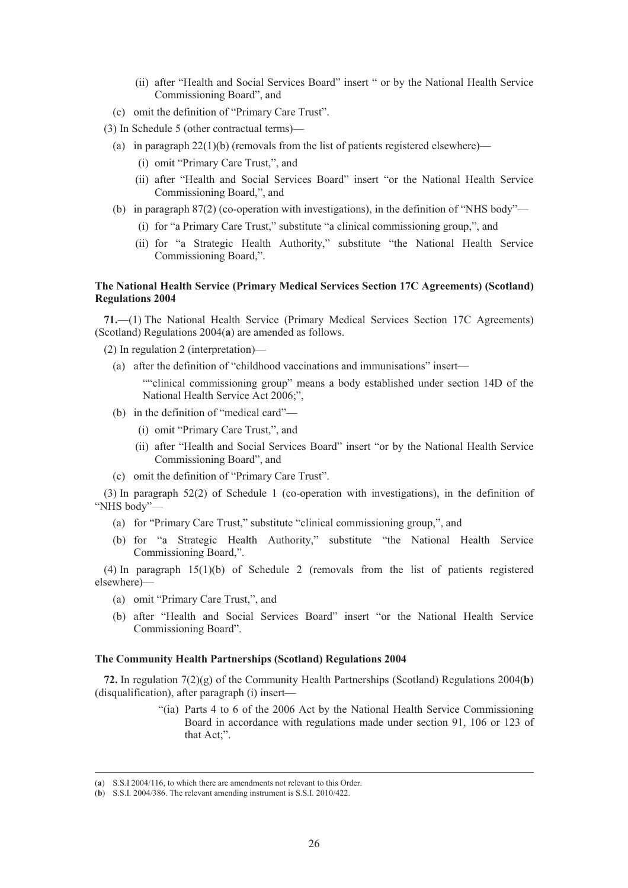- (ii) after "Health and Social Services Board" insert " or by the National Health Service Commissioning Board", and
- (c) omit the definition of "Primary Care Trust".
- (3) In Schedule 5 (other contractual terms)—
	- (a) in paragraph  $22(1)(b)$  (removals from the list of patients registered elsewhere)—
		- (i) omit "Primary Care Trust,", and
		- (ii) after "Health and Social Services Board" insert "or the National Health Service Commissioning Board,", and
	- (b) in paragraph 87(2) (co-operation with investigations), in the definition of "NHS body"—
		- (i) for "a Primary Care Trust," substitute "a clinical commissioning group,", and
		- (ii) for "a Strategic Health Authority," substitute "the National Health Service Commissioning Board,".

# **The National Health Service (Primary Medical Services Section 17C Agreements) (Scotland) Regulations 2004**

**71.**—(1) The National Health Service (Primary Medical Services Section 17C Agreements) (Scotland) Regulations 2004(**a**) are amended as follows.

- (2) In regulation 2 (interpretation)—
	- (a) after the definition of "childhood vaccinations and immunisations" insert—
		- ""clinical commissioning group" means a body established under section 14D of the National Health Service Act 2006;",
	- (b) in the definition of "medical card"—
		- (i) omit "Primary Care Trust,", and
		- (ii) after "Health and Social Services Board" insert "or by the National Health Service Commissioning Board", and
	- (c) omit the definition of "Primary Care Trust".

(3) In paragraph 52(2) of Schedule 1 (co-operation with investigations), in the definition of "NHS body"—

- (a) for "Primary Care Trust," substitute "clinical commissioning group,", and
- (b) for "a Strategic Health Authority," substitute "the National Health Service Commissioning Board,".

(4) In paragraph 15(1)(b) of Schedule 2 (removals from the list of patients registered elsewhere)—

- (a) omit "Primary Care Trust,", and
- (b) after "Health and Social Services Board" insert "or the National Health Service Commissioning Board".

# **The Community Health Partnerships (Scotland) Regulations 2004**

**72.** In regulation 7(2)(g) of the Community Health Partnerships (Scotland) Regulations 2004(**b**) (disqualification), after paragraph (i) insert—

> "(ia) Parts 4 to 6 of the 2006 Act by the National Health Service Commissioning Board in accordance with regulations made under section 91, 106 or 123 of that Act;".

 <sup>(</sup>**a**) S.S.I 2004/116, to which there are amendments not relevant to this Order.

<sup>(</sup>**b**) S.S.I. 2004/386. The relevant amending instrument is S.S.I. 2010/422.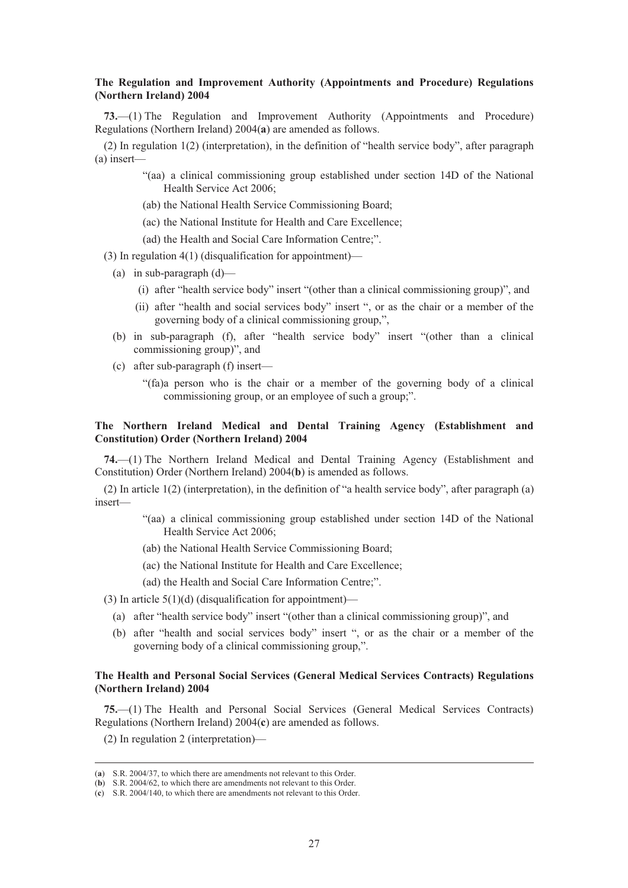# **The Regulation and Improvement Authority (Appointments and Procedure) Regulations (Northern Ireland) 2004**

**73.**—(1) The Regulation and Improvement Authority (Appointments and Procedure) Regulations (Northern Ireland) 2004(**a**) are amended as follows.

(2) In regulation 1(2) (interpretation), in the definition of "health service body", after paragraph (a) insert—

- "(aa) a clinical commissioning group established under section 14D of the National Health Service Act 2006;
- (ab) the National Health Service Commissioning Board;
- (ac) the National Institute for Health and Care Excellence;
- (ad) the Health and Social Care Information Centre;".
- (3) In regulation 4(1) (disqualification for appointment)—
	- (a) in sub-paragraph  $(d)$ 
		- (i) after "health service body" insert "(other than a clinical commissioning group)", and
		- (ii) after "health and social services body" insert ", or as the chair or a member of the governing body of a clinical commissioning group,",
	- (b) in sub-paragraph (f), after "health service body" insert "(other than a clinical commissioning group)", and
	- (c) after sub-paragraph (f) insert—
		- "(fa)a person who is the chair or a member of the governing body of a clinical commissioning group, or an employee of such a group;".

# **The Northern Ireland Medical and Dental Training Agency (Establishment and Constitution) Order (Northern Ireland) 2004**

**74.**—(1) The Northern Ireland Medical and Dental Training Agency (Establishment and Constitution) Order (Northern Ireland) 2004(**b**) is amended as follows.

(2) In article 1(2) (interpretation), in the definition of "a health service body", after paragraph (a) insert—

- "(aa) a clinical commissioning group established under section 14D of the National Health Service Act 2006;
- (ab) the National Health Service Commissioning Board;
- (ac) the National Institute for Health and Care Excellence;
- (ad) the Health and Social Care Information Centre;".

(3) In article  $5(1)(d)$  (disqualification for appointment)—

- (a) after "health service body" insert "(other than a clinical commissioning group)", and
- (b) after "health and social services body" insert ", or as the chair or a member of the governing body of a clinical commissioning group,".

# **The Health and Personal Social Services (General Medical Services Contracts) Regulations (Northern Ireland) 2004**

**75.**—(1) The Health and Personal Social Services (General Medical Services Contracts) Regulations (Northern Ireland) 2004(**c**) are amended as follows.

(2) In regulation 2 (interpretation)—

 <sup>(</sup>**a**) S.R. 2004/37, to which there are amendments not relevant to this Order.

<sup>(</sup>**b**) S.R. 2004/62, to which there are amendments not relevant to this Order.

<sup>(</sup>**c**) S.R. 2004/140, to which there are amendments not relevant to this Order.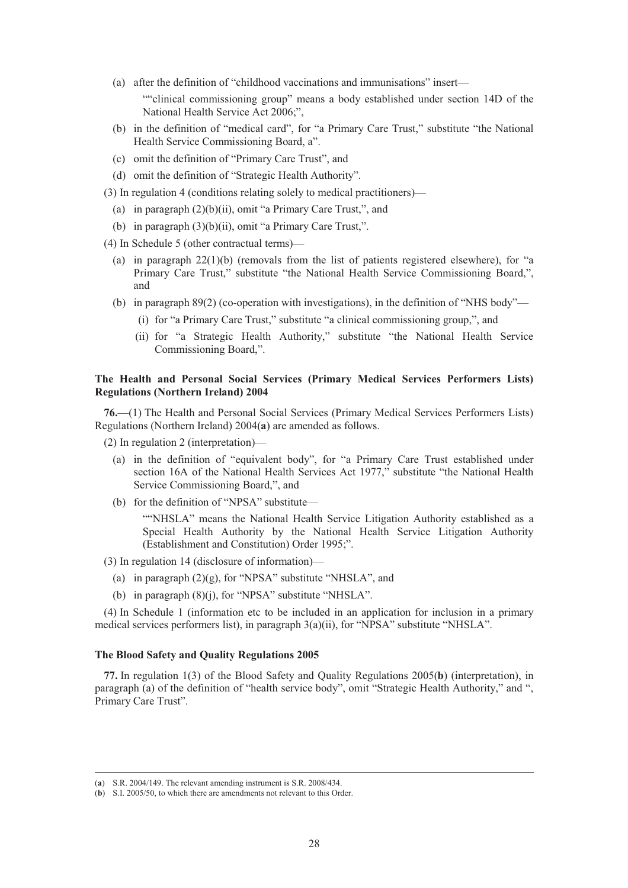(a) after the definition of "childhood vaccinations and immunisations" insert—

""clinical commissioning group" means a body established under section 14D of the National Health Service Act 2006;",

- (b) in the definition of "medical card", for "a Primary Care Trust," substitute "the National Health Service Commissioning Board, a".
- (c) omit the definition of "Primary Care Trust", and
- (d) omit the definition of "Strategic Health Authority".
- (3) In regulation 4 (conditions relating solely to medical practitioners)—
	- (a) in paragraph (2)(b)(ii), omit "a Primary Care Trust,", and
	- (b) in paragraph (3)(b)(ii), omit "a Primary Care Trust,".
- (4) In Schedule 5 (other contractual terms)—
	- (a) in paragraph  $22(1)(b)$  (removals from the list of patients registered elsewhere), for "a Primary Care Trust," substitute "the National Health Service Commissioning Board,", and
	- (b) in paragraph 89(2) (co-operation with investigations), in the definition of "NHS body"—
		- (i) for "a Primary Care Trust," substitute "a clinical commissioning group,", and
		- (ii) for "a Strategic Health Authority," substitute "the National Health Service Commissioning Board,".

# **The Health and Personal Social Services (Primary Medical Services Performers Lists) Regulations (Northern Ireland) 2004**

**76.**—(1) The Health and Personal Social Services (Primary Medical Services Performers Lists) Regulations (Northern Ireland) 2004(**a**) are amended as follows.

(2) In regulation 2 (interpretation)—

- (a) in the definition of "equivalent body", for "a Primary Care Trust established under section 16A of the National Health Services Act 1977," substitute "the National Health Service Commissioning Board,", and
- (b) for the definition of "NPSA" substitute—

""NHSLA" means the National Health Service Litigation Authority established as a Special Health Authority by the National Health Service Litigation Authority (Establishment and Constitution) Order 1995;".

(3) In regulation 14 (disclosure of information)—

- (a) in paragraph  $(2)(g)$ , for "NPSA" substitute "NHSLA", and
- (b) in paragraph (8)(j), for "NPSA" substitute "NHSLA".

(4) In Schedule 1 (information etc to be included in an application for inclusion in a primary medical services performers list), in paragraph 3(a)(ii), for "NPSA" substitute "NHSLA".

# **The Blood Safety and Quality Regulations 2005**

**77.** In regulation 1(3) of the Blood Safety and Quality Regulations 2005(**b**) (interpretation), in paragraph (a) of the definition of "health service body", omit "Strategic Health Authority," and ", Primary Care Trust".

 <sup>(</sup>**a**) S.R. 2004/149. The relevant amending instrument is S.R. 2008/434.

<sup>(</sup>**b**) S.I. 2005/50, to which there are amendments not relevant to this Order.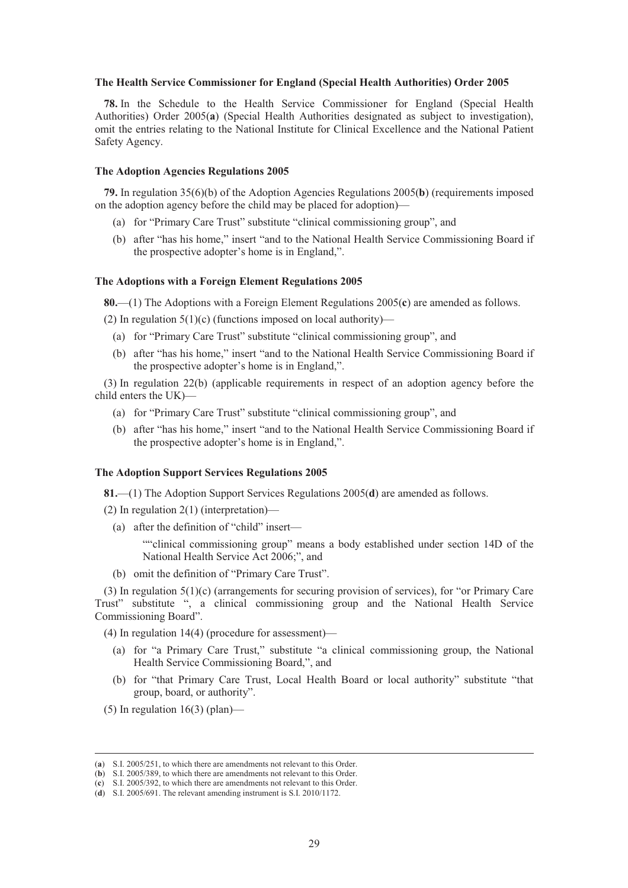#### **The Health Service Commissioner for England (Special Health Authorities) Order 2005**

**78.** In the Schedule to the Health Service Commissioner for England (Special Health Authorities) Order 2005(**a**) (Special Health Authorities designated as subject to investigation), omit the entries relating to the National Institute for Clinical Excellence and the National Patient Safety Agency.

# **The Adoption Agencies Regulations 2005**

**79.** In regulation 35(6)(b) of the Adoption Agencies Regulations 2005(**b**) (requirements imposed on the adoption agency before the child may be placed for adoption)—

- (a) for "Primary Care Trust" substitute "clinical commissioning group", and
- (b) after "has his home," insert "and to the National Health Service Commissioning Board if the prospective adopter's home is in England,".

# **The Adoptions with a Foreign Element Regulations 2005**

**80.**—(1) The Adoptions with a Foreign Element Regulations 2005(**c**) are amended as follows.

(2) In regulation  $5(1)(c)$  (functions imposed on local authority)—

- (a) for "Primary Care Trust" substitute "clinical commissioning group", and
- (b) after "has his home," insert "and to the National Health Service Commissioning Board if the prospective adopter's home is in England,".

(3) In regulation 22(b) (applicable requirements in respect of an adoption agency before the child enters the UK)—

- (a) for "Primary Care Trust" substitute "clinical commissioning group", and
- (b) after "has his home," insert "and to the National Health Service Commissioning Board if the prospective adopter's home is in England,".

# **The Adoption Support Services Regulations 2005**

**81.**—(1) The Adoption Support Services Regulations 2005(**d**) are amended as follows.

- (2) In regulation 2(1) (interpretation)—
	- (a) after the definition of "child" insert—

""clinical commissioning group" means a body established under section 14D of the National Health Service Act 2006;", and

(b) omit the definition of "Primary Care Trust".

(3) In regulation 5(1)(c) (arrangements for securing provision of services), for "or Primary Care Trust" substitute ", a clinical commissioning group and the National Health Service Commissioning Board".

(4) In regulation 14(4) (procedure for assessment)—

- (a) for "a Primary Care Trust," substitute "a clinical commissioning group, the National Health Service Commissioning Board,", and
- (b) for "that Primary Care Trust, Local Health Board or local authority" substitute "that group, board, or authority".
- (5) In regulation  $16(3)$  (plan)—

 <sup>(</sup>**a**) S.I. 2005/251, to which there are amendments not relevant to this Order.

<sup>(</sup>**b**) S.I. 2005/389, to which there are amendments not relevant to this Order.

<sup>(</sup>**c**) S.I. 2005/392, to which there are amendments not relevant to this Order.

<sup>(</sup>**d**) S.I. 2005/691. The relevant amending instrument is S.I. 2010/1172.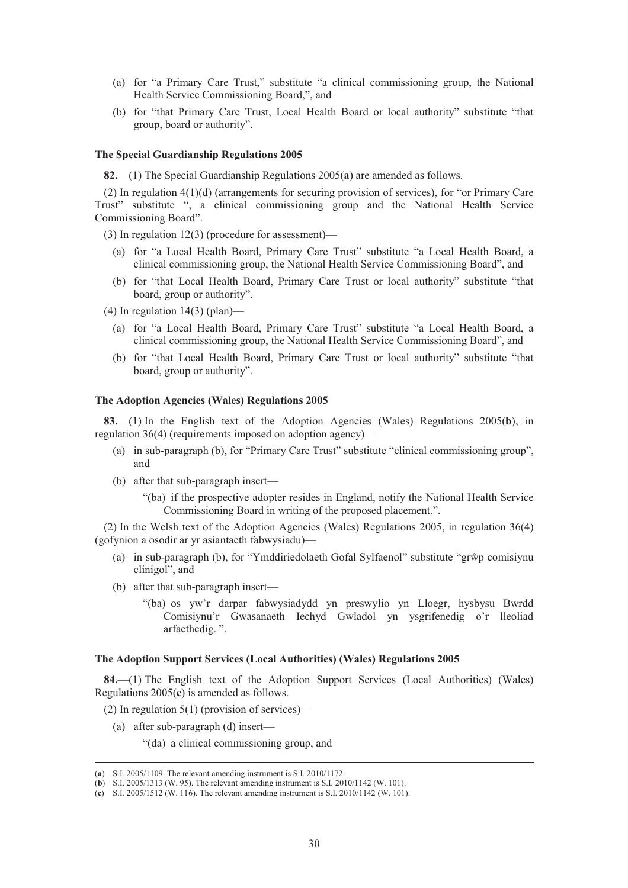- (a) for "a Primary Care Trust," substitute "a clinical commissioning group, the National Health Service Commissioning Board,", and
- (b) for "that Primary Care Trust, Local Health Board or local authority" substitute "that group, board or authority".

#### **The Special Guardianship Regulations 2005**

**82.**—(1) The Special Guardianship Regulations 2005(**a**) are amended as follows.

(2) In regulation 4(1)(d) (arrangements for securing provision of services), for "or Primary Care Trust" substitute ", a clinical commissioning group and the National Health Service Commissioning Board".

(3) In regulation 12(3) (procedure for assessment)—

- (a) for "a Local Health Board, Primary Care Trust" substitute "a Local Health Board, a clinical commissioning group, the National Health Service Commissioning Board", and
- (b) for "that Local Health Board, Primary Care Trust or local authority" substitute "that board, group or authority".
- $(4)$  In regulation 14(3) (plan)—
	- (a) for "a Local Health Board, Primary Care Trust" substitute "a Local Health Board, a clinical commissioning group, the National Health Service Commissioning Board", and
	- (b) for "that Local Health Board, Primary Care Trust or local authority" substitute "that board, group or authority".

# **The Adoption Agencies (Wales) Regulations 2005**

**83.**—(1) In the English text of the Adoption Agencies (Wales) Regulations 2005(**b**), in regulation 36(4) (requirements imposed on adoption agency)—

- (a) in sub-paragraph (b), for "Primary Care Trust" substitute "clinical commissioning group", and
- (b) after that sub-paragraph insert—
	- "(ba) if the prospective adopter resides in England, notify the National Health Service Commissioning Board in writing of the proposed placement.".

(2) In the Welsh text of the Adoption Agencies (Wales) Regulations 2005, in regulation 36(4) (gofynion a osodir ar yr asiantaeth fabwysiadu)—

- (a) in sub-paragraph (b), for "Ymddiriedolaeth Gofal Sylfaenol" substitute "grŵp comisiynu clinigol", and
- (b) after that sub-paragraph insert—
	- "(ba) os yw'r darpar fabwysiadydd yn preswylio yn Lloegr, hysbysu Bwrdd Comisiynu'r Gwasanaeth Iechyd Gwladol yn ysgrifenedig o'r lleoliad arfaethedig. ".

# **The Adoption Support Services (Local Authorities) (Wales) Regulations 2005**

**84.**—(1) The English text of the Adoption Support Services (Local Authorities) (Wales) Regulations 2005(**c**) is amended as follows.

(2) In regulation  $5(1)$  (provision of services)—

(a) after sub-paragraph (d) insert—

"(da) a clinical commissioning group, and

 <sup>(</sup>**a**) S.I. 2005/1109. The relevant amending instrument is S.I. 2010/1172.

<sup>(</sup>**b**) S.I. 2005/1313 (W. 95). The relevant amending instrument is S.I. 2010/1142 (W. 101).

<sup>(</sup>**c**) S.I. 2005/1512 (W. 116). The relevant amending instrument is S.I. 2010/1142 (W. 101).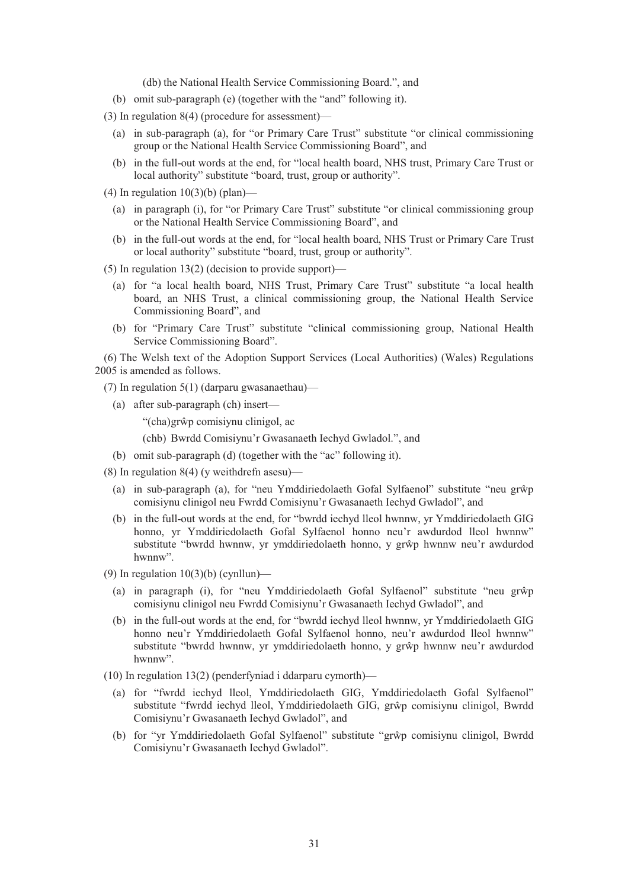(db) the National Health Service Commissioning Board.", and

- (b) omit sub-paragraph (e) (together with the "and" following it).
- (3) In regulation 8(4) (procedure for assessment)—
	- (a) in sub-paragraph (a), for "or Primary Care Trust" substitute "or clinical commissioning group or the National Health Service Commissioning Board", and
	- (b) in the full-out words at the end, for "local health board, NHS trust, Primary Care Trust or local authority" substitute "board, trust, group or authority".
- (4) In regulation  $10(3)(b)$  (plan)—
	- (a) in paragraph (i), for "or Primary Care Trust" substitute "or clinical commissioning group or the National Health Service Commissioning Board", and
	- (b) in the full-out words at the end, for "local health board, NHS Trust or Primary Care Trust or local authority" substitute "board, trust, group or authority".
- (5) In regulation  $13(2)$  (decision to provide support)—
	- (a) for "a local health board, NHS Trust, Primary Care Trust" substitute "a local health board, an NHS Trust, a clinical commissioning group, the National Health Service Commissioning Board", and
	- (b) for "Primary Care Trust" substitute "clinical commissioning group, National Health Service Commissioning Board".

(6) The Welsh text of the Adoption Support Services (Local Authorities) (Wales) Regulations 2005 is amended as follows.

- (7) In regulation 5(1) (darparu gwasanaethau)—
	- (a) after sub-paragraph (ch) insert—

"(cha) grŵp comisiynu clinigol, ac

(chb) Bwrdd Comisiynu'r Gwasanaeth Iechyd Gwladol.", and

- (b) omit sub-paragraph (d) (together with the "ac" following it).
- (8) In regulation 8(4) (y weithdrefn asesu)—
	- (a) in sub-paragraph (a), for "neu Ymddiriedolaeth Gofal Sylfaenol" substitute "neu grŵp comisiynu clinigol neu Fwrdd Comisiynu'r Gwasanaeth Iechyd Gwladol", and
	- (b) in the full-out words at the end, for "bwrdd iechyd lleol hwnnw, yr Ymddiriedolaeth GIG honno, yr Ymddiriedolaeth Gofal Sylfaenol honno neu'r awdurdod lleol hwnnw" substitute "bwrdd hwnnw, yr ymddiriedolaeth honno, y grŵp hwnnw neu'r awdurdod hwnnw".
- (9) In regulation  $10(3)(b)$  (cynllun)—
	- (a) in paragraph (i), for "neu Ymddiriedolaeth Gofal Sylfaenol" substitute "neu grŵp comisiynu clinigol neu Fwrdd Comisiynu'r Gwasanaeth Iechyd Gwladol", and
	- (b) in the full-out words at the end, for "bwrdd iechyd lleol hwnnw, yr Ymddiriedolaeth GIG honno neu'r Ymddiriedolaeth Gofal Sylfaenol honno, neu'r awdurdod lleol hwnnw" substitute "bwrdd hwnnw, yr ymddiriedolaeth honno, y grŵp hwnnw neu'r awdurdod hwnnw".
- (10) In regulation 13(2) (penderfyniad i ddarparu cymorth)—
	- (a) for "fwrdd iechyd lleol, Ymddiriedolaeth GIG, Ymddiriedolaeth Gofal Sylfaenol" substitute "fwrdd iechyd lleol, Ymddiriedolaeth GIG, grŵp comisiynu clinigol, Bwrdd Comisiynu'r Gwasanaeth Iechyd Gwladol", and
	- (b) for "yr Ymddiriedolaeth Gofal Sylfaenol" substitute "grŵp comisiynu clinigol, Bwrdd Comisiynu'r Gwasanaeth Iechyd Gwladol".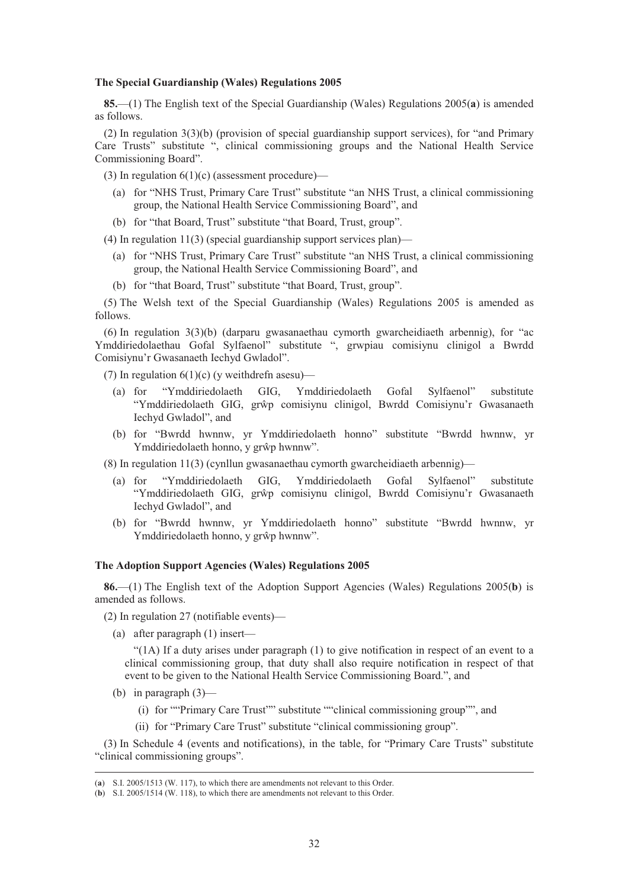#### **The Special Guardianship (Wales) Regulations 2005**

**85.**—(1) The English text of the Special Guardianship (Wales) Regulations 2005(**a**) is amended as follows.

(2) In regulation 3(3)(b) (provision of special guardianship support services), for "and Primary Care Trusts" substitute ", clinical commissioning groups and the National Health Service Commissioning Board".

(3) In regulation  $6(1)(c)$  (assessment procedure)—

- (a) for "NHS Trust, Primary Care Trust" substitute "an NHS Trust, a clinical commissioning group, the National Health Service Commissioning Board", and
- (b) for "that Board, Trust" substitute "that Board, Trust, group".

(4) In regulation 11(3) (special guardianship support services plan)—

- (a) for "NHS Trust, Primary Care Trust" substitute "an NHS Trust, a clinical commissioning group, the National Health Service Commissioning Board", and
- (b) for "that Board, Trust" substitute "that Board, Trust, group".

(5) The Welsh text of the Special Guardianship (Wales) Regulations 2005 is amended as follows.

(6) In regulation 3(3)(b) (darparu gwasanaethau cymorth gwarcheidiaeth arbennig), for "ac Ymddiriedolaethau Gofal Sylfaenol" substitute ", grwpiau comisiynu clinigol a Bwrdd Comisiynu'r Gwasanaeth Iechyd Gwladol".

(7) In regulation  $6(1)(c)$  (y weithdrefn asesu)—

- (a) for "Ymddiriedolaeth GIG, Ymddiriedolaeth Gofal Sylfaenol" substitute "Ymddiriedolaeth GIG, grŵp comisiynu clinigol, Bwrdd Comisiynu'r Gwasanaeth Iechyd Gwladol", and
- (b) for "Bwrdd hwnnw, yr Ymddiriedolaeth honno" substitute "Bwrdd hwnnw, yr Ymddiriedolaeth honno, y grŵp hwnnw".

(8) In regulation 11(3) (cynllun gwasanaethau cymorth gwarcheidiaeth arbennig)—

- (a) for "Ymddiriedolaeth GIG, Ymddiriedolaeth Gofal Sylfaenol" substitute "Ymddiriedolaeth GIG, grŵp comisiynu clinigol, Bwrdd Comisiynu'r Gwasanaeth Iechyd Gwladol", and
- (b) for "Bwrdd hwnnw, yr Ymddiriedolaeth honno" substitute "Bwrdd hwnnw, yr Ymddiriedolaeth honno, y grŵp hwnnw".

# **The Adoption Support Agencies (Wales) Regulations 2005**

**86.**—(1) The English text of the Adoption Support Agencies (Wales) Regulations 2005(**b**) is amended as follows.

(2) In regulation 27 (notifiable events)—

(a) after paragraph (1) insert—

"(1A) If a duty arises under paragraph (1) to give notification in respect of an event to a clinical commissioning group, that duty shall also require notification in respect of that event to be given to the National Health Service Commissioning Board.", and

- (b) in paragraph  $(3)$ 
	- (i) for ""Primary Care Trust"" substitute ""clinical commissioning group"", and
	- (ii) for "Primary Care Trust" substitute "clinical commissioning group".

(3) In Schedule 4 (events and notifications), in the table, for "Primary Care Trusts" substitute "clinical commissioning groups".

 <sup>(</sup>**a**) S.I. 2005/1513 (W. 117), to which there are amendments not relevant to this Order.

<sup>(</sup>**b**) S.I. 2005/1514 (W. 118), to which there are amendments not relevant to this Order.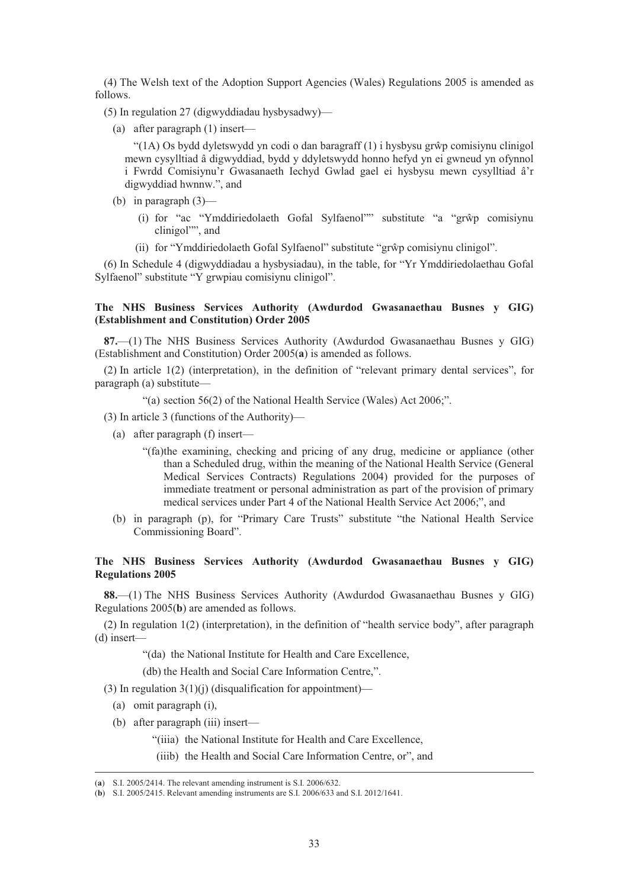(4) The Welsh text of the Adoption Support Agencies (Wales) Regulations 2005 is amended as follows.

(5) In regulation 27 (digwyddiadau hysbysadwy)—

(a) after paragraph (1) insert—

"(1A) Os bydd dyletswydd yn codi o dan baragraff (1) i hysbysu grŵp comisiynu clinigol mewn cysylltiad â digwyddiad, bydd y ddyletswydd honno hefyd yn ei gwneud yn ofynnol i Fwrdd Comisiynu'r Gwasanaeth Iechyd Gwlad gael ei hysbysu mewn cysylltiad â'r digwyddiad hwnnw.", and

- (b) in paragraph (3)—
	- (i) for "ac "Ymddiriedolaeth Gofal Sylfaenol"" substitute "a "grŵp comisiynu clinigol"", and
	- (ii) for "Ymddiriedolaeth Gofal Sylfaenol" substitute "grŵp comisiynu clinigol".

(6) In Schedule 4 (digwyddiadau a hysbysiadau), in the table, for "Yr Ymddiriedolaethau Gofal Sylfaenol" substitute "Y grwpiau comisiynu clinigol".

# **The NHS Business Services Authority (Awdurdod Gwasanaethau Busnes y GIG) (Establishment and Constitution) Order 2005**

**87.**—(1) The NHS Business Services Authority (Awdurdod Gwasanaethau Busnes y GIG) (Establishment and Constitution) Order 2005(**a**) is amended as follows.

(2) In article 1(2) (interpretation), in the definition of "relevant primary dental services", for paragraph (a) substitute—

"(a) section 56(2) of the National Health Service (Wales) Act 2006;".

(3) In article 3 (functions of the Authority)—

- (a) after paragraph (f) insert—
	- "(fa)the examining, checking and pricing of any drug, medicine or appliance (other than a Scheduled drug, within the meaning of the National Health Service (General Medical Services Contracts) Regulations 2004) provided for the purposes of immediate treatment or personal administration as part of the provision of primary medical services under Part 4 of the National Health Service Act 2006;", and
- (b) in paragraph (p), for "Primary Care Trusts" substitute "the National Health Service Commissioning Board".

# **The NHS Business Services Authority (Awdurdod Gwasanaethau Busnes y GIG) Regulations 2005**

**88.**—(1) The NHS Business Services Authority (Awdurdod Gwasanaethau Busnes y GIG) Regulations 2005(**b**) are amended as follows.

(2) In regulation 1(2) (interpretation), in the definition of "health service body", after paragraph (d) insert—

"(da) the National Institute for Health and Care Excellence,

(db) the Health and Social Care Information Centre,".

(3) In regulation  $3(1)(i)$  (disqualification for appointment)—

- (a) omit paragraph (i),
- (b) after paragraph (iii) insert—
	- "(iiia) the National Institute for Health and Care Excellence,
	- (iiib) the Health and Social Care Information Centre, or", and

 <sup>(</sup>**a**) S.I. 2005/2414. The relevant amending instrument is S.I. 2006/632.

<sup>(</sup>**b**) S.I. 2005/2415. Relevant amending instruments are S.I. 2006/633 and S.I. 2012/1641.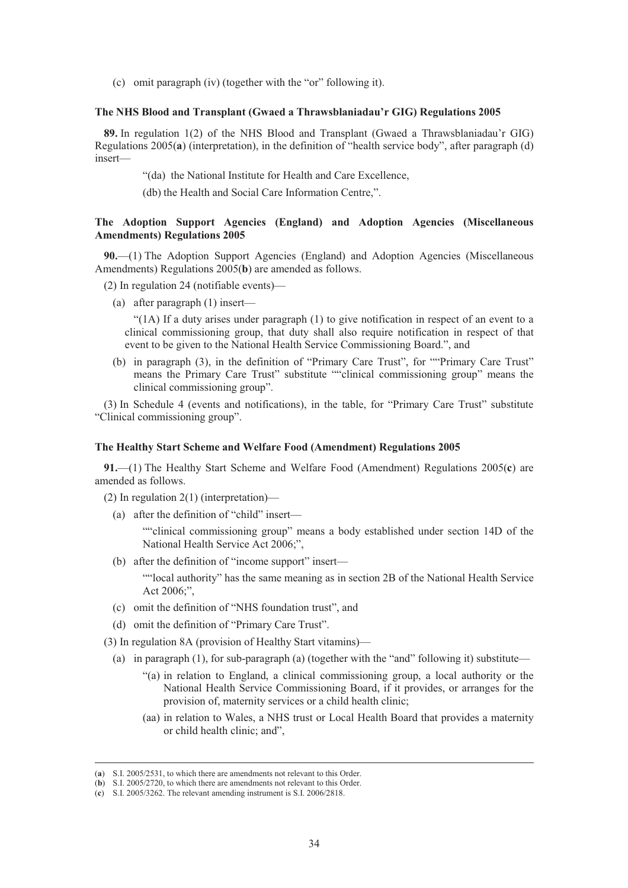(c) omit paragraph (iv) (together with the "or" following it).

#### **The NHS Blood and Transplant (Gwaed a Thrawsblaniadau'r GIG) Regulations 2005**

**89.** In regulation 1(2) of the NHS Blood and Transplant (Gwaed a Thrawsblaniadau'r GIG) Regulations 2005(**a**) (interpretation), in the definition of "health service body", after paragraph (d) insert—

"(da) the National Institute for Health and Care Excellence,

(db) the Health and Social Care Information Centre,".

# **The Adoption Support Agencies (England) and Adoption Agencies (Miscellaneous Amendments) Regulations 2005**

**90.**—(1) The Adoption Support Agencies (England) and Adoption Agencies (Miscellaneous Amendments) Regulations 2005(**b**) are amended as follows.

- (2) In regulation 24 (notifiable events)—
	- (a) after paragraph (1) insert—

"(1A) If a duty arises under paragraph (1) to give notification in respect of an event to a clinical commissioning group, that duty shall also require notification in respect of that event to be given to the National Health Service Commissioning Board.", and

(b) in paragraph (3), in the definition of "Primary Care Trust", for ""Primary Care Trust" means the Primary Care Trust" substitute ""clinical commissioning group" means the clinical commissioning group".

(3) In Schedule 4 (events and notifications), in the table, for "Primary Care Trust" substitute "Clinical commissioning group".

# **The Healthy Start Scheme and Welfare Food (Amendment) Regulations 2005**

**91.**—(1) The Healthy Start Scheme and Welfare Food (Amendment) Regulations 2005(**c**) are amended as follows.

- (2) In regulation 2(1) (interpretation)—
	- (a) after the definition of "child" insert—

""clinical commissioning group" means a body established under section 14D of the National Health Service Act 2006;",

(b) after the definition of "income support" insert—

""local authority" has the same meaning as in section 2B of the National Health Service Act 2006;",

- (c) omit the definition of "NHS foundation trust", and
- (d) omit the definition of "Primary Care Trust".
- (3) In regulation 8A (provision of Healthy Start vitamins)—
	- (a) in paragraph (1), for sub-paragraph (a) (together with the "and" following it) substitute—
		- "(a) in relation to England, a clinical commissioning group, a local authority or the National Health Service Commissioning Board, if it provides, or arranges for the provision of, maternity services or a child health clinic;
		- (aa) in relation to Wales, a NHS trust or Local Health Board that provides a maternity or child health clinic; and",

 <sup>(</sup>**a**) S.I. 2005/2531, to which there are amendments not relevant to this Order.

<sup>(</sup>**b**) S.I. 2005/2720, to which there are amendments not relevant to this Order.

<sup>(</sup>**c**) S.I. 2005/3262. The relevant amending instrument is S.I. 2006/2818.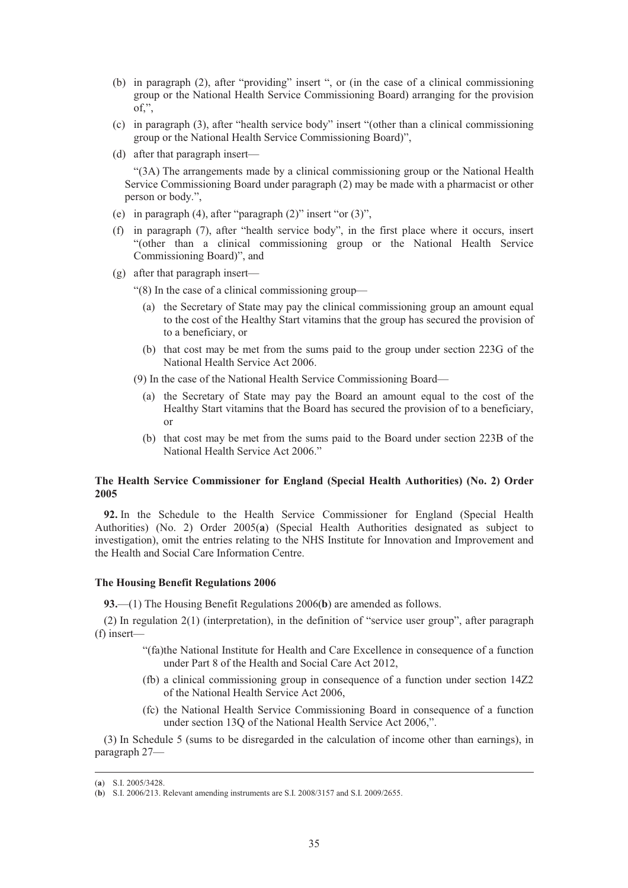- (b) in paragraph (2), after "providing" insert ", or (in the case of a clinical commissioning group or the National Health Service Commissioning Board) arranging for the provision of,",
- (c) in paragraph (3), after "health service body" insert "(other than a clinical commissioning group or the National Health Service Commissioning Board)",
- (d) after that paragraph insert—

"(3A) The arrangements made by a clinical commissioning group or the National Health Service Commissioning Board under paragraph (2) may be made with a pharmacist or other person or body.",

- (e) in paragraph (4), after "paragraph (2)" insert "or (3)",
- (f) in paragraph (7), after "health service body", in the first place where it occurs, insert "(other than a clinical commissioning group or the National Health Service Commissioning Board)", and
- (g) after that paragraph insert—

"(8) In the case of a clinical commissioning group—

- (a) the Secretary of State may pay the clinical commissioning group an amount equal to the cost of the Healthy Start vitamins that the group has secured the provision of to a beneficiary, or
- (b) that cost may be met from the sums paid to the group under section 223G of the National Health Service Act 2006.
- (9) In the case of the National Health Service Commissioning Board—
	- (a) the Secretary of State may pay the Board an amount equal to the cost of the Healthy Start vitamins that the Board has secured the provision of to a beneficiary, or
	- (b) that cost may be met from the sums paid to the Board under section 223B of the National Health Service Act 2006."

# **The Health Service Commissioner for England (Special Health Authorities) (No. 2) Order 2005**

**92.** In the Schedule to the Health Service Commissioner for England (Special Health Authorities) (No. 2) Order 2005(**a**) (Special Health Authorities designated as subject to investigation), omit the entries relating to the NHS Institute for Innovation and Improvement and the Health and Social Care Information Centre.

# **The Housing Benefit Regulations 2006**

**93.**—(1) The Housing Benefit Regulations 2006(**b**) are amended as follows.

(2) In regulation 2(1) (interpretation), in the definition of "service user group", after paragraph (f) insert—

- "(fa)the National Institute for Health and Care Excellence in consequence of a function under Part 8 of the Health and Social Care Act 2012,
- (fb) a clinical commissioning group in consequence of a function under section 14Z2 of the National Health Service Act 2006,
- (fc) the National Health Service Commissioning Board in consequence of a function under section 13Q of the National Health Service Act 2006,".

(3) In Schedule 5 (sums to be disregarded in the calculation of income other than earnings), in paragraph 27—

 <sup>(</sup>**a**) S.I. 2005/3428.

<sup>(</sup>**b**) S.I. 2006/213. Relevant amending instruments are S.I. 2008/3157 and S.I. 2009/2655.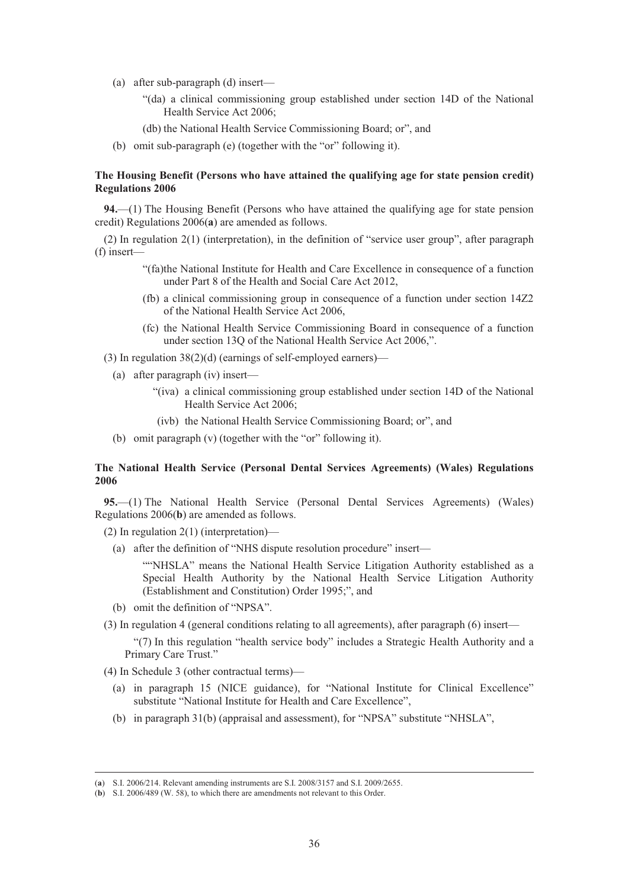- (a) after sub-paragraph (d) insert—
	- "(da) a clinical commissioning group established under section 14D of the National Health Service Act 2006;
	- (db) the National Health Service Commissioning Board; or", and
- (b) omit sub-paragraph (e) (together with the "or" following it).

## **The Housing Benefit (Persons who have attained the qualifying age for state pension credit) Regulations 2006**

**94.**—(1) The Housing Benefit (Persons who have attained the qualifying age for state pension credit) Regulations 2006(**a**) are amended as follows.

(2) In regulation 2(1) (interpretation), in the definition of "service user group", after paragraph (f) insert—

- "(fa)the National Institute for Health and Care Excellence in consequence of a function under Part 8 of the Health and Social Care Act 2012,
- (fb) a clinical commissioning group in consequence of a function under section 14Z2 of the National Health Service Act 2006,
- (fc) the National Health Service Commissioning Board in consequence of a function under section 13Q of the National Health Service Act 2006,".
- (3) In regulation 38(2)(d) (earnings of self-employed earners)—
	- (a) after paragraph (iv) insert—
		- "(iva) a clinical commissioning group established under section 14D of the National Health Service Act 2006;
		- (ivb) the National Health Service Commissioning Board; or", and
	- (b) omit paragraph (v) (together with the "or" following it).

# **The National Health Service (Personal Dental Services Agreements) (Wales) Regulations 2006**

**95.**—(1) The National Health Service (Personal Dental Services Agreements) (Wales) Regulations 2006(**b**) are amended as follows.

(2) In regulation 2(1) (interpretation)—

(a) after the definition of "NHS dispute resolution procedure" insert—

""NHSLA" means the National Health Service Litigation Authority established as a Special Health Authority by the National Health Service Litigation Authority (Establishment and Constitution) Order 1995;", and

- (b) omit the definition of "NPSA".
- (3) In regulation 4 (general conditions relating to all agreements), after paragraph (6) insert—

"(7) In this regulation "health service body" includes a Strategic Health Authority and a Primary Care Trust."

(4) In Schedule 3 (other contractual terms)—

- (a) in paragraph 15 (NICE guidance), for "National Institute for Clinical Excellence" substitute "National Institute for Health and Care Excellence",
- (b) in paragraph 31(b) (appraisal and assessment), for "NPSA" substitute "NHSLA",

 <sup>(</sup>**a**) S.I. 2006/214. Relevant amending instruments are S.I. 2008/3157 and S.I. 2009/2655.

<sup>(</sup>**b**) S.I. 2006/489 (W. 58), to which there are amendments not relevant to this Order.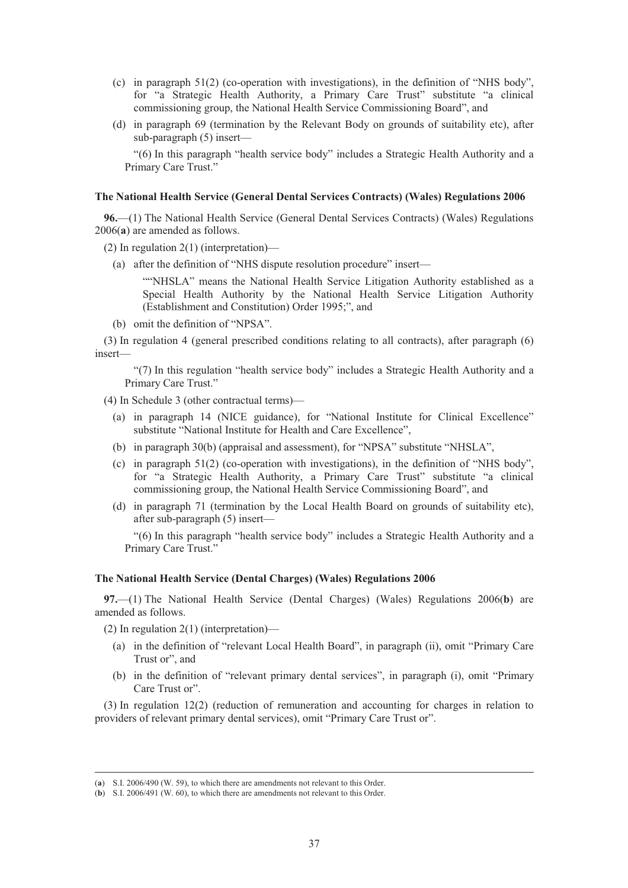- (c) in paragraph 51(2) (co-operation with investigations), in the definition of "NHS body", for "a Strategic Health Authority, a Primary Care Trust" substitute "a clinical commissioning group, the National Health Service Commissioning Board", and
- (d) in paragraph 69 (termination by the Relevant Body on grounds of suitability etc), after sub-paragraph (5) insert—

"(6) In this paragraph "health service body" includes a Strategic Health Authority and a Primary Care Trust."

#### **The National Health Service (General Dental Services Contracts) (Wales) Regulations 2006**

**96.**—(1) The National Health Service (General Dental Services Contracts) (Wales) Regulations 2006(**a**) are amended as follows.

- (2) In regulation 2(1) (interpretation)—
	- (a) after the definition of "NHS dispute resolution procedure" insert—

""NHSLA" means the National Health Service Litigation Authority established as a Special Health Authority by the National Health Service Litigation Authority (Establishment and Constitution) Order 1995;", and

(b) omit the definition of "NPSA".

(3) In regulation 4 (general prescribed conditions relating to all contracts), after paragraph (6) insert—

"(7) In this regulation "health service body" includes a Strategic Health Authority and a Primary Care Trust."

(4) In Schedule 3 (other contractual terms)—

- (a) in paragraph 14 (NICE guidance), for "National Institute for Clinical Excellence" substitute "National Institute for Health and Care Excellence",
- (b) in paragraph 30(b) (appraisal and assessment), for "NPSA" substitute "NHSLA",
- (c) in paragraph 51(2) (co-operation with investigations), in the definition of "NHS body", for "a Strategic Health Authority, a Primary Care Trust" substitute "a clinical commissioning group, the National Health Service Commissioning Board", and
- (d) in paragraph 71 (termination by the Local Health Board on grounds of suitability etc), after sub-paragraph (5) insert—

"(6) In this paragraph "health service body" includes a Strategic Health Authority and a Primary Care Trust."

### **The National Health Service (Dental Charges) (Wales) Regulations 2006**

**97.**—(1) The National Health Service (Dental Charges) (Wales) Regulations 2006(**b**) are amended as follows.

(2) In regulation 2(1) (interpretation)—

- (a) in the definition of "relevant Local Health Board", in paragraph (ii), omit "Primary Care Trust or", and
- (b) in the definition of "relevant primary dental services", in paragraph (i), omit "Primary Care Trust or".

(3) In regulation 12(2) (reduction of remuneration and accounting for charges in relation to providers of relevant primary dental services), omit "Primary Care Trust or".

 <sup>(</sup>**a**) S.I. 2006/490 (W. 59), to which there are amendments not relevant to this Order.

<sup>(</sup>**b**) S.I. 2006/491 (W. 60), to which there are amendments not relevant to this Order.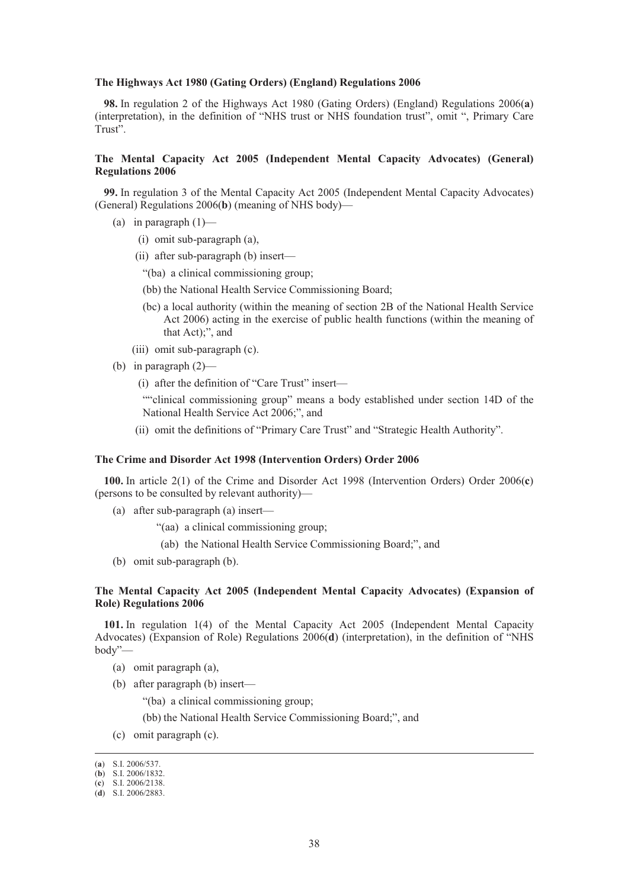#### **The Highways Act 1980 (Gating Orders) (England) Regulations 2006**

**98.** In regulation 2 of the Highways Act 1980 (Gating Orders) (England) Regulations 2006(**a**) (interpretation), in the definition of "NHS trust or NHS foundation trust", omit ", Primary Care Trust".

# **The Mental Capacity Act 2005 (Independent Mental Capacity Advocates) (General) Regulations 2006**

**99.** In regulation 3 of the Mental Capacity Act 2005 (Independent Mental Capacity Advocates) (General) Regulations 2006(**b**) (meaning of NHS body)—

- (a) in paragraph  $(1)$ 
	- (i) omit sub-paragraph (a),
	- (ii) after sub-paragraph (b) insert—
		- "(ba) a clinical commissioning group;
		- (bb) the National Health Service Commissioning Board;
		- (bc) a local authority (within the meaning of section 2B of the National Health Service Act 2006) acting in the exercise of public health functions (within the meaning of that Act);", and
	- (iii) omit sub-paragraph (c).
- (b) in paragraph  $(2)$ 
	- (i) after the definition of "Care Trust" insert—

""clinical commissioning group" means a body established under section 14D of the National Health Service Act 2006;", and

(ii) omit the definitions of "Primary Care Trust" and "Strategic Health Authority".

### **The Crime and Disorder Act 1998 (Intervention Orders) Order 2006**

**100.** In article 2(1) of the Crime and Disorder Act 1998 (Intervention Orders) Order 2006(**c**) (persons to be consulted by relevant authority)—

- (a) after sub-paragraph (a) insert—
	- "(aa) a clinical commissioning group;
	- (ab) the National Health Service Commissioning Board;", and
- (b) omit sub-paragraph (b).

#### **The Mental Capacity Act 2005 (Independent Mental Capacity Advocates) (Expansion of Role) Regulations 2006**

**101.** In regulation 1(4) of the Mental Capacity Act 2005 (Independent Mental Capacity Advocates) (Expansion of Role) Regulations 2006(**d**) (interpretation), in the definition of "NHS body"—

- (a) omit paragraph (a),
- (b) after paragraph (b) insert—
	- "(ba) a clinical commissioning group;

(bb) the National Health Service Commissioning Board;", and

(c) omit paragraph (c).

 <sup>(</sup>**a**) S.I. 2006/537.

<sup>(</sup>**b**) S.I. 2006/1832.

<sup>(</sup>**c**) S.I. 2006/2138.

<sup>(</sup>**d**) S.I. 2006/2883.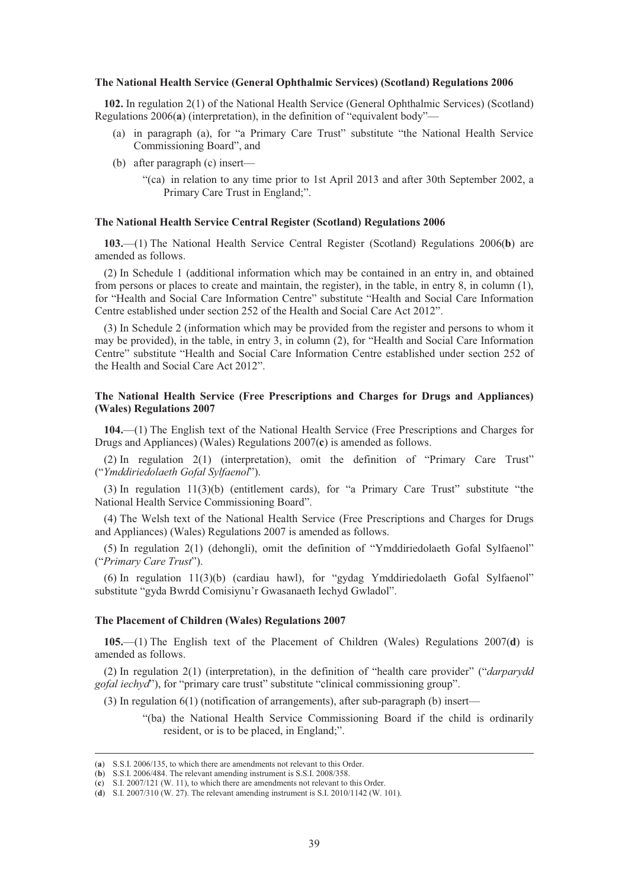#### **The National Health Service (General Ophthalmic Services) (Scotland) Regulations 2006**

**102.** In regulation 2(1) of the National Health Service (General Ophthalmic Services) (Scotland) Regulations 2006(**a**) (interpretation), in the definition of "equivalent body"—

- (a) in paragraph (a), for "a Primary Care Trust" substitute "the National Health Service Commissioning Board", and
- (b) after paragraph (c) insert—
	- "(ca) in relation to any time prior to 1st April 2013 and after 30th September 2002, a Primary Care Trust in England;".

#### **The National Health Service Central Register (Scotland) Regulations 2006**

**103.**—(1) The National Health Service Central Register (Scotland) Regulations 2006(**b**) are amended as follows.

(2) In Schedule 1 (additional information which may be contained in an entry in, and obtained from persons or places to create and maintain, the register), in the table, in entry 8, in column (1), for "Health and Social Care Information Centre" substitute "Health and Social Care Information Centre established under section 252 of the Health and Social Care Act 2012".

(3) In Schedule 2 (information which may be provided from the register and persons to whom it may be provided), in the table, in entry 3, in column (2), for "Health and Social Care Information Centre" substitute "Health and Social Care Information Centre established under section 252 of the Health and Social Care Act 2012".

## **The National Health Service (Free Prescriptions and Charges for Drugs and Appliances) (Wales) Regulations 2007**

**104.**—(1) The English text of the National Health Service (Free Prescriptions and Charges for Drugs and Appliances) (Wales) Regulations 2007(**c**) is amended as follows.

(2) In regulation 2(1) (interpretation), omit the definition of "Primary Care Trust" ("*Ymddiriedolaeth Gofal Sylfaenol*").

(3) In regulation 11(3)(b) (entitlement cards), for "a Primary Care Trust" substitute "the National Health Service Commissioning Board".

(4) The Welsh text of the National Health Service (Free Prescriptions and Charges for Drugs and Appliances) (Wales) Regulations 2007 is amended as follows.

(5) In regulation 2(1) (dehongli), omit the definition of "Ymddiriedolaeth Gofal Sylfaenol" ("*Primary Care Trust*").

(6) In regulation 11(3)(b) (cardiau hawl), for "gydag Ymddiriedolaeth Gofal Sylfaenol" substitute "gyda Bwrdd Comisiynu'r Gwasanaeth Iechyd Gwladol".

#### **The Placement of Children (Wales) Regulations 2007**

**105.**—(1) The English text of the Placement of Children (Wales) Regulations 2007(**d**) is amended as follows.

(2) In regulation 2(1) (interpretation), in the definition of "health care provider" ("*darparydd gofal iechyd*"), for "primary care trust" substitute "clinical commissioning group".

(3) In regulation 6(1) (notification of arrangements), after sub-paragraph (b) insert—

"(ba) the National Health Service Commissioning Board if the child is ordinarily resident, or is to be placed, in England;".

 <sup>(</sup>**a**) S.S.I. 2006/135, to which there are amendments not relevant to this Order.

<sup>(</sup>**b**) S.S.I. 2006/484. The relevant amending instrument is S.S.I. 2008/358.

<sup>(</sup>**c**) S.I. 2007/121 (W. 11), to which there are amendments not relevant to this Order.

<sup>(</sup>**d**) S.I. 2007/310 (W. 27). The relevant amending instrument is S.I. 2010/1142 (W. 101).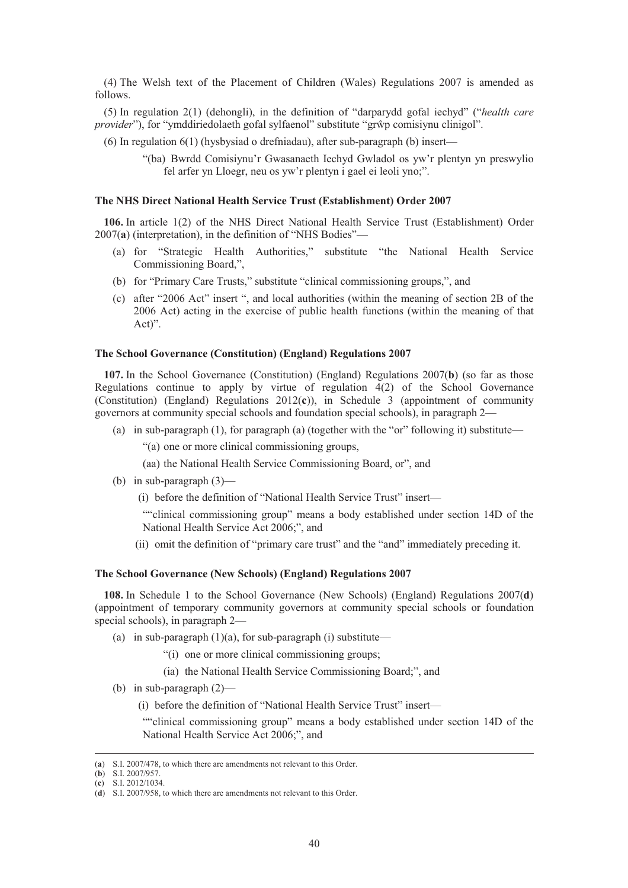(4) The Welsh text of the Placement of Children (Wales) Regulations 2007 is amended as follows.

(5) In regulation 2(1) (dehongli), in the definition of "darparydd gofal iechyd" ("*health care*  provider"), for "ymddiriedolaeth gofal sylfaenol" substitute "grŵp comisiynu clinigol".

(6) In regulation 6(1) (hysbysiad o drefniadau), after sub-paragraph (b) insert—

"(ba) Bwrdd Comisiynu'r Gwasanaeth Iechyd Gwladol os yw'r plentyn yn preswylio fel arfer yn Lloegr, neu os yw'r plentyn i gael ei leoli yno;".

#### **The NHS Direct National Health Service Trust (Establishment) Order 2007**

**106.** In article 1(2) of the NHS Direct National Health Service Trust (Establishment) Order 2007(**a**) (interpretation), in the definition of "NHS Bodies"—

- (a) for "Strategic Health Authorities," substitute "the National Health Service Commissioning Board,",
- (b) for "Primary Care Trusts," substitute "clinical commissioning groups,", and
- (c) after "2006 Act" insert ", and local authorities (within the meaning of section 2B of the 2006 Act) acting in the exercise of public health functions (within the meaning of that Act)".

## **The School Governance (Constitution) (England) Regulations 2007**

**107.** In the School Governance (Constitution) (England) Regulations 2007(**b**) (so far as those Regulations continue to apply by virtue of regulation 4(2) of the School Governance (Constitution) (England) Regulations 2012(**c**)), in Schedule 3 (appointment of community governors at community special schools and foundation special schools), in paragraph 2—

- (a) in sub-paragraph  $(1)$ , for paragraph  $(a)$  (together with the "or" following it) substitute—
	- "(a) one or more clinical commissioning groups,
	- (aa) the National Health Service Commissioning Board, or", and
- (b) in sub-paragraph (3)—

(i) before the definition of "National Health Service Trust" insert—

""clinical commissioning group" means a body established under section 14D of the National Health Service Act 2006;", and

(ii) omit the definition of "primary care trust" and the "and" immediately preceding it.

#### **The School Governance (New Schools) (England) Regulations 2007**

**108.** In Schedule 1 to the School Governance (New Schools) (England) Regulations 2007(**d**) (appointment of temporary community governors at community special schools or foundation special schools), in paragraph 2—

- (a) in sub-paragraph  $(1)(a)$ , for sub-paragraph  $(i)$  substitute—
	- "(i) one or more clinical commissioning groups;
	- (ia) the National Health Service Commissioning Board;", and
- (b) in sub-paragraph (2)—
	- (i) before the definition of "National Health Service Trust" insert—

""clinical commissioning group" means a body established under section 14D of the National Health Service Act 2006;", and

 <sup>(</sup>**a**) S.I. 2007/478, to which there are amendments not relevant to this Order.

<sup>(</sup>**b**) S.I. 2007/957.

<sup>(</sup>**c**) S.I. 2012/1034.

<sup>(</sup>**d**) S.I. 2007/958, to which there are amendments not relevant to this Order.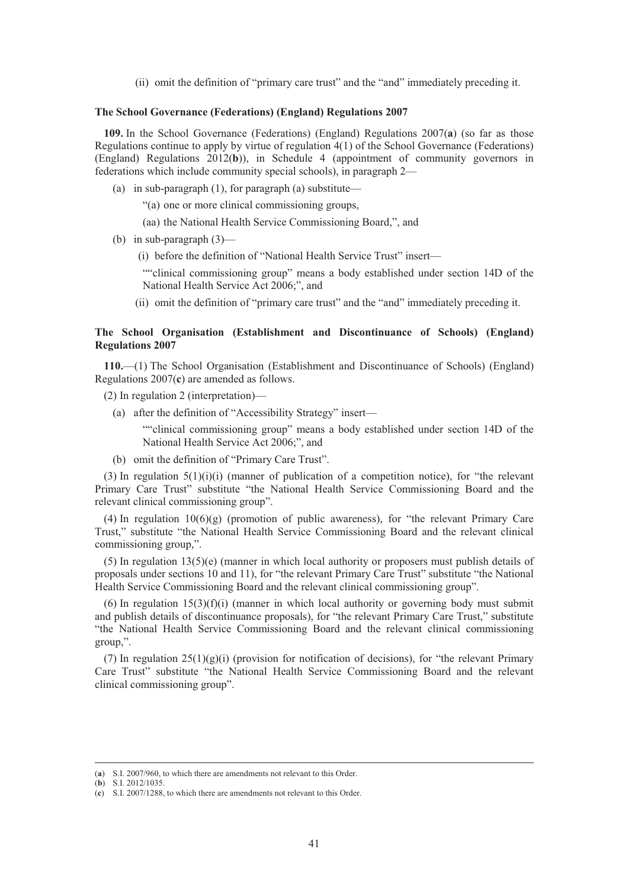(ii) omit the definition of "primary care trust" and the "and" immediately preceding it.

### **The School Governance (Federations) (England) Regulations 2007**

**109.** In the School Governance (Federations) (England) Regulations 2007(**a**) (so far as those Regulations continue to apply by virtue of regulation 4(1) of the School Governance (Federations) (England) Regulations 2012(**b**)), in Schedule 4 (appointment of community governors in federations which include community special schools), in paragraph 2—

(a) in sub-paragraph (1), for paragraph (a) substitute—

"(a) one or more clinical commissioning groups,

(aa) the National Health Service Commissioning Board,", and

(b) in sub-paragraph  $(3)$ —

(i) before the definition of "National Health Service Trust" insert—

""clinical commissioning group" means a body established under section 14D of the National Health Service Act 2006;", and

(ii) omit the definition of "primary care trust" and the "and" immediately preceding it.

# **The School Organisation (Establishment and Discontinuance of Schools) (England) Regulations 2007**

**110.**—(1) The School Organisation (Establishment and Discontinuance of Schools) (England) Regulations 2007(**c**) are amended as follows.

(2) In regulation 2 (interpretation)—

(a) after the definition of "Accessibility Strategy" insert—

""clinical commissioning group" means a body established under section 14D of the National Health Service Act 2006;", and

(b) omit the definition of "Primary Care Trust".

(3) In regulation  $5(1)(i)(i)$  (manner of publication of a competition notice), for "the relevant Primary Care Trust" substitute "the National Health Service Commissioning Board and the relevant clinical commissioning group".

(4) In regulation  $10(6)(g)$  (promotion of public awareness), for "the relevant Primary Care" Trust," substitute "the National Health Service Commissioning Board and the relevant clinical commissioning group,".

(5) In regulation 13(5)(e) (manner in which local authority or proposers must publish details of proposals under sections 10 and 11), for "the relevant Primary Care Trust" substitute "the National Health Service Commissioning Board and the relevant clinical commissioning group".

(6) In regulation  $15(3)(f)(i)$  (manner in which local authority or governing body must submit and publish details of discontinuance proposals), for "the relevant Primary Care Trust," substitute "the National Health Service Commissioning Board and the relevant clinical commissioning group,".

(7) In regulation  $25(1)(g)(i)$  (provision for notification of decisions), for "the relevant Primary Care Trust" substitute "the National Health Service Commissioning Board and the relevant clinical commissioning group".

 <sup>(</sup>**a**) S.I. 2007/960, to which there are amendments not relevant to this Order.

<sup>(</sup>**b**) S.I. 2012/1035.

<sup>(</sup>**c**) S.I. 2007/1288, to which there are amendments not relevant to this Order.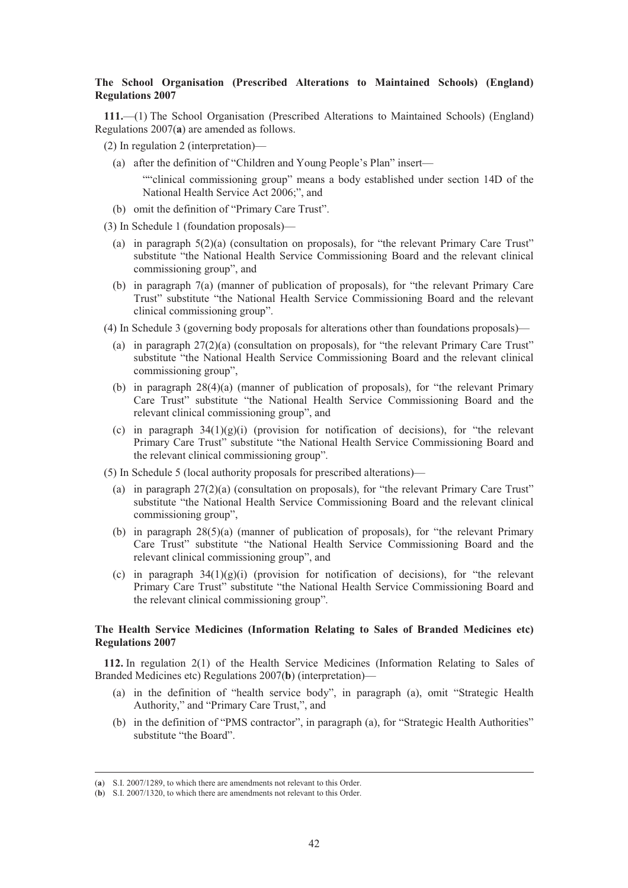# **The School Organisation (Prescribed Alterations to Maintained Schools) (England) Regulations 2007**

**111.**—(1) The School Organisation (Prescribed Alterations to Maintained Schools) (England) Regulations 2007(**a**) are amended as follows.

- (2) In regulation 2 (interpretation)—
	- (a) after the definition of "Children and Young People's Plan" insert—

""clinical commissioning group" means a body established under section 14D of the National Health Service Act 2006;", and

- (b) omit the definition of "Primary Care Trust".
- (3) In Schedule 1 (foundation proposals)—
	- (a) in paragraph 5(2)(a) (consultation on proposals), for "the relevant Primary Care Trust" substitute "the National Health Service Commissioning Board and the relevant clinical commissioning group", and
	- (b) in paragraph 7(a) (manner of publication of proposals), for "the relevant Primary Care Trust" substitute "the National Health Service Commissioning Board and the relevant clinical commissioning group".
- (4) In Schedule 3 (governing body proposals for alterations other than foundations proposals)—
	- (a) in paragraph 27(2)(a) (consultation on proposals), for "the relevant Primary Care Trust" substitute "the National Health Service Commissioning Board and the relevant clinical commissioning group",
	- (b) in paragraph 28(4)(a) (manner of publication of proposals), for "the relevant Primary Care Trust" substitute "the National Health Service Commissioning Board and the relevant clinical commissioning group", and
	- (c) in paragraph  $34(1)(g)(i)$  (provision for notification of decisions), for "the relevant Primary Care Trust" substitute "the National Health Service Commissioning Board and the relevant clinical commissioning group".
- (5) In Schedule 5 (local authority proposals for prescribed alterations)—
	- (a) in paragraph 27(2)(a) (consultation on proposals), for "the relevant Primary Care Trust" substitute "the National Health Service Commissioning Board and the relevant clinical commissioning group",
	- (b) in paragraph 28(5)(a) (manner of publication of proposals), for "the relevant Primary Care Trust" substitute "the National Health Service Commissioning Board and the relevant clinical commissioning group", and
	- (c) in paragraph  $34(1)(g)(i)$  (provision for notification of decisions), for "the relevant Primary Care Trust" substitute "the National Health Service Commissioning Board and the relevant clinical commissioning group".

## **The Health Service Medicines (Information Relating to Sales of Branded Medicines etc) Regulations 2007**

**112.** In regulation 2(1) of the Health Service Medicines (Information Relating to Sales of Branded Medicines etc) Regulations 2007(**b**) (interpretation)—

- (a) in the definition of "health service body", in paragraph (a), omit "Strategic Health Authority," and "Primary Care Trust,", and
- (b) in the definition of "PMS contractor", in paragraph (a), for "Strategic Health Authorities" substitute "the Board".

 <sup>(</sup>**a**) S.I. 2007/1289, to which there are amendments not relevant to this Order.

<sup>(</sup>**b**) S.I. 2007/1320, to which there are amendments not relevant to this Order.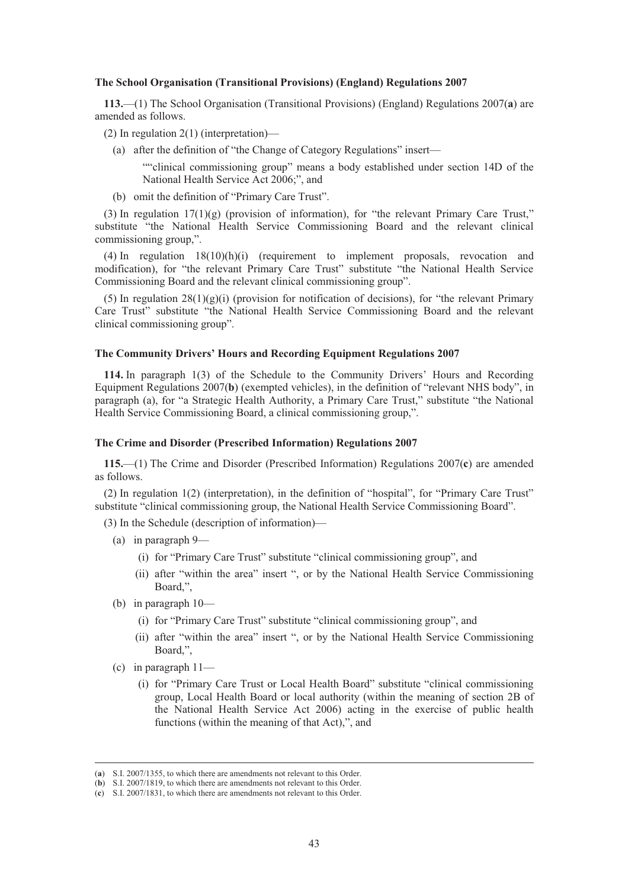#### **The School Organisation (Transitional Provisions) (England) Regulations 2007**

**113.**—(1) The School Organisation (Transitional Provisions) (England) Regulations 2007(**a**) are amended as follows.

- (2) In regulation 2(1) (interpretation)—
	- (a) after the definition of "the Change of Category Regulations" insert—

""clinical commissioning group" means a body established under section 14D of the National Health Service Act 2006;", and

(b) omit the definition of "Primary Care Trust".

(3) In regulation  $17(1)(g)$  (provision of information), for "the relevant Primary Care Trust," substitute "the National Health Service Commissioning Board and the relevant clinical commissioning group,".

 $(4)$  In regulation  $18(10)(h)(i)$  (requirement to implement proposals, revocation and modification), for "the relevant Primary Care Trust" substitute "the National Health Service Commissioning Board and the relevant clinical commissioning group".

(5) In regulation  $28(1)(g)(i)$  (provision for notification of decisions), for "the relevant Primary Care Trust" substitute "the National Health Service Commissioning Board and the relevant clinical commissioning group".

#### **The Community Drivers' Hours and Recording Equipment Regulations 2007**

**114.** In paragraph 1(3) of the Schedule to the Community Drivers' Hours and Recording Equipment Regulations 2007(**b**) (exempted vehicles), in the definition of "relevant NHS body", in paragraph (a), for "a Strategic Health Authority, a Primary Care Trust," substitute "the National Health Service Commissioning Board, a clinical commissioning group,".

## **The Crime and Disorder (Prescribed Information) Regulations 2007**

**115.**—(1) The Crime and Disorder (Prescribed Information) Regulations 2007(**c**) are amended as follows.

(2) In regulation 1(2) (interpretation), in the definition of "hospital", for "Primary Care Trust" substitute "clinical commissioning group, the National Health Service Commissioning Board".

(3) In the Schedule (description of information)—

- (a) in paragraph 9—
	- (i) for "Primary Care Trust" substitute "clinical commissioning group", and
	- (ii) after "within the area" insert ", or by the National Health Service Commissioning Board,",
- (b) in paragraph 10—
	- (i) for "Primary Care Trust" substitute "clinical commissioning group", and
	- (ii) after "within the area" insert ", or by the National Health Service Commissioning Board,",
- (c) in paragraph 11—
	- (i) for "Primary Care Trust or Local Health Board" substitute "clinical commissioning group, Local Health Board or local authority (within the meaning of section 2B of the National Health Service Act 2006) acting in the exercise of public health functions (within the meaning of that Act),", and

 <sup>(</sup>**a**) S.I. 2007/1355, to which there are amendments not relevant to this Order.

<sup>(</sup>**b**) S.I. 2007/1819, to which there are amendments not relevant to this Order.

<sup>(</sup>**c**) S.I. 2007/1831, to which there are amendments not relevant to this Order.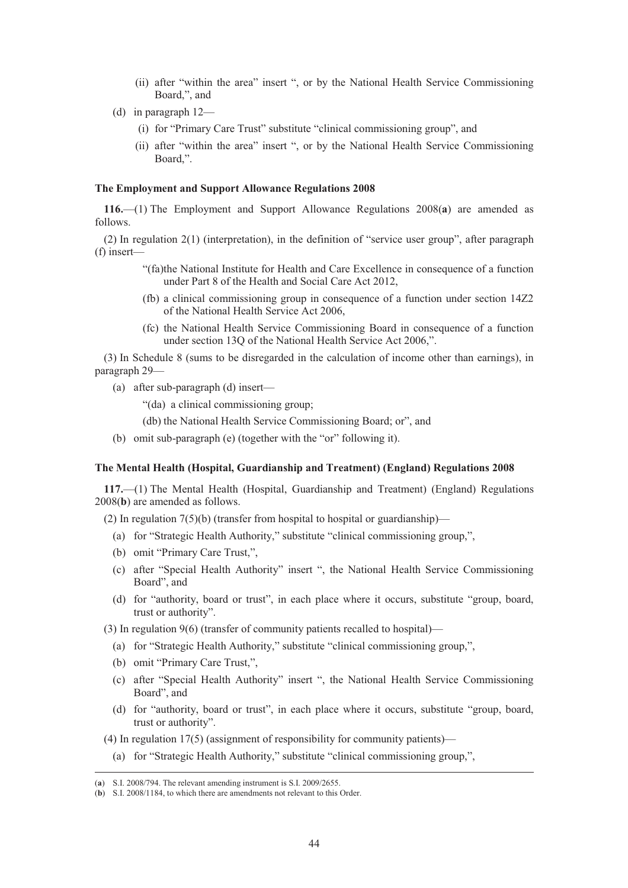- (ii) after "within the area" insert ", or by the National Health Service Commissioning Board,", and
- (d) in paragraph 12—
	- (i) for "Primary Care Trust" substitute "clinical commissioning group", and
	- (ii) after "within the area" insert ", or by the National Health Service Commissioning Board,".

#### **The Employment and Support Allowance Regulations 2008**

**116.**—(1) The Employment and Support Allowance Regulations 2008(**a**) are amended as follows.

(2) In regulation 2(1) (interpretation), in the definition of "service user group", after paragraph (f) insert—

- "(fa)the National Institute for Health and Care Excellence in consequence of a function under Part 8 of the Health and Social Care Act 2012,
- (fb) a clinical commissioning group in consequence of a function under section 14Z2 of the National Health Service Act 2006,
- (fc) the National Health Service Commissioning Board in consequence of a function under section 13Q of the National Health Service Act 2006,".

(3) In Schedule 8 (sums to be disregarded in the calculation of income other than earnings), in paragraph 29—

(a) after sub-paragraph (d) insert—

"(da) a clinical commissioning group;

(db) the National Health Service Commissioning Board; or", and

(b) omit sub-paragraph (e) (together with the "or" following it).

#### **The Mental Health (Hospital, Guardianship and Treatment) (England) Regulations 2008**

**117.**—(1) The Mental Health (Hospital, Guardianship and Treatment) (England) Regulations 2008(**b**) are amended as follows.

(2) In regulation  $7(5)(b)$  (transfer from hospital to hospital or guardianship)—

- (a) for "Strategic Health Authority," substitute "clinical commissioning group,",
- (b) omit "Primary Care Trust,",
- (c) after "Special Health Authority" insert ", the National Health Service Commissioning Board", and
- (d) for "authority, board or trust", in each place where it occurs, substitute "group, board, trust or authority".

(3) In regulation 9(6) (transfer of community patients recalled to hospital)—

- (a) for "Strategic Health Authority," substitute "clinical commissioning group,",
- (b) omit "Primary Care Trust,",
- (c) after "Special Health Authority" insert ", the National Health Service Commissioning Board", and
- (d) for "authority, board or trust", in each place where it occurs, substitute "group, board, trust or authority".

(4) In regulation 17(5) (assignment of responsibility for community patients)—

(a) for "Strategic Health Authority," substitute "clinical commissioning group,",

 <sup>(</sup>**a**) S.I. 2008/794. The relevant amending instrument is S.I. 2009/2655.

<sup>(</sup>**b**) S.I. 2008/1184, to which there are amendments not relevant to this Order.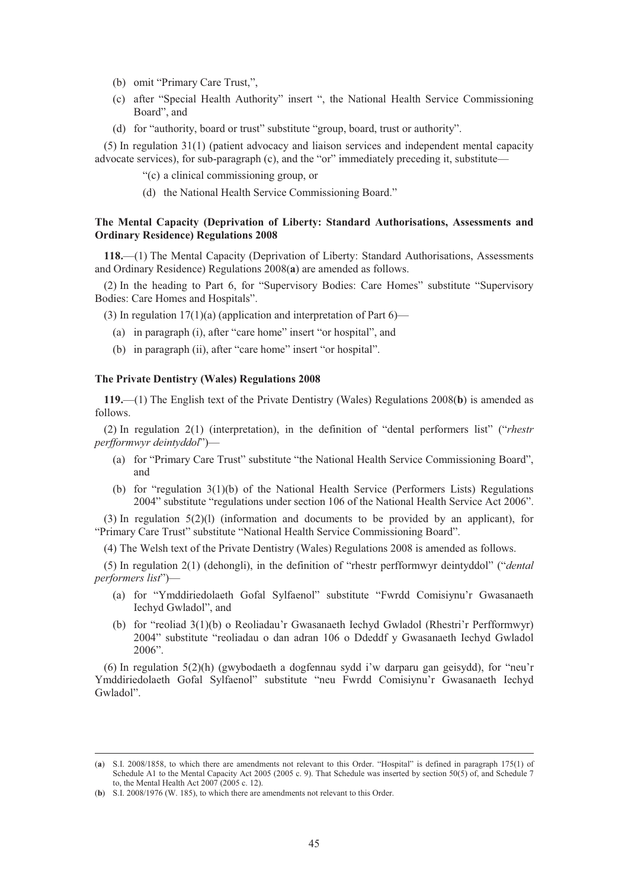- (b) omit "Primary Care Trust,",
- (c) after "Special Health Authority" insert ", the National Health Service Commissioning Board", and
- (d) for "authority, board or trust" substitute "group, board, trust or authority".

(5) In regulation 31(1) (patient advocacy and liaison services and independent mental capacity advocate services), for sub-paragraph (c), and the "or" immediately preceding it, substitute—

- "(c) a clinical commissioning group, or
- (d) the National Health Service Commissioning Board."

# **The Mental Capacity (Deprivation of Liberty: Standard Authorisations, Assessments and Ordinary Residence) Regulations 2008**

**118.**—(1) The Mental Capacity (Deprivation of Liberty: Standard Authorisations, Assessments and Ordinary Residence) Regulations 2008(**a**) are amended as follows.

(2) In the heading to Part 6, for "Supervisory Bodies: Care Homes" substitute "Supervisory Bodies: Care Homes and Hospitals".

(3) In regulation  $17(1)(a)$  (application and interpretation of Part 6)—

- (a) in paragraph (i), after "care home" insert "or hospital", and
- (b) in paragraph (ii), after "care home" insert "or hospital".

### **The Private Dentistry (Wales) Regulations 2008**

**119.**—(1) The English text of the Private Dentistry (Wales) Regulations 2008(**b**) is amended as follows.

(2) In regulation 2(1) (interpretation), in the definition of "dental performers list" ("*rhestr perfformwyr deintyddol*")—

- (a) for "Primary Care Trust" substitute "the National Health Service Commissioning Board", and
- (b) for "regulation 3(1)(b) of the National Health Service (Performers Lists) Regulations 2004" substitute "regulations under section 106 of the National Health Service Act 2006".

(3) In regulation 5(2)(l) (information and documents to be provided by an applicant), for "Primary Care Trust" substitute "National Health Service Commissioning Board".

(4) The Welsh text of the Private Dentistry (Wales) Regulations 2008 is amended as follows.

(5) In regulation 2(1) (dehongli), in the definition of "rhestr perfformwyr deintyddol" ("*dental performers list*")—

- (a) for "Ymddiriedolaeth Gofal Sylfaenol" substitute "Fwrdd Comisiynu'r Gwasanaeth Iechyd Gwladol", and
- (b) for "reoliad 3(1)(b) o Reoliadau'r Gwasanaeth Iechyd Gwladol (Rhestri'r Perfformwyr) 2004" substitute "reoliadau o dan adran 106 o Ddeddf y Gwasanaeth Iechyd Gwladol 2006".

(6) In regulation 5(2)(h) (gwybodaeth a dogfennau sydd i'w darparu gan geisydd), for "neu'r Ymddiriedolaeth Gofal Sylfaenol" substitute "neu Fwrdd Comisiynu'r Gwasanaeth Iechyd Gwladol".

 <sup>(</sup>**a**) S.I. 2008/1858, to which there are amendments not relevant to this Order. "Hospital" is defined in paragraph 175(1) of Schedule A1 to the Mental Capacity Act 2005 (2005 c. 9). That Schedule was inserted by section 50(5) of, and Schedule 7 to, the Mental Health Act 2007 (2005 c. 12).

<sup>(</sup>**b**) S.I. 2008/1976 (W. 185), to which there are amendments not relevant to this Order.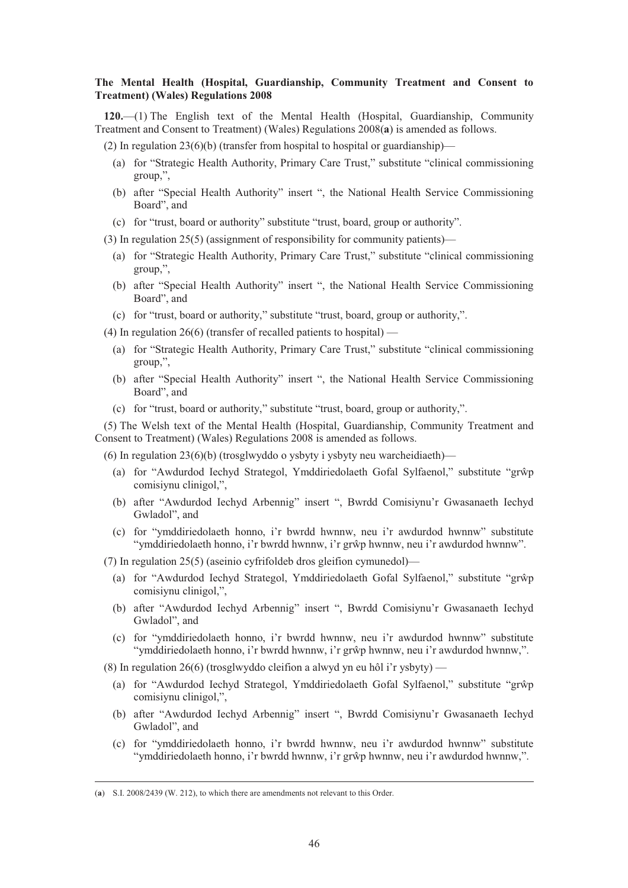# **The Mental Health (Hospital, Guardianship, Community Treatment and Consent to Treatment) (Wales) Regulations 2008**

**120.**—(1) The English text of the Mental Health (Hospital, Guardianship, Community Treatment and Consent to Treatment) (Wales) Regulations 2008(**a**) is amended as follows.

- (2) In regulation  $23(6)(b)$  (transfer from hospital to hospital or guardianship)—
	- (a) for "Strategic Health Authority, Primary Care Trust," substitute "clinical commissioning group,",
	- (b) after "Special Health Authority" insert ", the National Health Service Commissioning Board", and
	- (c) for "trust, board or authority" substitute "trust, board, group or authority".

(3) In regulation 25(5) (assignment of responsibility for community patients)—

- (a) for "Strategic Health Authority, Primary Care Trust," substitute "clinical commissioning group,",
- (b) after "Special Health Authority" insert ", the National Health Service Commissioning Board", and
- (c) for "trust, board or authority," substitute "trust, board, group or authority,".

(4) In regulation 26(6) (transfer of recalled patients to hospital) —

- (a) for "Strategic Health Authority, Primary Care Trust," substitute "clinical commissioning group,",
- (b) after "Special Health Authority" insert ", the National Health Service Commissioning Board", and
- (c) for "trust, board or authority," substitute "trust, board, group or authority,".

(5) The Welsh text of the Mental Health (Hospital, Guardianship, Community Treatment and Consent to Treatment) (Wales) Regulations 2008 is amended as follows.

(6) In regulation 23(6)(b) (trosglwyddo o ysbyty i ysbyty neu warcheidiaeth)—

- (a) for "Awdurdod Iechyd Strategol, Ymddiriedolaeth Gofal Sylfaenol," substitute "grŵp comisiynu clinigol,",
- (b) after "Awdurdod Iechyd Arbennig" insert ", Bwrdd Comisiynu'r Gwasanaeth Iechyd Gwladol", and
- (c) for "ymddiriedolaeth honno, i'r bwrdd hwnnw, neu i'r awdurdod hwnnw" substitute "ymddiriedolaeth honno, i'r bwrdd hwnnw, i'r grŵp hwnnw, neu i'r awdurdod hwnnw".

(7) In regulation 25(5) (aseinio cyfrifoldeb dros gleifion cymunedol)—

- (a) for "Awdurdod Iechyd Strategol, Ymddiriedolaeth Gofal Sylfaenol," substitute "grŵp comisiynu clinigol,",
- (b) after "Awdurdod Iechyd Arbennig" insert ", Bwrdd Comisiynu'r Gwasanaeth Iechyd Gwladol", and
- (c) for "ymddiriedolaeth honno, i'r bwrdd hwnnw, neu i'r awdurdod hwnnw" substitute "ymddiriedolaeth honno, i'r bwrdd hwnnw, i'r grŵp hwnnw, neu i'r awdurdod hwnnw,".

(8) In regulation 26(6) (trosglwyddo cleifion a alwyd yn eu hôl i'r ysbyty) —

- (a) for "Awdurdod Iechyd Strategol, Ymddiriedolaeth Gofal Sylfaenol," substitute "grŵp comisiynu clinigol,",
- (b) after "Awdurdod Iechyd Arbennig" insert ", Bwrdd Comisiynu'r Gwasanaeth Iechyd Gwladol", and
- (c) for "ymddiriedolaeth honno, i'r bwrdd hwnnw, neu i'r awdurdod hwnnw" substitute "ymddiriedolaeth honno, i'r bwrdd hwnnw, i'r grŵp hwnnw, neu i'r awdurdod hwnnw,".

 <sup>(</sup>**a**) S.I. 2008/2439 (W. 212), to which there are amendments not relevant to this Order.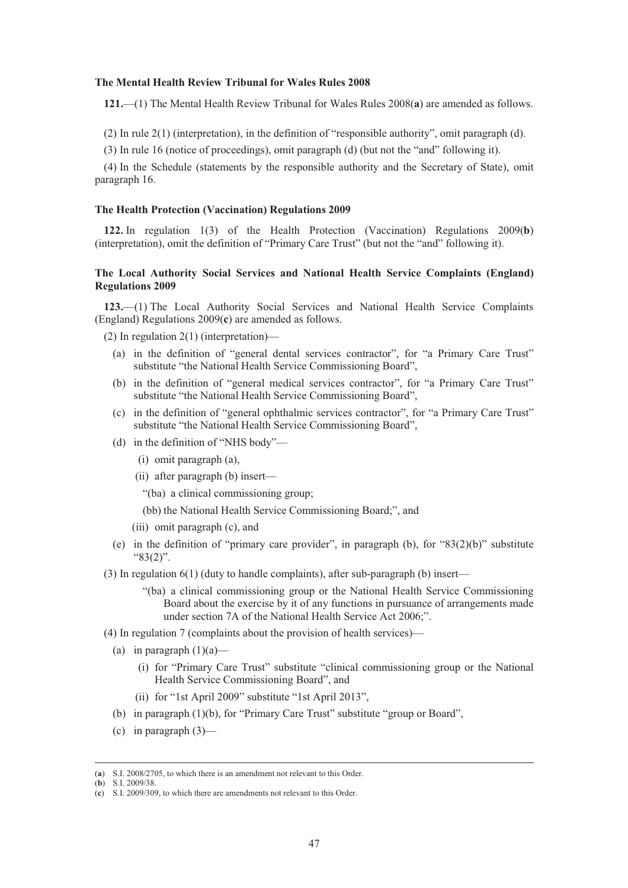#### **The Mental Health Review Tribunal for Wales Rules 2008**

**121.**—(1) The Mental Health Review Tribunal for Wales Rules 2008(**a**) are amended as follows.

(2) In rule 2(1) (interpretation), in the definition of "responsible authority", omit paragraph (d).

(3) In rule 16 (notice of proceedings), omit paragraph (d) (but not the "and" following it).

(4) In the Schedule (statements by the responsible authority and the Secretary of State), omit paragraph 16.

#### **The Health Protection (Vaccination) Regulations 2009**

**122.** In regulation 1(3) of the Health Protection (Vaccination) Regulations 2009(**b**) (interpretation), omit the definition of "Primary Care Trust" (but not the "and" following it).

## **The Local Authority Social Services and National Health Service Complaints (England) Regulations 2009**

**123.**—(1) The Local Authority Social Services and National Health Service Complaints (England) Regulations 2009(**c**) are amended as follows.

(2) In regulation 2(1) (interpretation)—

- (a) in the definition of "general dental services contractor", for "a Primary Care Trust" substitute "the National Health Service Commissioning Board",
- (b) in the definition of "general medical services contractor", for "a Primary Care Trust" substitute "the National Health Service Commissioning Board",
- (c) in the definition of "general ophthalmic services contractor", for "a Primary Care Trust" substitute "the National Health Service Commissioning Board",
- (d) in the definition of "NHS body"—
	- (i) omit paragraph (a),
	- (ii) after paragraph (b) insert—
		- "(ba) a clinical commissioning group;
		- (bb) the National Health Service Commissioning Board;", and
	- (iii) omit paragraph (c), and
- (e) in the definition of "primary care provider", in paragraph (b), for "83(2)(b)" substitute "83(2)".
- (3) In regulation 6(1) (duty to handle complaints), after sub-paragraph (b) insert—
	- "(ba) a clinical commissioning group or the National Health Service Commissioning Board about the exercise by it of any functions in pursuance of arrangements made under section 7A of the National Health Service Act 2006;".
- (4) In regulation 7 (complaints about the provision of health services)—
	- (a) in paragraph  $(1)(a)$ 
		- (i) for "Primary Care Trust" substitute "clinical commissioning group or the National Health Service Commissioning Board", and
		- (ii) for "1st April 2009" substitute "1st April 2013",
	- (b) in paragraph (1)(b), for "Primary Care Trust" substitute "group or Board",
	- (c) in paragraph  $(3)$ —

 <sup>(</sup>**a**) S.I. 2008/2705, to which there is an amendment not relevant to this Order.

<sup>(</sup>**b**) S.I. 2009/38.

<sup>(</sup>**c**) S.I. 2009/309, to which there are amendments not relevant to this Order.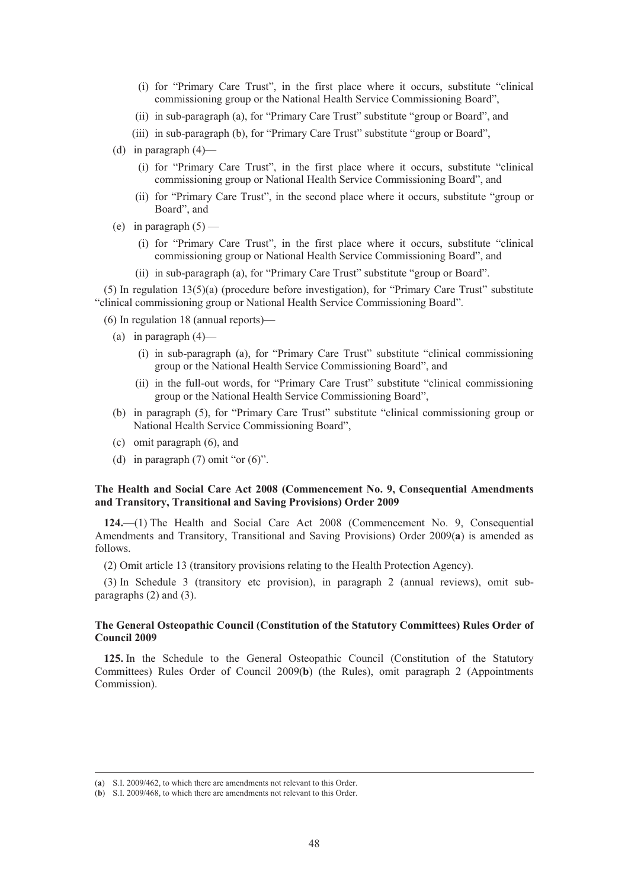- (i) for "Primary Care Trust", in the first place where it occurs, substitute "clinical commissioning group or the National Health Service Commissioning Board",
- (ii) in sub-paragraph (a), for "Primary Care Trust" substitute "group or Board", and
- (iii) in sub-paragraph (b), for "Primary Care Trust" substitute "group or Board",
- (d) in paragraph (4)—
	- (i) for "Primary Care Trust", in the first place where it occurs, substitute "clinical commissioning group or National Health Service Commissioning Board", and
	- (ii) for "Primary Care Trust", in the second place where it occurs, substitute "group or Board", and
- (e) in paragraph  $(5)$ 
	- (i) for "Primary Care Trust", in the first place where it occurs, substitute "clinical commissioning group or National Health Service Commissioning Board", and
	- (ii) in sub-paragraph (a), for "Primary Care Trust" substitute "group or Board".

(5) In regulation 13(5)(a) (procedure before investigation), for "Primary Care Trust" substitute "clinical commissioning group or National Health Service Commissioning Board".

(6) In regulation 18 (annual reports)—

- (a) in paragraph  $(4)$ 
	- (i) in sub-paragraph (a), for "Primary Care Trust" substitute "clinical commissioning group or the National Health Service Commissioning Board", and
	- (ii) in the full-out words, for "Primary Care Trust" substitute "clinical commissioning group or the National Health Service Commissioning Board",
- (b) in paragraph (5), for "Primary Care Trust" substitute "clinical commissioning group or National Health Service Commissioning Board",
- (c) omit paragraph (6), and
- (d) in paragraph  $(7)$  omit "or  $(6)$ ".

# **The Health and Social Care Act 2008 (Commencement No. 9, Consequential Amendments and Transitory, Transitional and Saving Provisions) Order 2009**

**124.**—(1) The Health and Social Care Act 2008 (Commencement No. 9, Consequential Amendments and Transitory, Transitional and Saving Provisions) Order 2009(**a**) is amended as follows.

(2) Omit article 13 (transitory provisions relating to the Health Protection Agency).

(3) In Schedule 3 (transitory etc provision), in paragraph 2 (annual reviews), omit subparagraphs (2) and (3).

# **The General Osteopathic Council (Constitution of the Statutory Committees) Rules Order of Council 2009**

**125.** In the Schedule to the General Osteopathic Council (Constitution of the Statutory Committees) Rules Order of Council 2009(**b**) (the Rules), omit paragraph 2 (Appointments Commission).

 <sup>(</sup>**a**) S.I. 2009/462, to which there are amendments not relevant to this Order.

<sup>(</sup>**b**) S.I. 2009/468, to which there are amendments not relevant to this Order.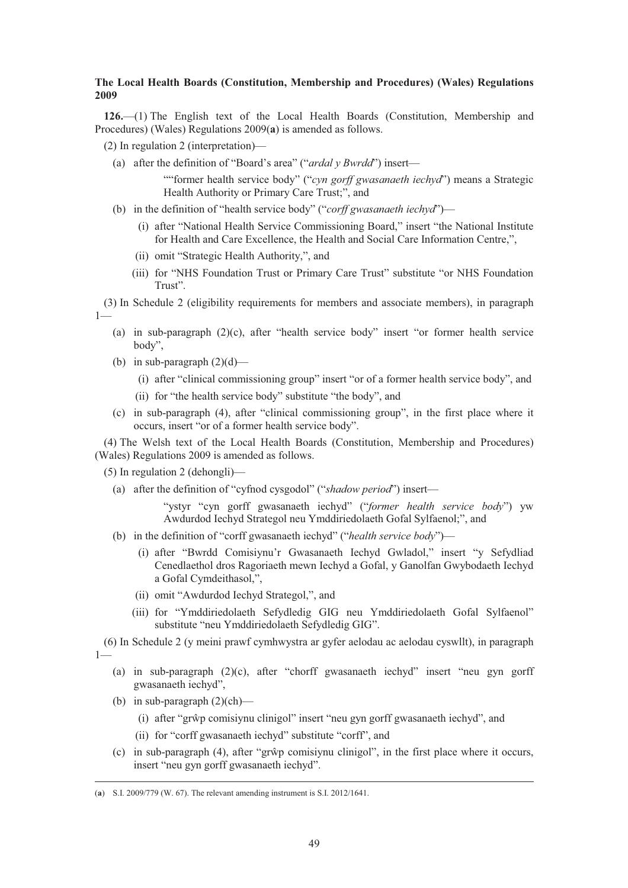## **The Local Health Boards (Constitution, Membership and Procedures) (Wales) Regulations 2009**

**126.**—(1) The English text of the Local Health Boards (Constitution, Membership and Procedures) (Wales) Regulations 2009(**a**) is amended as follows.

(2) In regulation 2 (interpretation)—

(a) after the definition of "Board's area" ("*ardal y Bwrdd*") insert—

""former health service body" ("*cyn gorff gwasanaeth iechyd*") means a Strategic Health Authority or Primary Care Trust;", and

- (b) in the definition of "health service body" ("*corff gwasanaeth iechyd*")—
	- (i) after "National Health Service Commissioning Board," insert "the National Institute for Health and Care Excellence, the Health and Social Care Information Centre,",
	- (ii) omit "Strategic Health Authority,", and
	- (iii) for "NHS Foundation Trust or Primary Care Trust" substitute "or NHS Foundation Trust".

(3) In Schedule 2 (eligibility requirements for members and associate members), in paragraph 1—

- (a) in sub-paragraph (2)(c), after "health service body" insert "or former health service body",
- (b) in sub-paragraph  $(2)(d)$ 
	- (i) after "clinical commissioning group" insert "or of a former health service body", and
	- (ii) for "the health service body" substitute "the body", and
- (c) in sub-paragraph (4), after "clinical commissioning group", in the first place where it occurs, insert "or of a former health service body".

(4) The Welsh text of the Local Health Boards (Constitution, Membership and Procedures) (Wales) Regulations 2009 is amended as follows.

- (5) In regulation 2 (dehongli)—
	- (a) after the definition of "cyfnod cysgodol" ("*shadow period*") insert—

"ystyr "cyn gorff gwasanaeth iechyd" ("*former health service body*") yw Awdurdod Iechyd Strategol neu Ymddiriedolaeth Gofal Sylfaenol;", and

- (b) in the definition of "corff gwasanaeth iechyd" ("*health service body*")—
	- (i) after "Bwrdd Comisiynu'r Gwasanaeth Iechyd Gwladol," insert "y Sefydliad Cenedlaethol dros Ragoriaeth mewn Iechyd a Gofal, y Ganolfan Gwybodaeth Iechyd a Gofal Cymdeithasol,",
	- (ii) omit "Awdurdod Iechyd Strategol,", and
	- (iii) for "Ymddiriedolaeth Sefydledig GIG neu Ymddiriedolaeth Gofal Sylfaenol" substitute "neu Ymddiriedolaeth Sefydledig GIG".

(6) In Schedule 2 (y meini prawf cymhwystra ar gyfer aelodau ac aelodau cyswllt), in paragraph  $1 -$ 

- (a) in sub-paragraph (2)(c), after "chorff gwasanaeth iechyd" insert "neu gyn gorff gwasanaeth iechyd",
- (b) in sub-paragraph (2)(ch)—
	- (i) after "grŵp comisiynu clinigol" insert "neu gyn gorff gwasanaeth iechyd", and
	- (ii) for "corff gwasanaeth iechyd" substitute "corff", and
- $(c)$  in sub-paragraph  $(4)$ , after "grŵp comisiynu clinigol", in the first place where it occurs, insert "neu gyn gorff gwasanaeth iechyd".

 <sup>(</sup>**a**) S.I. 2009/779 (W. 67). The relevant amending instrument is S.I. 2012/1641.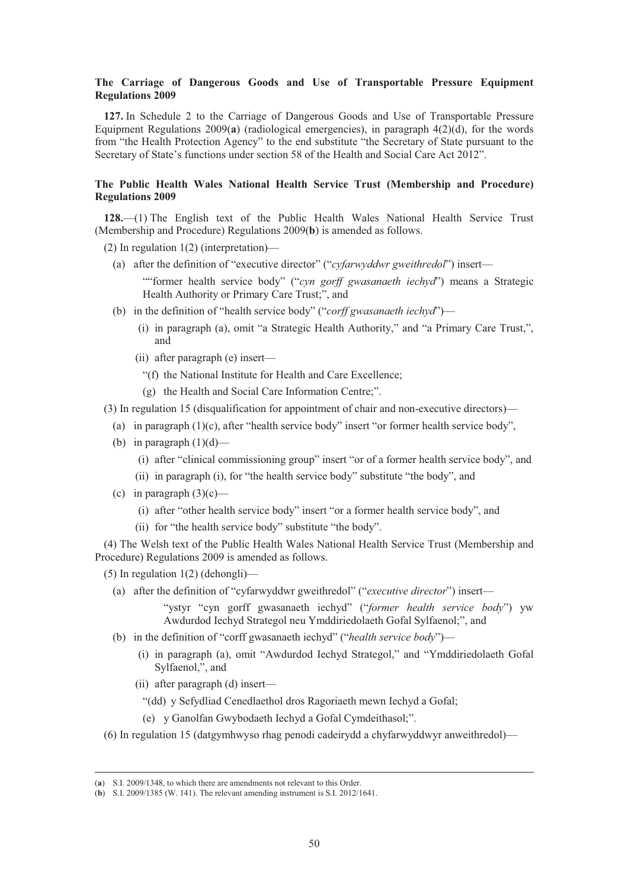## **The Carriage of Dangerous Goods and Use of Transportable Pressure Equipment Regulations 2009**

**127.** In Schedule 2 to the Carriage of Dangerous Goods and Use of Transportable Pressure Equipment Regulations 2009(**a**) (radiological emergencies), in paragraph 4(2)(d), for the words from "the Health Protection Agency" to the end substitute "the Secretary of State pursuant to the Secretary of State's functions under section 58 of the Health and Social Care Act 2012".

# **The Public Health Wales National Health Service Trust (Membership and Procedure) Regulations 2009**

**128.**—(1) The English text of the Public Health Wales National Health Service Trust (Membership and Procedure) Regulations 2009(**b**) is amended as follows.

(2) In regulation 1(2) (interpretation)—

(a) after the definition of "executive director" ("*cyfarwyddwr gweithredol*") insert—

""former health service body" ("*cyn gorff gwasanaeth iechyd*") means a Strategic Health Authority or Primary Care Trust;", and

- (b) in the definition of "health service body" ("*corff gwasanaeth iechyd*")—
	- (i) in paragraph (a), omit "a Strategic Health Authority," and "a Primary Care Trust,", and
	- (ii) after paragraph (e) insert—
		- "(f) the National Institute for Health and Care Excellence;
		- (g) the Health and Social Care Information Centre;".

(3) In regulation 15 (disqualification for appointment of chair and non-executive directors)—

- (a) in paragraph (1)(c), after "health service body" insert "or former health service body",
- (b) in paragraph  $(1)(d)$ 
	- (i) after "clinical commissioning group" insert "or of a former health service body", and
	- (ii) in paragraph (i), for "the health service body" substitute "the body", and
- (c) in paragraph  $(3)(c)$ 
	- (i) after "other health service body" insert "or a former health service body", and
	- (ii) for "the health service body" substitute "the body".

(4) The Welsh text of the Public Health Wales National Health Service Trust (Membership and Procedure) Regulations 2009 is amended as follows.

(5) In regulation 1(2) (dehongli)—

(a) after the definition of "cyfarwyddwr gweithredol" ("*executive director*") insert—

"ystyr "cyn gorff gwasanaeth iechyd" ("*former health service body*") yw Awdurdod Iechyd Strategol neu Ymddiriedolaeth Gofal Sylfaenol;", and

- (b) in the definition of "corff gwasanaeth iechyd" ("*health service body*")—
	- (i) in paragraph (a), omit "Awdurdod Iechyd Strategol," and "Ymddiriedolaeth Gofal Sylfaenol,", and
	- (ii) after paragraph (d) insert—
		- "(dd) y Sefydliad Cenedlaethol dros Ragoriaeth mewn Iechyd a Gofal;
		- (e) y Ganolfan Gwybodaeth Iechyd a Gofal Cymdeithasol;".
- (6) In regulation 15 (datgymhwyso rhag penodi cadeirydd a chyfarwyddwyr anweithredol)—

 <sup>(</sup>**a**) S.I. 2009/1348, to which there are amendments not relevant to this Order.

<sup>(</sup>**b**) S.I. 2009/1385 (W. 141). The relevant amending instrument is S.I. 2012/1641.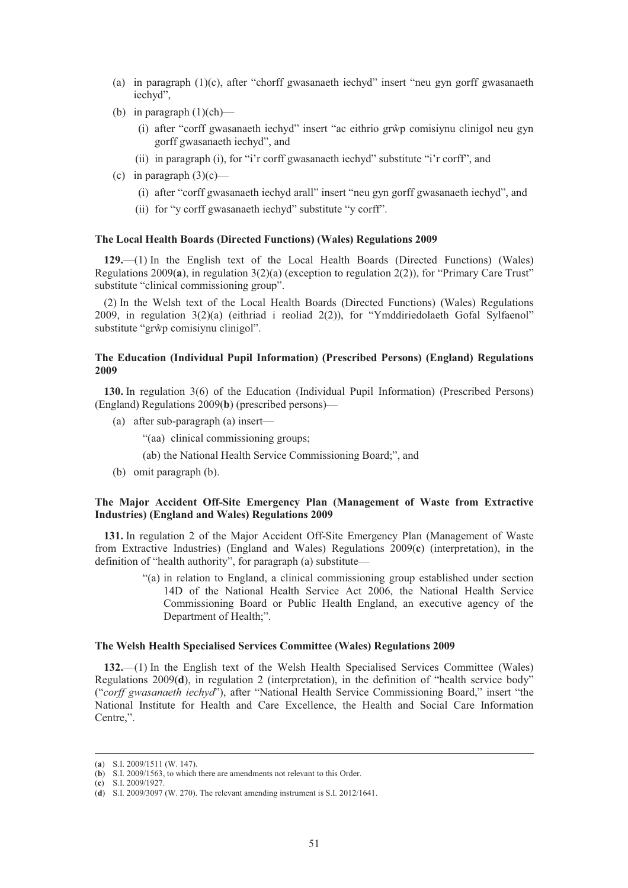- (a) in paragraph (1)(c), after "chorff gwasanaeth iechyd" insert "neu gyn gorff gwasanaeth iechyd",
- (b) in paragraph  $(1)(ch)$ 
	- (i) after "corff gwasanaeth iechyd" insert "ac eithrio grŵp comisiynu clinigol neu gyn gorff gwasanaeth iechyd", and
	- (ii) in paragraph (i), for "i'r corff gwasanaeth iechyd" substitute "i'r corff", and
- (c) in paragraph  $(3)(c)$ 
	- (i) after "corff gwasanaeth iechyd arall" insert "neu gyn gorff gwasanaeth iechyd", and
	- (ii) for "y corff gwasanaeth iechyd" substitute "y corff".

#### **The Local Health Boards (Directed Functions) (Wales) Regulations 2009**

**129.**—(1) In the English text of the Local Health Boards (Directed Functions) (Wales) Regulations 2009(**a**), in regulation 3(2)(a) (exception to regulation 2(2)), for "Primary Care Trust" substitute "clinical commissioning group".

(2) In the Welsh text of the Local Health Boards (Directed Functions) (Wales) Regulations 2009, in regulation 3(2)(a) (eithriad i reoliad 2(2)), for "Ymddiriedolaeth Gofal Sylfaenol" substitute "grŵp comisiynu clinigol".

### **The Education (Individual Pupil Information) (Prescribed Persons) (England) Regulations 2009**

**130.** In regulation 3(6) of the Education (Individual Pupil Information) (Prescribed Persons) (England) Regulations 2009(**b**) (prescribed persons)—

- (a) after sub-paragraph (a) insert—
	- "(aa) clinical commissioning groups;

(ab) the National Health Service Commissioning Board;", and

(b) omit paragraph (b).

# **The Major Accident Off-Site Emergency Plan (Management of Waste from Extractive Industries) (England and Wales) Regulations 2009**

**131.** In regulation 2 of the Major Accident Off-Site Emergency Plan (Management of Waste from Extractive Industries) (England and Wales) Regulations 2009(**c**) (interpretation), in the definition of "health authority", for paragraph (a) substitute—

> "(a) in relation to England, a clinical commissioning group established under section 14D of the National Health Service Act 2006, the National Health Service Commissioning Board or Public Health England, an executive agency of the Department of Health;".

### **The Welsh Health Specialised Services Committee (Wales) Regulations 2009**

**132.**—(1) In the English text of the Welsh Health Specialised Services Committee (Wales) Regulations 2009(**d**), in regulation 2 (interpretation), in the definition of "health service body" ("*corff gwasanaeth iechyd*"), after "National Health Service Commissioning Board," insert "the National Institute for Health and Care Excellence, the Health and Social Care Information Centre,".

(**c**) S.I. 2009/1927.

 <sup>(</sup>**a**) S.I. 2009/1511 (W. 147).

<sup>(</sup>**b**) S.I. 2009/1563, to which there are amendments not relevant to this Order.

<sup>(</sup>**d**) S.I. 2009/3097 (W. 270). The relevant amending instrument is S.I. 2012/1641.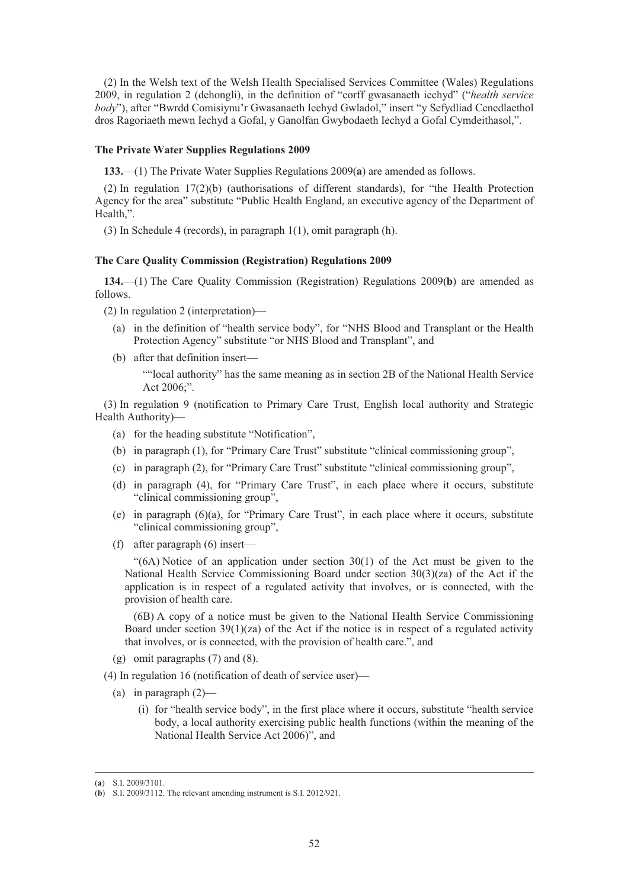(2) In the Welsh text of the Welsh Health Specialised Services Committee (Wales) Regulations 2009, in regulation 2 (dehongli), in the definition of "corff gwasanaeth iechyd" ("*health service body*"), after "Bwrdd Comisiynu'r Gwasanaeth Iechyd Gwladol," insert "y Sefydliad Cenedlaethol dros Ragoriaeth mewn Iechyd a Gofal, y Ganolfan Gwybodaeth Iechyd a Gofal Cymdeithasol,".

#### **The Private Water Supplies Regulations 2009**

**133.**—(1) The Private Water Supplies Regulations 2009(**a**) are amended as follows.

(2) In regulation 17(2)(b) (authorisations of different standards), for "the Health Protection Agency for the area" substitute "Public Health England, an executive agency of the Department of Health,".

(3) In Schedule 4 (records), in paragraph 1(1), omit paragraph (h).

#### **The Care Quality Commission (Registration) Regulations 2009**

**134.**—(1) The Care Quality Commission (Registration) Regulations 2009(**b**) are amended as follows.

- (2) In regulation 2 (interpretation)—
	- (a) in the definition of "health service body", for "NHS Blood and Transplant or the Health Protection Agency" substitute "or NHS Blood and Transplant", and
	- (b) after that definition insert—

""local authority" has the same meaning as in section 2B of the National Health Service Act 2006;".

(3) In regulation 9 (notification to Primary Care Trust, English local authority and Strategic Health Authority)—

- (a) for the heading substitute "Notification",
- (b) in paragraph (1), for "Primary Care Trust" substitute "clinical commissioning group",
- (c) in paragraph (2), for "Primary Care Trust" substitute "clinical commissioning group",
- (d) in paragraph (4), for "Primary Care Trust", in each place where it occurs, substitute "clinical commissioning group",
- (e) in paragraph (6)(a), for "Primary Care Trust", in each place where it occurs, substitute "clinical commissioning group",
- (f) after paragraph (6) insert—

"(6A) Notice of an application under section 30(1) of the Act must be given to the National Health Service Commissioning Board under section 30(3)(za) of the Act if the application is in respect of a regulated activity that involves, or is connected, with the provision of health care.

(6B) A copy of a notice must be given to the National Health Service Commissioning Board under section  $39(1)(z)$  of the Act if the notice is in respect of a regulated activity that involves, or is connected, with the provision of health care.", and

- (g) omit paragraphs (7) and (8).
- (4) In regulation 16 (notification of death of service user)—
	- (a) in paragraph  $(2)$ 
		- (i) for "health service body", in the first place where it occurs, substitute "health service body, a local authority exercising public health functions (within the meaning of the National Health Service Act 2006)", and

 <sup>(</sup>**a**) S.I. 2009/3101.

<sup>(</sup>**b**) S.I. 2009/3112. The relevant amending instrument is S.I. 2012/921.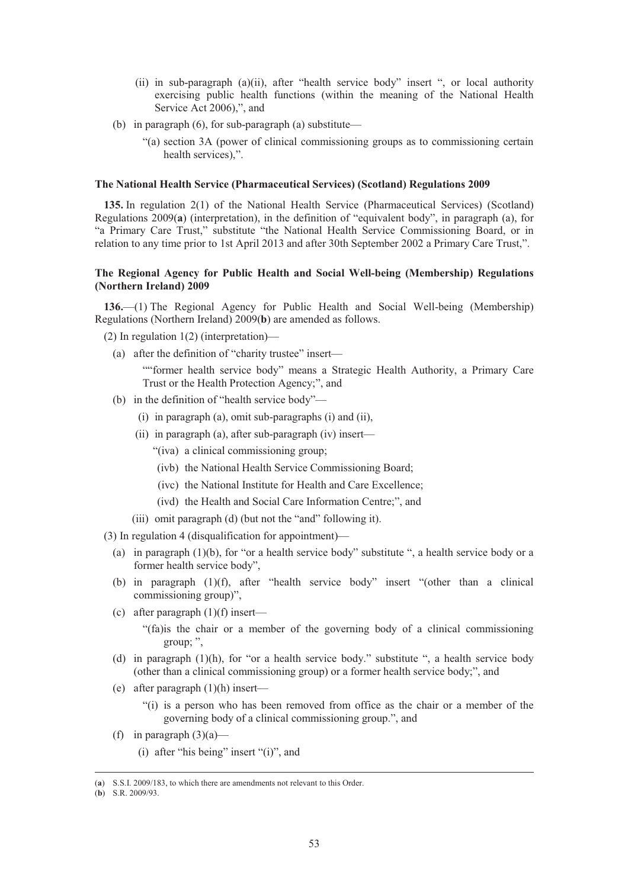- (ii) in sub-paragraph (a)(ii), after "health service body" insert ", or local authority exercising public health functions (within the meaning of the National Health Service Act 2006),", and
- (b) in paragraph (6), for sub-paragraph (a) substitute—
	- "(a) section 3A (power of clinical commissioning groups as to commissioning certain health services),".

### **The National Health Service (Pharmaceutical Services) (Scotland) Regulations 2009**

**135.** In regulation 2(1) of the National Health Service (Pharmaceutical Services) (Scotland) Regulations 2009(**a**) (interpretation), in the definition of "equivalent body", in paragraph (a), for "a Primary Care Trust," substitute "the National Health Service Commissioning Board, or in relation to any time prior to 1st April 2013 and after 30th September 2002 a Primary Care Trust,".

## **The Regional Agency for Public Health and Social Well-being (Membership) Regulations (Northern Ireland) 2009**

**136.**—(1) The Regional Agency for Public Health and Social Well-being (Membership) Regulations (Northern Ireland) 2009(**b**) are amended as follows.

(2) In regulation 1(2) (interpretation)—

(a) after the definition of "charity trustee" insert—

""former health service body" means a Strategic Health Authority, a Primary Care Trust or the Health Protection Agency;", and

- (b) in the definition of "health service body"—
	- (i) in paragraph (a), omit sub-paragraphs (i) and (ii),
	- (ii) in paragraph (a), after sub-paragraph (iv) insert—
		- "(iva) a clinical commissioning group;
		- (ivb) the National Health Service Commissioning Board;
		- (ivc) the National Institute for Health and Care Excellence;
		- (ivd) the Health and Social Care Information Centre;", and
	- (iii) omit paragraph (d) (but not the "and" following it).
- (3) In regulation 4 (disqualification for appointment)—
	- (a) in paragraph  $(1)(b)$ , for "or a health service body" substitute ", a health service body or a former health service body",
	- (b) in paragraph (1)(f), after "health service body" insert "(other than a clinical commissioning group)",
	- (c) after paragraph  $(1)(f)$  insert—

"(fa)is the chair or a member of the governing body of a clinical commissioning group; ",

- (d) in paragraph  $(1)(h)$ , for "or a health service body." substitute ", a health service body (other than a clinical commissioning group) or a former health service body;", and
- (e) after paragraph (1)(h) insert—
	- "(i) is a person who has been removed from office as the chair or a member of the governing body of a clinical commissioning group.", and
- (f) in paragraph  $(3)(a)$ 
	- (i) after "his being" insert "(i)", and

 <sup>(</sup>**a**) S.S.I. 2009/183, to which there are amendments not relevant to this Order.

<sup>(</sup>**b**) S.R. 2009/93.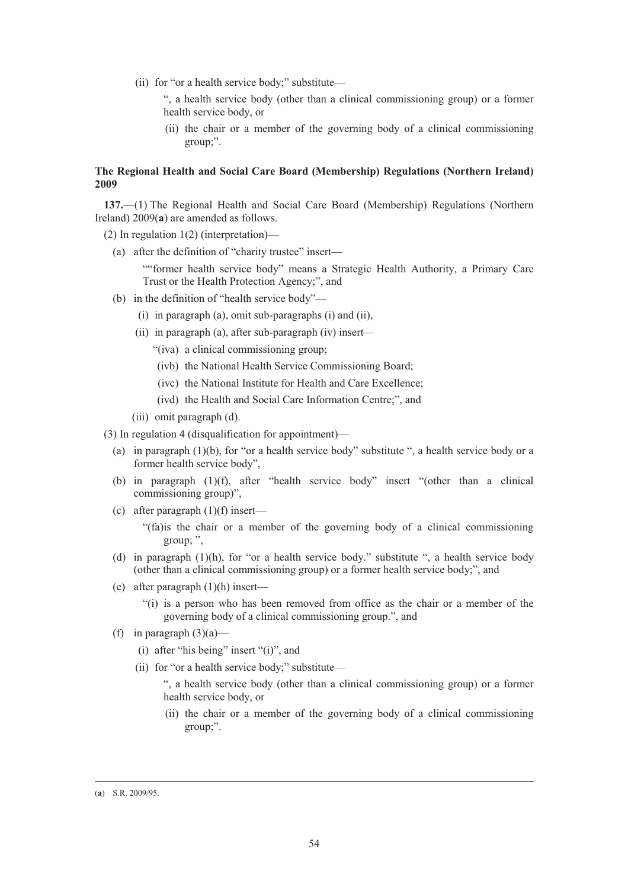- (ii) for "or a health service body;" substitute—
	- ", a health service body (other than a clinical commissioning group) or a former health service body, or
	- (ii) the chair or a member of the governing body of a clinical commissioning group;".

# **The Regional Health and Social Care Board (Membership) Regulations (Northern Ireland) 2009**

**137.**—(1) The Regional Health and Social Care Board (Membership) Regulations (Northern Ireland) 2009(**a**) are amended as follows.

- (2) In regulation 1(2) (interpretation)—
	- (a) after the definition of "charity trustee" insert—

""former health service body" means a Strategic Health Authority, a Primary Care Trust or the Health Protection Agency;", and

- (b) in the definition of "health service body"—
	- (i) in paragraph (a), omit sub-paragraphs (i) and (ii),
	- (ii) in paragraph (a), after sub-paragraph (iv) insert—
		- "(iva) a clinical commissioning group;
		- (ivb) the National Health Service Commissioning Board;
		- (ivc) the National Institute for Health and Care Excellence;
		- (ivd) the Health and Social Care Information Centre;", and
	- (iii) omit paragraph (d).
- (3) In regulation 4 (disqualification for appointment)—
	- (a) in paragraph  $(1)(b)$ , for "or a health service body" substitute ", a health service body or a former health service body",
	- (b) in paragraph (1)(f), after "health service body" insert "(other than a clinical commissioning group)",
	- (c) after paragraph  $(1)(f)$  insert—

"(fa)is the chair or a member of the governing body of a clinical commissioning group; ",

- (d) in paragraph (1)(h), for "or a health service body." substitute ", a health service body (other than a clinical commissioning group) or a former health service body;", and
- (e) after paragraph (1)(h) insert—

"(i) is a person who has been removed from office as the chair or a member of the governing body of a clinical commissioning group.", and

- (f) in paragraph  $(3)(a)$ 
	- (i) after "his being" insert "(i)", and
	- (ii) for "or a health service body;" substitute—

", a health service body (other than a clinical commissioning group) or a former health service body, or

 (ii) the chair or a member of the governing body of a clinical commissioning group;".

 <sup>(</sup>**a**) S.R. 2009/95.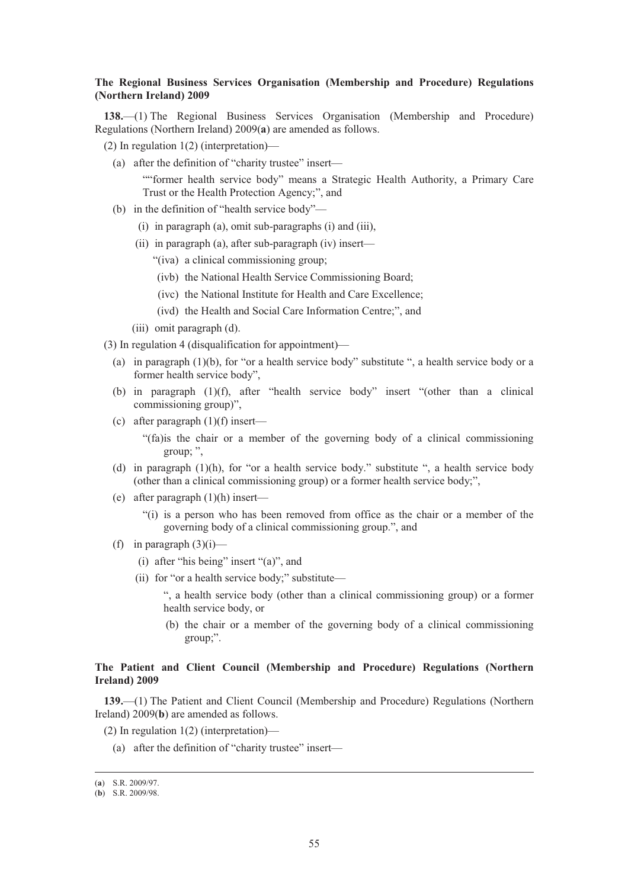## **The Regional Business Services Organisation (Membership and Procedure) Regulations (Northern Ireland) 2009**

**138.**—(1) The Regional Business Services Organisation (Membership and Procedure) Regulations (Northern Ireland) 2009(**a**) are amended as follows.

- (2) In regulation 1(2) (interpretation)—
	- (a) after the definition of "charity trustee" insert— ""former health service body" means a Strategic Health Authority, a Primary Care

Trust or the Health Protection Agency;", and

- (b) in the definition of "health service body"—
	- (i) in paragraph (a), omit sub-paragraphs (i) and (iii),
	- (ii) in paragraph (a), after sub-paragraph (iv) insert—
		- "(iva) a clinical commissioning group;
		- (ivb) the National Health Service Commissioning Board;
		- (ivc) the National Institute for Health and Care Excellence;
		- (ivd) the Health and Social Care Information Centre;", and
	- (iii) omit paragraph (d).
- (3) In regulation 4 (disqualification for appointment)—
	- (a) in paragraph  $(1)(b)$ , for "or a health service body" substitute ", a health service body or a former health service body",
	- (b) in paragraph (1)(f), after "health service body" insert "(other than a clinical commissioning group)",
	- (c) after paragraph  $(1)(f)$  insert—

"(fa)is the chair or a member of the governing body of a clinical commissioning group; ",

- (d) in paragraph  $(1)(h)$ , for "or a health service body." substitute ", a health service body (other than a clinical commissioning group) or a former health service body;",
- (e) after paragraph (1)(h) insert—
	- "(i) is a person who has been removed from office as the chair or a member of the governing body of a clinical commissioning group.", and
- (f) in paragraph  $(3)(i)$ 
	- (i) after "his being" insert "(a)", and
	- (ii) for "or a health service body;" substitute—

", a health service body (other than a clinical commissioning group) or a former health service body, or

 (b) the chair or a member of the governing body of a clinical commissioning group;".

## **The Patient and Client Council (Membership and Procedure) Regulations (Northern Ireland) 2009**

**139.**—(1) The Patient and Client Council (Membership and Procedure) Regulations (Northern Ireland) 2009(**b**) are amended as follows.

- (2) In regulation 1(2) (interpretation)—
	- (a) after the definition of "charity trustee" insert—

 <sup>(</sup>**a**) S.R. 2009/97.

<sup>(</sup>**b**) S.R. 2009/98.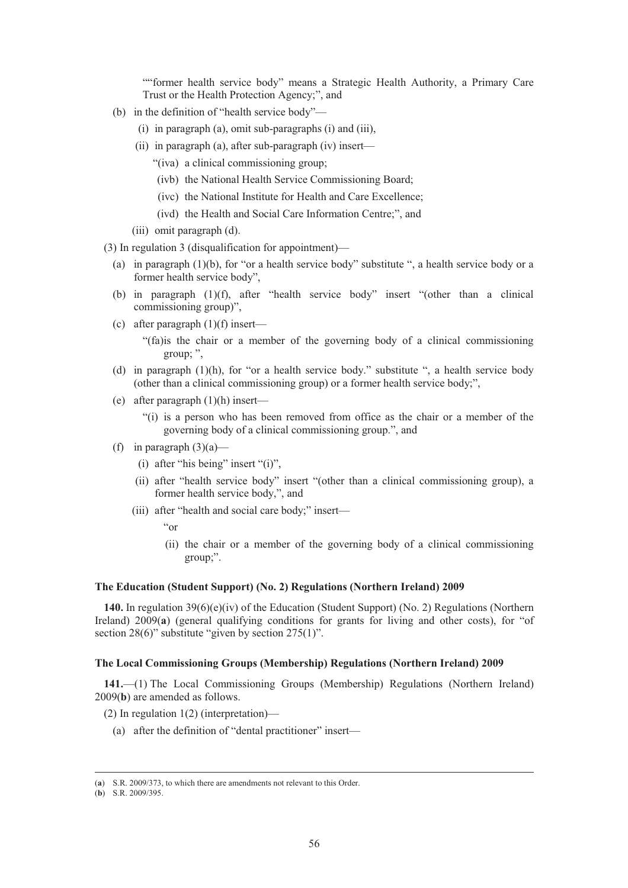""former health service body" means a Strategic Health Authority, a Primary Care Trust or the Health Protection Agency;", and

- (b) in the definition of "health service body"—
	- (i) in paragraph (a), omit sub-paragraphs (i) and (iii),
	- (ii) in paragraph (a), after sub-paragraph (iv) insert—
		- "(iva) a clinical commissioning group;
		- (ivb) the National Health Service Commissioning Board;
		- (ivc) the National Institute for Health and Care Excellence;
		- (ivd) the Health and Social Care Information Centre;", and
	- (iii) omit paragraph (d).

(3) In regulation 3 (disqualification for appointment)—

- (a) in paragraph  $(1)(b)$ , for "or a health service body" substitute ", a health service body or a former health service body",
- (b) in paragraph (1)(f), after "health service body" insert "(other than a clinical commissioning group)",
- (c) after paragraph  $(1)(f)$  insert—

"(fa)is the chair or a member of the governing body of a clinical commissioning group; ",

- (d) in paragraph  $(1)(h)$ , for "or a health service body." substitute ", a health service body (other than a clinical commissioning group) or a former health service body;",
- (e) after paragraph (1)(h) insert—
	- "(i) is a person who has been removed from office as the chair or a member of the governing body of a clinical commissioning group.", and
- (f) in paragraph  $(3)(a)$ 
	- (i) after "his being" insert "(i)",
	- (ii) after "health service body" insert "(other than a clinical commissioning group), a former health service body,", and
	- (iii) after "health and social care body;" insert—
		- "or
		- (ii) the chair or a member of the governing body of a clinical commissioning group;".

## **The Education (Student Support) (No. 2) Regulations (Northern Ireland) 2009**

**140.** In regulation 39(6)(e)(iv) of the Education (Student Support) (No. 2) Regulations (Northern Ireland) 2009(**a**) (general qualifying conditions for grants for living and other costs), for "of section 28(6)" substitute "given by section 275(1)".

## **The Local Commissioning Groups (Membership) Regulations (Northern Ireland) 2009**

**141.**—(1) The Local Commissioning Groups (Membership) Regulations (Northern Ireland) 2009(**b**) are amended as follows.

- (2) In regulation 1(2) (interpretation)—
	- (a) after the definition of "dental practitioner" insert—

 <sup>(</sup>**a**) S.R. 2009/373, to which there are amendments not relevant to this Order.

<sup>(</sup>**b**) S.R. 2009/395.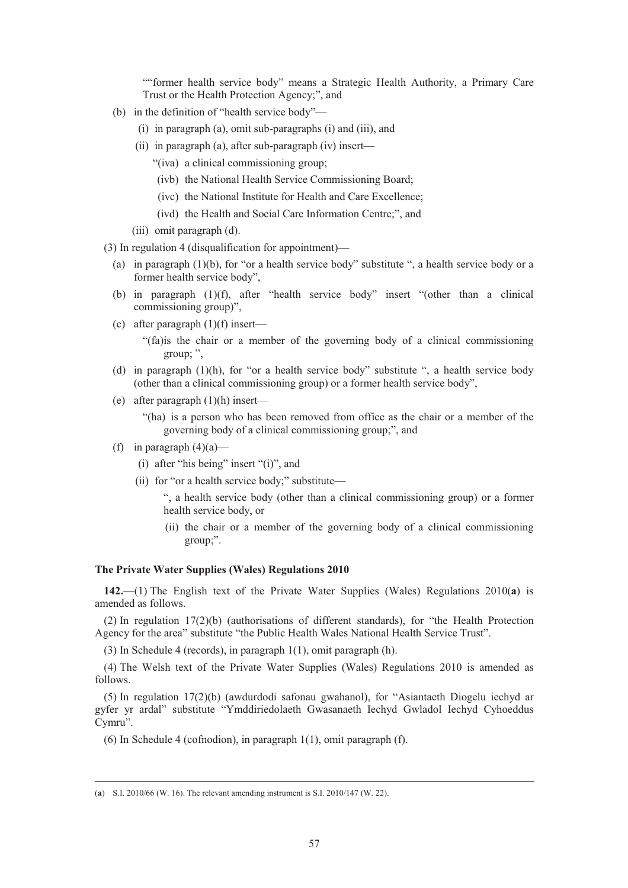""former health service body" means a Strategic Health Authority, a Primary Care Trust or the Health Protection Agency;", and

- (b) in the definition of "health service body"—
	- (i) in paragraph (a), omit sub-paragraphs (i) and (iii), and
	- (ii) in paragraph (a), after sub-paragraph (iv) insert—
		- "(iva) a clinical commissioning group;
		- (ivb) the National Health Service Commissioning Board;
		- (ivc) the National Institute for Health and Care Excellence;
		- (ivd) the Health and Social Care Information Centre;", and
	- (iii) omit paragraph (d).

(3) In regulation 4 (disqualification for appointment)—

- (a) in paragraph  $(1)(b)$ , for "or a health service body" substitute ", a health service body or a former health service body",
- (b) in paragraph (1)(f), after "health service body" insert "(other than a clinical commissioning group)",
- (c) after paragraph  $(1)(f)$  insert—

"(fa)is the chair or a member of the governing body of a clinical commissioning group; ",

- (d) in paragraph (1)(h), for "or a health service body" substitute ", a health service body (other than a clinical commissioning group) or a former health service body",
- (e) after paragraph (1)(h) insert—

"(ha) is a person who has been removed from office as the chair or a member of the governing body of a clinical commissioning group;", and

- (f) in paragraph  $(4)(a)$ 
	- (i) after "his being" insert "(i)", and
	- (ii) for "or a health service body;" substitute—

", a health service body (other than a clinical commissioning group) or a former health service body, or

 (ii) the chair or a member of the governing body of a clinical commissioning group;".

## **The Private Water Supplies (Wales) Regulations 2010**

**142.**—(1) The English text of the Private Water Supplies (Wales) Regulations 2010(**a**) is amended as follows.

(2) In regulation 17(2)(b) (authorisations of different standards), for "the Health Protection Agency for the area" substitute "the Public Health Wales National Health Service Trust".

(3) In Schedule 4 (records), in paragraph 1(1), omit paragraph (h).

(4) The Welsh text of the Private Water Supplies (Wales) Regulations 2010 is amended as follows.

(5) In regulation 17(2)(b) (awdurdodi safonau gwahanol), for "Asiantaeth Diogelu iechyd ar gyfer yr ardal" substitute "Ymddiriedolaeth Gwasanaeth Iechyd Gwladol Iechyd Cyhoeddus Cymru".

(6) In Schedule 4 (cofnodion), in paragraph 1(1), omit paragraph (f).

 <sup>(</sup>**a**) S.I. 2010/66 (W. 16). The relevant amending instrument is S.I. 2010/147 (W. 22).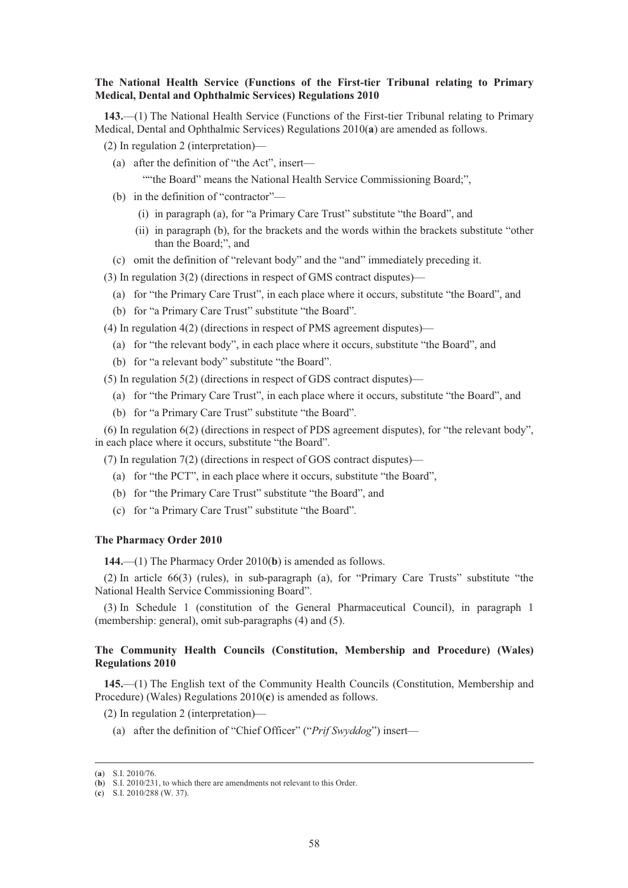### **The National Health Service (Functions of the First-tier Tribunal relating to Primary Medical, Dental and Ophthalmic Services) Regulations 2010**

**143.**—(1) The National Health Service (Functions of the First-tier Tribunal relating to Primary Medical, Dental and Ophthalmic Services) Regulations 2010(**a**) are amended as follows.

- (2) In regulation 2 (interpretation)—
	- (a) after the definition of "the Act", insert—

""the Board" means the National Health Service Commissioning Board;",

- (b) in the definition of "contractor"—
	- (i) in paragraph (a), for "a Primary Care Trust" substitute "the Board", and
	- (ii) in paragraph (b), for the brackets and the words within the brackets substitute "other than the Board;", and
- (c) omit the definition of "relevant body" and the "and" immediately preceding it.
- (3) In regulation 3(2) (directions in respect of GMS contract disputes)—
	- (a) for "the Primary Care Trust", in each place where it occurs, substitute "the Board", and
	- (b) for "a Primary Care Trust" substitute "the Board".
- (4) In regulation 4(2) (directions in respect of PMS agreement disputes)—
	- (a) for "the relevant body", in each place where it occurs, substitute "the Board", and
	- (b) for "a relevant body" substitute "the Board".

(5) In regulation 5(2) (directions in respect of GDS contract disputes)—

- (a) for "the Primary Care Trust", in each place where it occurs, substitute "the Board", and
- (b) for "a Primary Care Trust" substitute "the Board".

(6) In regulation 6(2) (directions in respect of PDS agreement disputes), for "the relevant body", in each place where it occurs, substitute "the Board".

(7) In regulation 7(2) (directions in respect of GOS contract disputes)—

- (a) for "the PCT", in each place where it occurs, substitute "the Board",
- (b) for "the Primary Care Trust" substitute "the Board", and
- (c) for "a Primary Care Trust" substitute "the Board".

### **The Pharmacy Order 2010**

**144.**—(1) The Pharmacy Order 2010(**b**) is amended as follows.

(2) In article 66(3) (rules), in sub-paragraph (a), for "Primary Care Trusts" substitute "the National Health Service Commissioning Board".

(3) In Schedule 1 (constitution of the General Pharmaceutical Council), in paragraph 1 (membership: general), omit sub-paragraphs (4) and (5).

## **The Community Health Councils (Constitution, Membership and Procedure) (Wales) Regulations 2010**

**145.**—(1) The English text of the Community Health Councils (Constitution, Membership and Procedure) (Wales) Regulations 2010(**c**) is amended as follows.

(2) In regulation 2 (interpretation)—

(a) after the definition of "Chief Officer" ("*Prif Swyddog*") insert—

 <sup>(</sup>**a**) S.I. 2010/76.

<sup>(</sup>**b**) S.I. 2010/231, to which there are amendments not relevant to this Order.

<sup>(</sup>**c**) S.I. 2010/288 (W. 37).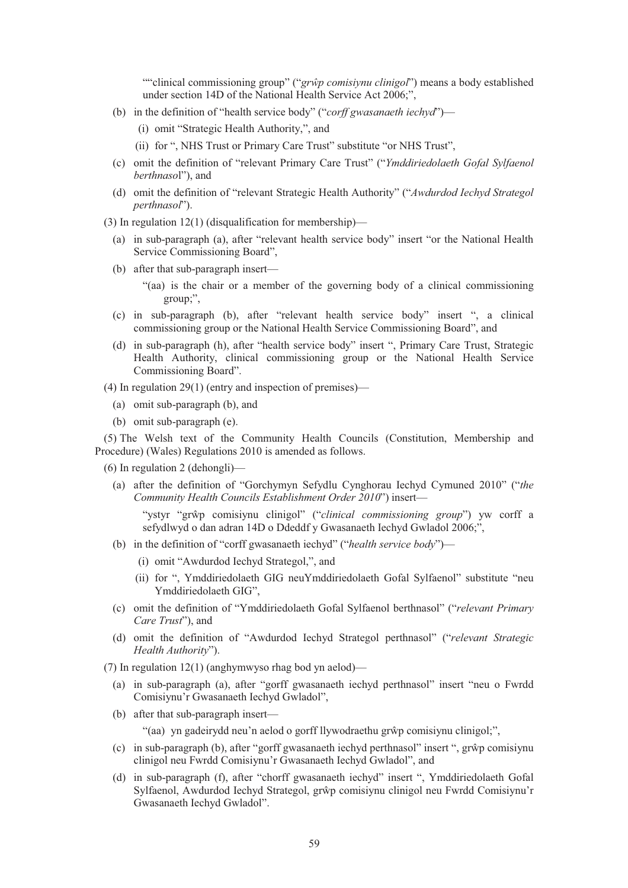""clinical commissioning group" ("grŵp comisiynu clinigol") means a body established under section 14D of the National Health Service Act 2006;",

- (b) in the definition of "health service body" ("*corff gwasanaeth iechyd*")—
	- (i) omit "Strategic Health Authority,", and
	- (ii) for ", NHS Trust or Primary Care Trust" substitute "or NHS Trust",
- (c) omit the definition of "relevant Primary Care Trust" ("*Ymddiriedolaeth Gofal Sylfaenol berthnaso*l"), and
- (d) omit the definition of "relevant Strategic Health Authority" ("*Awdurdod Iechyd Strategol perthnasol*").
- (3) In regulation 12(1) (disqualification for membership)—
	- (a) in sub-paragraph (a), after "relevant health service body" insert "or the National Health Service Commissioning Board",
	- (b) after that sub-paragraph insert—
		- "(aa) is the chair or a member of the governing body of a clinical commissioning group;",
	- (c) in sub-paragraph (b), after "relevant health service body" insert ", a clinical commissioning group or the National Health Service Commissioning Board", and
	- (d) in sub-paragraph (h), after "health service body" insert ", Primary Care Trust, Strategic Health Authority, clinical commissioning group or the National Health Service Commissioning Board".
- (4) In regulation 29(1) (entry and inspection of premises)—
	- (a) omit sub-paragraph (b), and
	- (b) omit sub-paragraph (e).

(5) The Welsh text of the Community Health Councils (Constitution, Membership and Procedure) (Wales) Regulations 2010 is amended as follows.

(6) In regulation 2 (dehongli)—

(a) after the definition of "Gorchymyn Sefydlu Cynghorau Iechyd Cymuned 2010" ("*the Community Health Councils Establishment Order 2010*") insert—

"ystyr "grŵp comisiynu clinigol" ("*clinical commissioning group*") yw corff a sefydlwyd o dan adran 14D o Ddeddf y Gwasanaeth Iechyd Gwladol 2006;",

- (b) in the definition of "corff gwasanaeth iechyd" ("*health service body*")—
	- (i) omit "Awdurdod Iechyd Strategol,", and
	- (ii) for ", Ymddiriedolaeth GIG neuYmddiriedolaeth Gofal Sylfaenol" substitute "neu Ymddiriedolaeth GIG",
- (c) omit the definition of "Ymddiriedolaeth Gofal Sylfaenol berthnasol" ("*relevant Primary Care Trust*"), and
- (d) omit the definition of "Awdurdod Iechyd Strategol perthnasol" ("*relevant Strategic Health Authority*").
- (7) In regulation 12(1) (anghymwyso rhag bod yn aelod)—
	- (a) in sub-paragraph (a), after "gorff gwasanaeth iechyd perthnasol" insert "neu o Fwrdd Comisiynu'r Gwasanaeth Iechyd Gwladol",
	- (b) after that sub-paragraph insert—

"(aa) yn gadeirydd neu'n aelod o gorff llywodraethu grŵp comisiynu clinigol;",

- (c) in sub-paragraph (b), after "gorff gwasanaeth iechyd perthnasol" insert ", gr-p comisiynu clinigol neu Fwrdd Comisiynu'r Gwasanaeth Iechyd Gwladol", and
- (d) in sub-paragraph (f), after "chorff gwasanaeth iechyd" insert ", Ymddiriedolaeth Gofal Sylfaenol, Awdurdod Iechyd Strategol, grŵp comisiynu clinigol neu Fwrdd Comisiynu'r Gwasanaeth Iechyd Gwladol".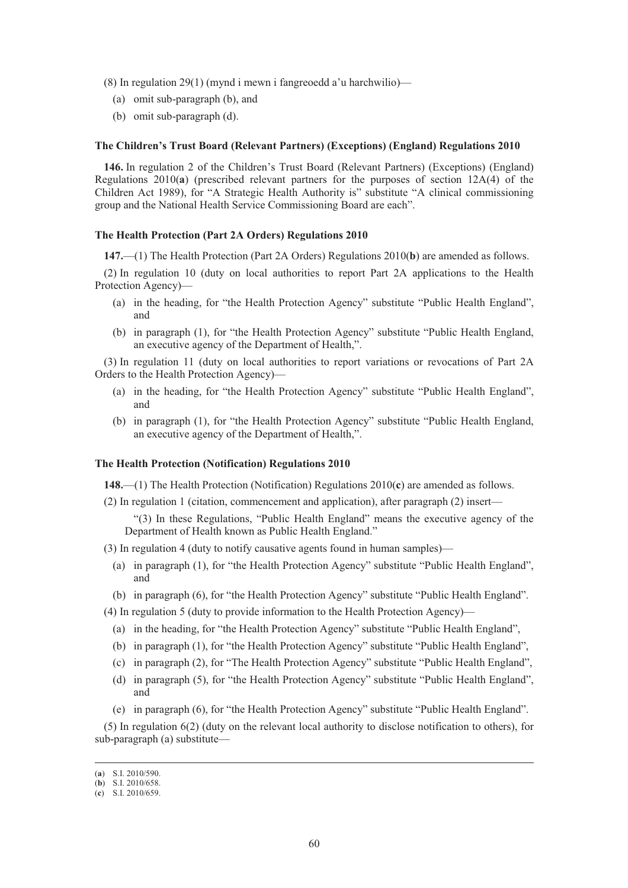(8) In regulation 29(1) (mynd i mewn i fangreoedd a'u harchwilio)—

- (a) omit sub-paragraph (b), and
- (b) omit sub-paragraph (d).

### **The Children's Trust Board (Relevant Partners) (Exceptions) (England) Regulations 2010**

**146.** In regulation 2 of the Children's Trust Board (Relevant Partners) (Exceptions) (England) Regulations 2010(**a**) (prescribed relevant partners for the purposes of section 12A(4) of the Children Act 1989), for "A Strategic Health Authority is" substitute "A clinical commissioning group and the National Health Service Commissioning Board are each".

### **The Health Protection (Part 2A Orders) Regulations 2010**

**147.**—(1) The Health Protection (Part 2A Orders) Regulations 2010(**b**) are amended as follows.

(2) In regulation 10 (duty on local authorities to report Part 2A applications to the Health Protection Agency)—

- (a) in the heading, for "the Health Protection Agency" substitute "Public Health England", and
- (b) in paragraph (1), for "the Health Protection Agency" substitute "Public Health England, an executive agency of the Department of Health,".

(3) In regulation 11 (duty on local authorities to report variations or revocations of Part 2A Orders to the Health Protection Agency)—

- (a) in the heading, for "the Health Protection Agency" substitute "Public Health England", and
- (b) in paragraph (1), for "the Health Protection Agency" substitute "Public Health England, an executive agency of the Department of Health,".

#### **The Health Protection (Notification) Regulations 2010**

**148.**—(1) The Health Protection (Notification) Regulations 2010(**c**) are amended as follows.

(2) In regulation 1 (citation, commencement and application), after paragraph (2) insert—

"(3) In these Regulations, "Public Health England" means the executive agency of the Department of Health known as Public Health England."

- (3) In regulation 4 (duty to notify causative agents found in human samples)—
	- (a) in paragraph (1), for "the Health Protection Agency" substitute "Public Health England", and
	- (b) in paragraph (6), for "the Health Protection Agency" substitute "Public Health England".

(4) In regulation 5 (duty to provide information to the Health Protection Agency)—

- (a) in the heading, for "the Health Protection Agency" substitute "Public Health England",
- (b) in paragraph (1), for "the Health Protection Agency" substitute "Public Health England",
- (c) in paragraph (2), for "The Health Protection Agency" substitute "Public Health England",
- (d) in paragraph (5), for "the Health Protection Agency" substitute "Public Health England", and
- (e) in paragraph (6), for "the Health Protection Agency" substitute "Public Health England".

(5) In regulation 6(2) (duty on the relevant local authority to disclose notification to others), for sub-paragraph (a) substitute—

 <sup>(</sup>**a**) S.I. 2010/590.

<sup>(</sup>**b**) S.I. 2010/658.

<sup>(</sup>**c**) S.I. 2010/659.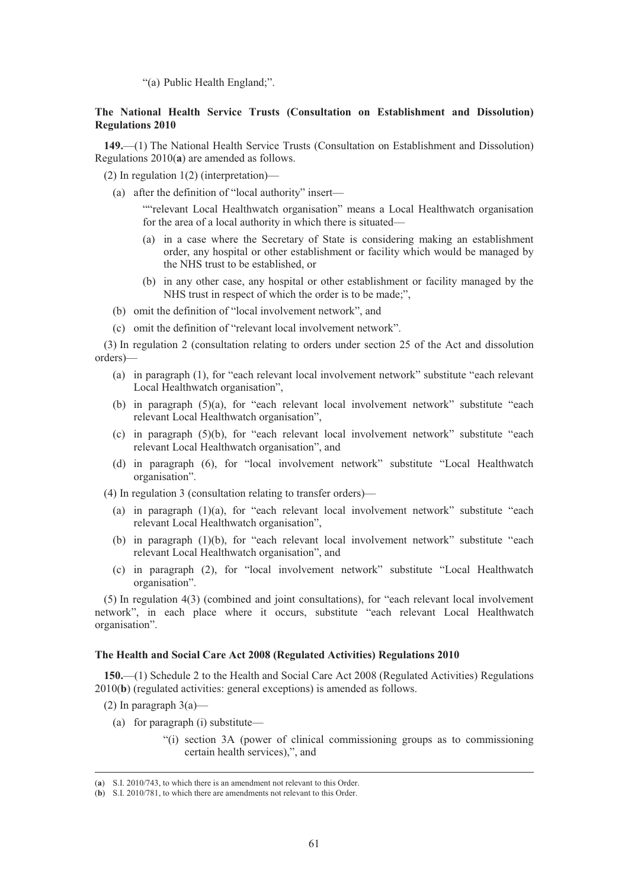"(a) Public Health England;".

# **The National Health Service Trusts (Consultation on Establishment and Dissolution) Regulations 2010**

**149.**—(1) The National Health Service Trusts (Consultation on Establishment and Dissolution) Regulations 2010(**a**) are amended as follows.

(2) In regulation 1(2) (interpretation)—

(a) after the definition of "local authority" insert—

""relevant Local Healthwatch organisation" means a Local Healthwatch organisation for the area of a local authority in which there is situated—

- (a) in a case where the Secretary of State is considering making an establishment order, any hospital or other establishment or facility which would be managed by the NHS trust to be established, or
- (b) in any other case, any hospital or other establishment or facility managed by the NHS trust in respect of which the order is to be made;",
- (b) omit the definition of "local involvement network", and
- (c) omit the definition of "relevant local involvement network".

(3) In regulation 2 (consultation relating to orders under section 25 of the Act and dissolution orders)—

- (a) in paragraph (1), for "each relevant local involvement network" substitute "each relevant Local Healthwatch organisation",
- (b) in paragraph (5)(a), for "each relevant local involvement network" substitute "each relevant Local Healthwatch organisation",
- (c) in paragraph (5)(b), for "each relevant local involvement network" substitute "each relevant Local Healthwatch organisation", and
- (d) in paragraph (6), for "local involvement network" substitute "Local Healthwatch organisation".

(4) In regulation 3 (consultation relating to transfer orders)—

- (a) in paragraph  $(1)(a)$ , for "each relevant local involvement network" substitute "each relevant Local Healthwatch organisation",
- (b) in paragraph (1)(b), for "each relevant local involvement network" substitute "each relevant Local Healthwatch organisation", and
- (c) in paragraph (2), for "local involvement network" substitute "Local Healthwatch organisation".

(5) In regulation 4(3) (combined and joint consultations), for "each relevant local involvement network", in each place where it occurs, substitute "each relevant Local Healthwatch organisation".

### **The Health and Social Care Act 2008 (Regulated Activities) Regulations 2010**

**150.**—(1) Schedule 2 to the Health and Social Care Act 2008 (Regulated Activities) Regulations 2010(**b**) (regulated activities: general exceptions) is amended as follows.

- (2) In paragraph  $3(a)$ 
	- (a) for paragraph (i) substitute—
		- "(i) section 3A (power of clinical commissioning groups as to commissioning certain health services),", and

 <sup>(</sup>**a**) S.I. 2010/743, to which there is an amendment not relevant to this Order.

<sup>(</sup>**b**) S.I. 2010/781, to which there are amendments not relevant to this Order.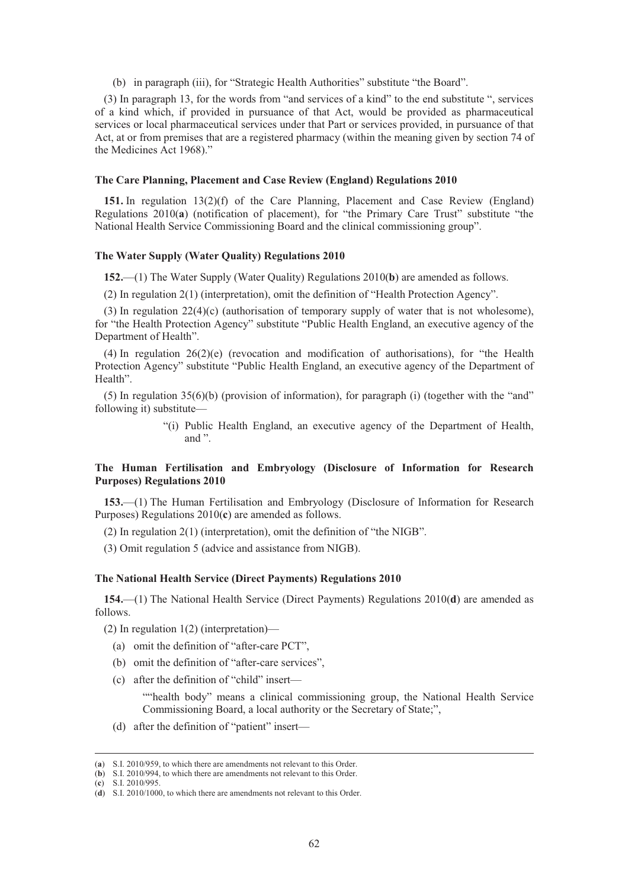(b) in paragraph (iii), for "Strategic Health Authorities" substitute "the Board".

(3) In paragraph 13, for the words from "and services of a kind" to the end substitute ", services of a kind which, if provided in pursuance of that Act, would be provided as pharmaceutical services or local pharmaceutical services under that Part or services provided, in pursuance of that Act, at or from premises that are a registered pharmacy (within the meaning given by section 74 of the Medicines Act 1968)."

### **The Care Planning, Placement and Case Review (England) Regulations 2010**

**151.** In regulation 13(2)(f) of the Care Planning, Placement and Case Review (England) Regulations 2010(**a**) (notification of placement), for "the Primary Care Trust" substitute "the National Health Service Commissioning Board and the clinical commissioning group".

# **The Water Supply (Water Quality) Regulations 2010**

**152.**—(1) The Water Supply (Water Quality) Regulations 2010(**b**) are amended as follows.

(2) In regulation 2(1) (interpretation), omit the definition of "Health Protection Agency".

(3) In regulation 22(4)(c) (authorisation of temporary supply of water that is not wholesome), for "the Health Protection Agency" substitute "Public Health England, an executive agency of the Department of Health".

(4) In regulation 26(2)(e) (revocation and modification of authorisations), for "the Health Protection Agency" substitute "Public Health England, an executive agency of the Department of Health".

(5) In regulation 35(6)(b) (provision of information), for paragraph (i) (together with the "and" following it) substitute—

> "(i) Public Health England, an executive agency of the Department of Health, and ".

# **The Human Fertilisation and Embryology (Disclosure of Information for Research Purposes) Regulations 2010**

**153.**—(1) The Human Fertilisation and Embryology (Disclosure of Information for Research Purposes) Regulations 2010(**c**) are amended as follows.

(2) In regulation 2(1) (interpretation), omit the definition of "the NIGB".

(3) Omit regulation 5 (advice and assistance from NIGB).

### **The National Health Service (Direct Payments) Regulations 2010**

**154.**—(1) The National Health Service (Direct Payments) Regulations 2010(**d**) are amended as follows.

(2) In regulation 1(2) (interpretation)—

- (a) omit the definition of "after-care PCT",
- (b) omit the definition of "after-care services",
- (c) after the definition of "child" insert—

""health body" means a clinical commissioning group, the National Health Service Commissioning Board, a local authority or the Secretary of State;",

(d) after the definition of "patient" insert—

(**c**) S.I. 2010/995.

 <sup>(</sup>**a**) S.I. 2010/959, to which there are amendments not relevant to this Order.

<sup>(</sup>**b**) S.I. 2010/994, to which there are amendments not relevant to this Order.

<sup>(</sup>**d**) S.I. 2010/1000, to which there are amendments not relevant to this Order.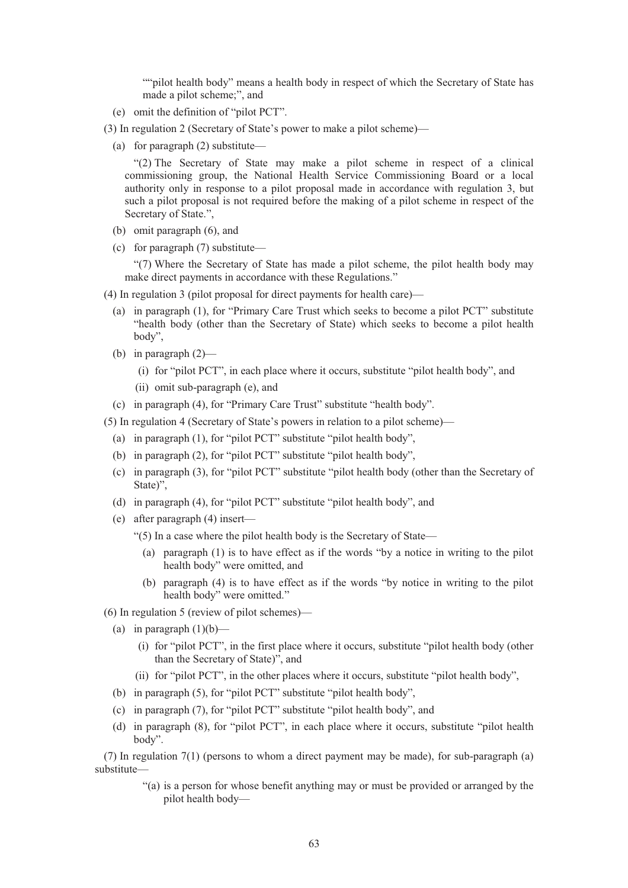""pilot health body" means a health body in respect of which the Secretary of State has made a pilot scheme;", and

- (e) omit the definition of "pilot PCT".
- (3) In regulation 2 (Secretary of State's power to make a pilot scheme)—
	- (a) for paragraph (2) substitute—

"(2) The Secretary of State may make a pilot scheme in respect of a clinical commissioning group, the National Health Service Commissioning Board or a local authority only in response to a pilot proposal made in accordance with regulation 3, but such a pilot proposal is not required before the making of a pilot scheme in respect of the Secretary of State.",

- (b) omit paragraph (6), and
- (c) for paragraph (7) substitute—

"(7) Where the Secretary of State has made a pilot scheme, the pilot health body may make direct payments in accordance with these Regulations."

- (4) In regulation 3 (pilot proposal for direct payments for health care)—
	- (a) in paragraph (1), for "Primary Care Trust which seeks to become a pilot PCT" substitute "health body (other than the Secretary of State) which seeks to become a pilot health body",
	- (b) in paragraph (2)—
		- (i) for "pilot PCT", in each place where it occurs, substitute "pilot health body", and
		- (ii) omit sub-paragraph (e), and
	- (c) in paragraph (4), for "Primary Care Trust" substitute "health body".
- (5) In regulation 4 (Secretary of State's powers in relation to a pilot scheme)—
	- (a) in paragraph (1), for "pilot PCT" substitute "pilot health body",
	- (b) in paragraph (2), for "pilot PCT" substitute "pilot health body",
	- (c) in paragraph (3), for "pilot PCT" substitute "pilot health body (other than the Secretary of State)",
	- (d) in paragraph (4), for "pilot PCT" substitute "pilot health body", and
	- (e) after paragraph (4) insert—
		- "(5) In a case where the pilot health body is the Secretary of State—
			- (a) paragraph (1) is to have effect as if the words "by a notice in writing to the pilot health body" were omitted, and
			- (b) paragraph (4) is to have effect as if the words "by notice in writing to the pilot health body" were omitted."
- (6) In regulation 5 (review of pilot schemes)—
	- (a) in paragraph  $(1)(b)$ 
		- (i) for "pilot PCT", in the first place where it occurs, substitute "pilot health body (other than the Secretary of State)", and
		- (ii) for "pilot PCT", in the other places where it occurs, substitute "pilot health body",
	- (b) in paragraph (5), for "pilot PCT" substitute "pilot health body",
	- (c) in paragraph (7), for "pilot PCT" substitute "pilot health body", and
	- (d) in paragraph (8), for "pilot PCT", in each place where it occurs, substitute "pilot health body".

(7) In regulation 7(1) (persons to whom a direct payment may be made), for sub-paragraph (a) substitute—

> "(a) is a person for whose benefit anything may or must be provided or arranged by the pilot health body—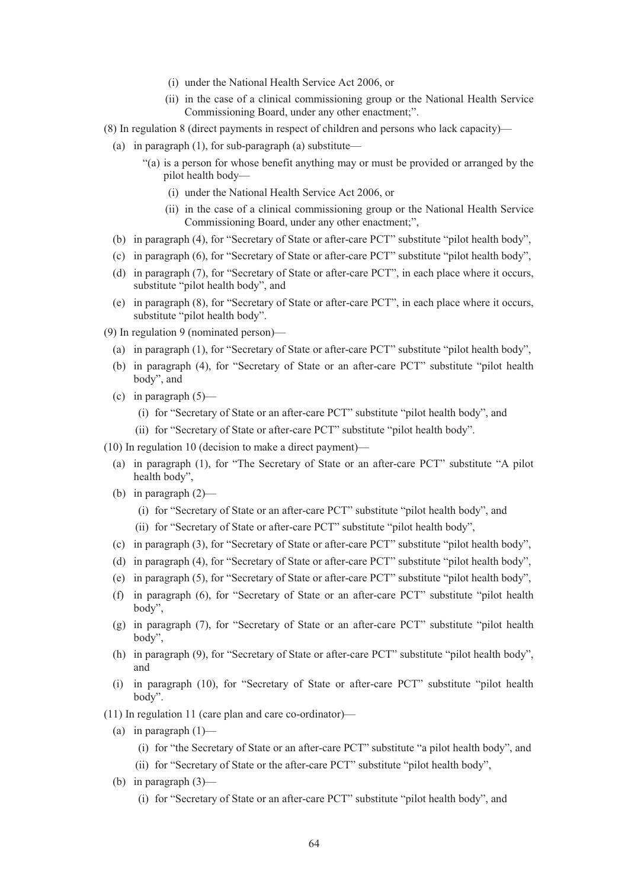- (i) under the National Health Service Act 2006, or
- (ii) in the case of a clinical commissioning group or the National Health Service Commissioning Board, under any other enactment;".
- (8) In regulation 8 (direct payments in respect of children and persons who lack capacity)—
	- (a) in paragraph  $(1)$ , for sub-paragraph  $(a)$  substitute—
		- "(a) is a person for whose benefit anything may or must be provided or arranged by the pilot health body—
			- (i) under the National Health Service Act 2006, or
			- (ii) in the case of a clinical commissioning group or the National Health Service Commissioning Board, under any other enactment;",
	- (b) in paragraph (4), for "Secretary of State or after-care PCT" substitute "pilot health body",
	- (c) in paragraph (6), for "Secretary of State or after-care PCT" substitute "pilot health body",
	- (d) in paragraph (7), for "Secretary of State or after-care PCT", in each place where it occurs, substitute "pilot health body", and
	- (e) in paragraph (8), for "Secretary of State or after-care PCT", in each place where it occurs, substitute "pilot health body".
- (9) In regulation 9 (nominated person)—
	- (a) in paragraph (1), for "Secretary of State or after-care PCT" substitute "pilot health body",
	- (b) in paragraph (4), for "Secretary of State or an after-care PCT" substitute "pilot health body", and
	- (c) in paragraph  $(5)$ 
		- (i) for "Secretary of State or an after-care PCT" substitute "pilot health body", and
		- (ii) for "Secretary of State or after-care PCT" substitute "pilot health body".
- (10) In regulation 10 (decision to make a direct payment)—
	- (a) in paragraph (1), for "The Secretary of State or an after-care PCT" substitute "A pilot health body",
	- (b) in paragraph  $(2)$ 
		- (i) for "Secretary of State or an after-care PCT" substitute "pilot health body", and
		- (ii) for "Secretary of State or after-care PCT" substitute "pilot health body",
	- (c) in paragraph (3), for "Secretary of State or after-care PCT" substitute "pilot health body",
	- (d) in paragraph (4), for "Secretary of State or after-care PCT" substitute "pilot health body",
	- (e) in paragraph (5), for "Secretary of State or after-care PCT" substitute "pilot health body",
	- (f) in paragraph (6), for "Secretary of State or an after-care PCT" substitute "pilot health body",
	- (g) in paragraph (7), for "Secretary of State or an after-care PCT" substitute "pilot health body",
	- (h) in paragraph (9), for "Secretary of State or after-care PCT" substitute "pilot health body", and
	- (i) in paragraph (10), for "Secretary of State or after-care PCT" substitute "pilot health body".
- (11) In regulation 11 (care plan and care co-ordinator)—
	- (a) in paragraph  $(1)$ 
		- (i) for "the Secretary of State or an after-care PCT" substitute "a pilot health body", and
		- (ii) for "Secretary of State or the after-care PCT" substitute "pilot health body",
	- (b) in paragraph (3)—
		- (i) for "Secretary of State or an after-care PCT" substitute "pilot health body", and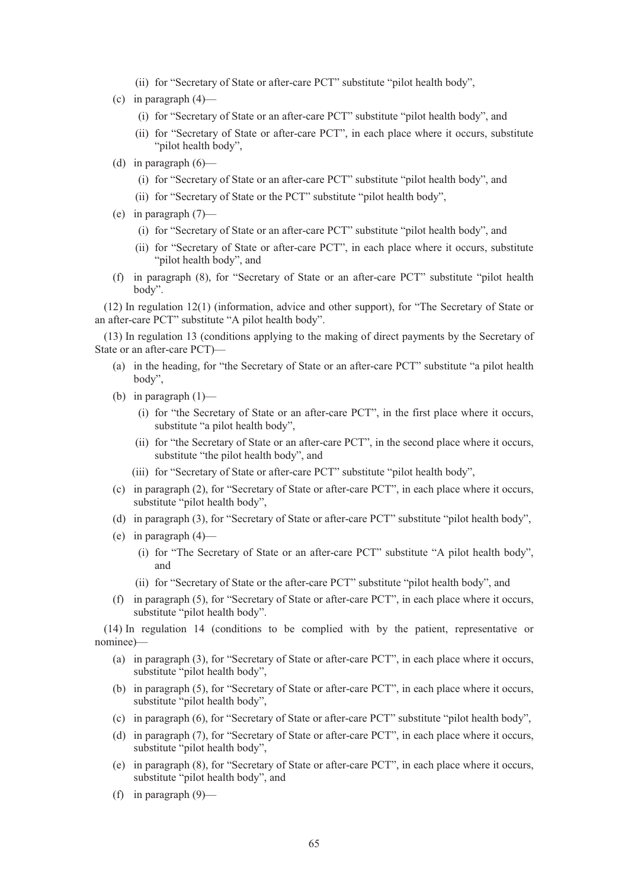- (ii) for "Secretary of State or after-care PCT" substitute "pilot health body",
- (c) in paragraph  $(4)$ 
	- (i) for "Secretary of State or an after-care PCT" substitute "pilot health body", and
	- (ii) for "Secretary of State or after-care PCT", in each place where it occurs, substitute "pilot health body",
- (d) in paragraph  $(6)$ 
	- (i) for "Secretary of State or an after-care PCT" substitute "pilot health body", and
	- (ii) for "Secretary of State or the PCT" substitute "pilot health body",
- (e) in paragraph (7)—
	- (i) for "Secretary of State or an after-care PCT" substitute "pilot health body", and
	- (ii) for "Secretary of State or after-care PCT", in each place where it occurs, substitute "pilot health body", and
- (f) in paragraph (8), for "Secretary of State or an after-care PCT" substitute "pilot health body".

(12) In regulation 12(1) (information, advice and other support), for "The Secretary of State or an after-care PCT" substitute "A pilot health body".

(13) In regulation 13 (conditions applying to the making of direct payments by the Secretary of State or an after-care PCT)—

- (a) in the heading, for "the Secretary of State or an after-care PCT" substitute "a pilot health body",
- (b) in paragraph  $(1)$ 
	- (i) for "the Secretary of State or an after-care PCT", in the first place where it occurs, substitute "a pilot health body",
	- (ii) for "the Secretary of State or an after-care PCT", in the second place where it occurs, substitute "the pilot health body", and
	- (iii) for "Secretary of State or after-care PCT" substitute "pilot health body",
- (c) in paragraph (2), for "Secretary of State or after-care PCT", in each place where it occurs, substitute "pilot health body",
- (d) in paragraph (3), for "Secretary of State or after-care PCT" substitute "pilot health body",
- (e) in paragraph  $(4)$ 
	- (i) for "The Secretary of State or an after-care PCT" substitute "A pilot health body", and
	- (ii) for "Secretary of State or the after-care PCT" substitute "pilot health body", and
- (f) in paragraph (5), for "Secretary of State or after-care PCT", in each place where it occurs, substitute "pilot health body".

(14) In regulation 14 (conditions to be complied with by the patient, representative or nominee)—

- (a) in paragraph (3), for "Secretary of State or after-care PCT", in each place where it occurs, substitute "pilot health body",
- (b) in paragraph (5), for "Secretary of State or after-care PCT", in each place where it occurs, substitute "pilot health body",
- (c) in paragraph (6), for "Secretary of State or after-care PCT" substitute "pilot health body",
- (d) in paragraph (7), for "Secretary of State or after-care PCT", in each place where it occurs, substitute "pilot health body",
- (e) in paragraph (8), for "Secretary of State or after-care PCT", in each place where it occurs, substitute "pilot health body", and
- (f) in paragraph (9)—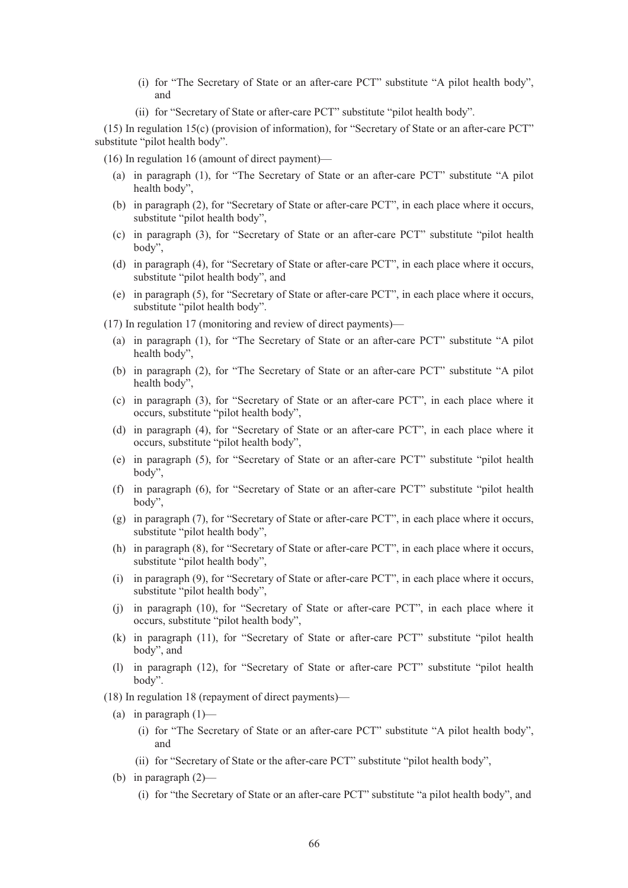- (i) for "The Secretary of State or an after-care PCT" substitute "A pilot health body", and
- (ii) for "Secretary of State or after-care PCT" substitute "pilot health body".

(15) In regulation 15(c) (provision of information), for "Secretary of State or an after-care PCT" substitute "pilot health body".

(16) In regulation 16 (amount of direct payment)—

- (a) in paragraph (1), for "The Secretary of State or an after-care PCT" substitute "A pilot health body",
- (b) in paragraph (2), for "Secretary of State or after-care PCT", in each place where it occurs, substitute "pilot health body",
- (c) in paragraph (3), for "Secretary of State or an after-care PCT" substitute "pilot health body",
- (d) in paragraph (4), for "Secretary of State or after-care PCT", in each place where it occurs, substitute "pilot health body", and
- (e) in paragraph (5), for "Secretary of State or after-care PCT", in each place where it occurs, substitute "pilot health body".
- (17) In regulation 17 (monitoring and review of direct payments)—
	- (a) in paragraph (1), for "The Secretary of State or an after-care PCT" substitute "A pilot health body",
	- (b) in paragraph (2), for "The Secretary of State or an after-care PCT" substitute "A pilot health body",
	- (c) in paragraph (3), for "Secretary of State or an after-care PCT", in each place where it occurs, substitute "pilot health body",
	- (d) in paragraph (4), for "Secretary of State or an after-care PCT", in each place where it occurs, substitute "pilot health body",
	- (e) in paragraph (5), for "Secretary of State or an after-care PCT" substitute "pilot health body",
	- (f) in paragraph (6), for "Secretary of State or an after-care PCT" substitute "pilot health body",
	- (g) in paragraph (7), for "Secretary of State or after-care PCT", in each place where it occurs, substitute "pilot health body",
	- (h) in paragraph (8), for "Secretary of State or after-care PCT", in each place where it occurs, substitute "pilot health body",
	- (i) in paragraph (9), for "Secretary of State or after-care PCT", in each place where it occurs, substitute "pilot health body",
	- (j) in paragraph (10), for "Secretary of State or after-care PCT", in each place where it occurs, substitute "pilot health body",
	- (k) in paragraph (11), for "Secretary of State or after-care PCT" substitute "pilot health body", and
	- (l) in paragraph (12), for "Secretary of State or after-care PCT" substitute "pilot health body".
- (18) In regulation 18 (repayment of direct payments)—
	- (a) in paragraph  $(1)$ 
		- (i) for "The Secretary of State or an after-care PCT" substitute "A pilot health body", and
		- (ii) for "Secretary of State or the after-care PCT" substitute "pilot health body",
	- (b) in paragraph  $(2)$ 
		- (i) for "the Secretary of State or an after-care PCT" substitute "a pilot health body", and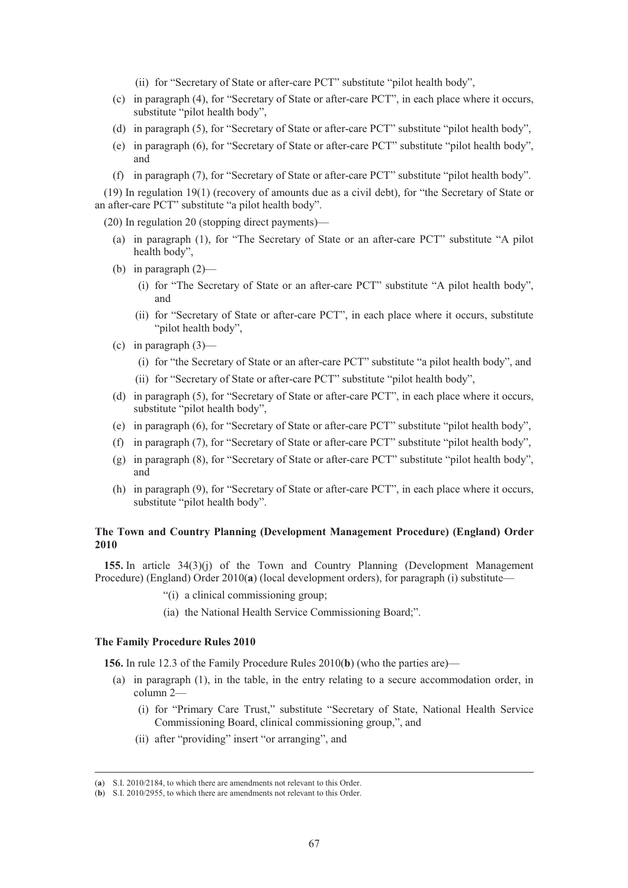(ii) for "Secretary of State or after-care PCT" substitute "pilot health body",

- (c) in paragraph (4), for "Secretary of State or after-care PCT", in each place where it occurs, substitute "pilot health body",
- (d) in paragraph (5), for "Secretary of State or after-care PCT" substitute "pilot health body",
- (e) in paragraph (6), for "Secretary of State or after-care PCT" substitute "pilot health body", and
- (f) in paragraph (7), for "Secretary of State or after-care PCT" substitute "pilot health body".

(19) In regulation 19(1) (recovery of amounts due as a civil debt), for "the Secretary of State or an after-care PCT" substitute "a pilot health body".

(20) In regulation 20 (stopping direct payments)—

- (a) in paragraph (1), for "The Secretary of State or an after-care PCT" substitute "A pilot health body",
- (b) in paragraph  $(2)$ 
	- (i) for "The Secretary of State or an after-care PCT" substitute "A pilot health body", and
	- (ii) for "Secretary of State or after-care PCT", in each place where it occurs, substitute "pilot health body",
- (c) in paragraph  $(3)$ 
	- (i) for "the Secretary of State or an after-care PCT" substitute "a pilot health body", and
	- (ii) for "Secretary of State or after-care PCT" substitute "pilot health body",
- (d) in paragraph (5), for "Secretary of State or after-care PCT", in each place where it occurs, substitute "pilot health body",
- (e) in paragraph (6), for "Secretary of State or after-care PCT" substitute "pilot health body",
- (f) in paragraph (7), for "Secretary of State or after-care PCT" substitute "pilot health body",
- (g) in paragraph (8), for "Secretary of State or after-care PCT" substitute "pilot health body", and
- (h) in paragraph (9), for "Secretary of State or after-care PCT", in each place where it occurs, substitute "pilot health body".

# **The Town and Country Planning (Development Management Procedure) (England) Order 2010**

**155.** In article 34(3)(j) of the Town and Country Planning (Development Management Procedure) (England) Order 2010(a) (local development orders), for paragraph (i) substitute-

- "(i) a clinical commissioning group;
- (ia) the National Health Service Commissioning Board;".

### **The Family Procedure Rules 2010**

**156.** In rule 12.3 of the Family Procedure Rules 2010(**b**) (who the parties are)—

- (a) in paragraph (1), in the table, in the entry relating to a secure accommodation order, in column 2—
	- (i) for "Primary Care Trust," substitute "Secretary of State, National Health Service Commissioning Board, clinical commissioning group,", and
	- (ii) after "providing" insert "or arranging", and

 <sup>(</sup>**a**) S.I. 2010/2184, to which there are amendments not relevant to this Order.

<sup>(</sup>**b**) S.I. 2010/2955, to which there are amendments not relevant to this Order.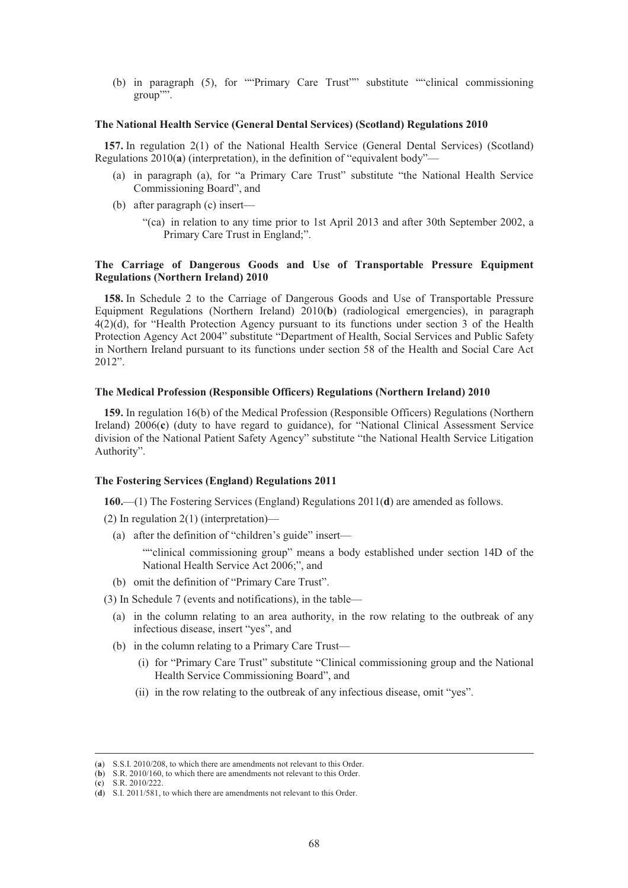(b) in paragraph (5), for ""Primary Care Trust"" substitute ""clinical commissioning group"".

### **The National Health Service (General Dental Services) (Scotland) Regulations 2010**

**157.** In regulation 2(1) of the National Health Service (General Dental Services) (Scotland) Regulations 2010(**a**) (interpretation), in the definition of "equivalent body"—

- (a) in paragraph (a), for "a Primary Care Trust" substitute "the National Health Service Commissioning Board", and
- (b) after paragraph (c) insert—
	- "(ca) in relation to any time prior to 1st April 2013 and after 30th September 2002, a Primary Care Trust in England;".

## **The Carriage of Dangerous Goods and Use of Transportable Pressure Equipment Regulations (Northern Ireland) 2010**

**158.** In Schedule 2 to the Carriage of Dangerous Goods and Use of Transportable Pressure Equipment Regulations (Northern Ireland) 2010(**b**) (radiological emergencies), in paragraph 4(2)(d), for "Health Protection Agency pursuant to its functions under section 3 of the Health Protection Agency Act 2004" substitute "Department of Health, Social Services and Public Safety in Northern Ireland pursuant to its functions under section 58 of the Health and Social Care Act 2012".

## **The Medical Profession (Responsible Officers) Regulations (Northern Ireland) 2010**

**159.** In regulation 16(b) of the Medical Profession (Responsible Officers) Regulations (Northern Ireland) 2006(**c**) (duty to have regard to guidance), for "National Clinical Assessment Service division of the National Patient Safety Agency" substitute "the National Health Service Litigation Authority".

### **The Fostering Services (England) Regulations 2011**

**160.**—(1) The Fostering Services (England) Regulations 2011(**d**) are amended as follows.

- (2) In regulation 2(1) (interpretation)—
	- (a) after the definition of "children's guide" insert—

""clinical commissioning group" means a body established under section 14D of the National Health Service Act 2006;", and

(b) omit the definition of "Primary Care Trust".

(3) In Schedule 7 (events and notifications), in the table—

- (a) in the column relating to an area authority, in the row relating to the outbreak of any infectious disease, insert "yes", and
- (b) in the column relating to a Primary Care Trust—
	- (i) for "Primary Care Trust" substitute "Clinical commissioning group and the National Health Service Commissioning Board", and
	- (ii) in the row relating to the outbreak of any infectious disease, omit "yes".

(**c**) S.R. 2010/222.

 <sup>(</sup>**a**) S.S.I. 2010/208, to which there are amendments not relevant to this Order.

<sup>(</sup>**b**) S.R. 2010/160, to which there are amendments not relevant to this Order.

<sup>(</sup>**d**) S.I. 2011/581, to which there are amendments not relevant to this Order.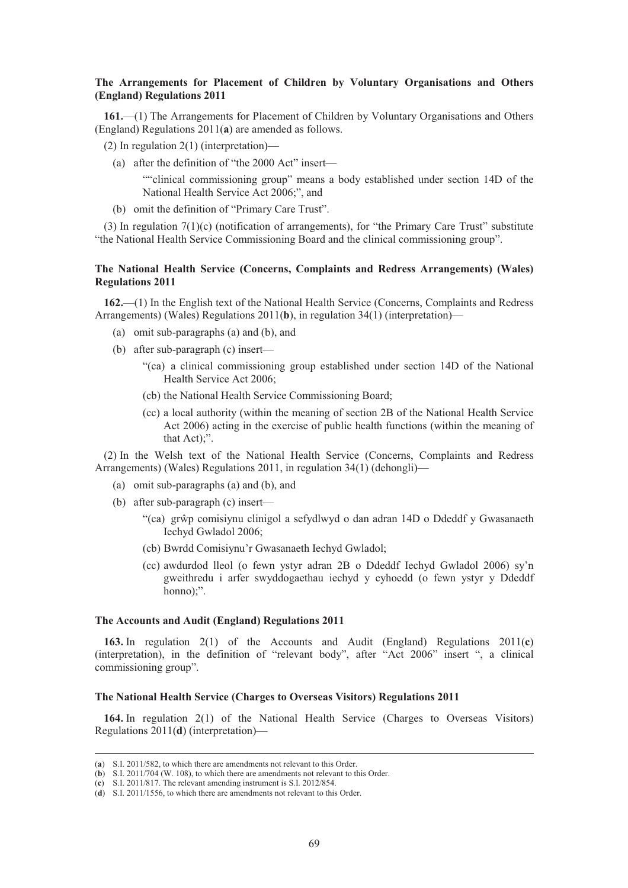## **The Arrangements for Placement of Children by Voluntary Organisations and Others (England) Regulations 2011**

**161.**—(1) The Arrangements for Placement of Children by Voluntary Organisations and Others (England) Regulations 2011(**a**) are amended as follows.

- (2) In regulation 2(1) (interpretation)—
	- (a) after the definition of "the 2000 Act" insert—

""clinical commissioning group" means a body established under section 14D of the National Health Service Act 2006;", and

(b) omit the definition of "Primary Care Trust".

(3) In regulation 7(1)(c) (notification of arrangements), for "the Primary Care Trust" substitute "the National Health Service Commissioning Board and the clinical commissioning group".

## **The National Health Service (Concerns, Complaints and Redress Arrangements) (Wales) Regulations 2011**

**162.**—(1) In the English text of the National Health Service (Concerns, Complaints and Redress Arrangements) (Wales) Regulations 2011(**b**), in regulation 34(1) (interpretation)—

- (a) omit sub-paragraphs (a) and (b), and
- (b) after sub-paragraph (c) insert—
	- "(ca) a clinical commissioning group established under section 14D of the National Health Service Act 2006;
	- (cb) the National Health Service Commissioning Board;
	- (cc) a local authority (within the meaning of section 2B of the National Health Service Act 2006) acting in the exercise of public health functions (within the meaning of that Act);".

(2) In the Welsh text of the National Health Service (Concerns, Complaints and Redress Arrangements) (Wales) Regulations 2011, in regulation 34(1) (dehongli)—

- (a) omit sub-paragraphs (a) and (b), and
- (b) after sub-paragraph (c) insert—
	- "(ca) grŵp comisiynu clinigol a sefydlwyd o dan adran 14D o Ddeddf y Gwasanaeth Iechyd Gwladol 2006;
	- (cb) Bwrdd Comisiynu'r Gwasanaeth Iechyd Gwladol;
	- (cc) awdurdod lleol (o fewn ystyr adran 2B o Ddeddf Iechyd Gwladol 2006) sy'n gweithredu i arfer swyddogaethau iechyd y cyhoedd (o fewn ystyr y Ddeddf honno);".

#### **The Accounts and Audit (England) Regulations 2011**

**163.** In regulation 2(1) of the Accounts and Audit (England) Regulations 2011(**c**) (interpretation), in the definition of "relevant body", after "Act 2006" insert ", a clinical commissioning group".

### **The National Health Service (Charges to Overseas Visitors) Regulations 2011**

**164.** In regulation 2(1) of the National Health Service (Charges to Overseas Visitors) Regulations 2011(**d**) (interpretation)—

 <sup>(</sup>**a**) S.I. 2011/582, to which there are amendments not relevant to this Order.

<sup>(</sup>**b**) S.I. 2011/704 (W. 108), to which there are amendments not relevant to this Order.

<sup>(</sup>**c**) S.I. 2011/817. The relevant amending instrument is S.I. 2012/854.

<sup>(</sup>**d**) S.I. 2011/1556, to which there are amendments not relevant to this Order.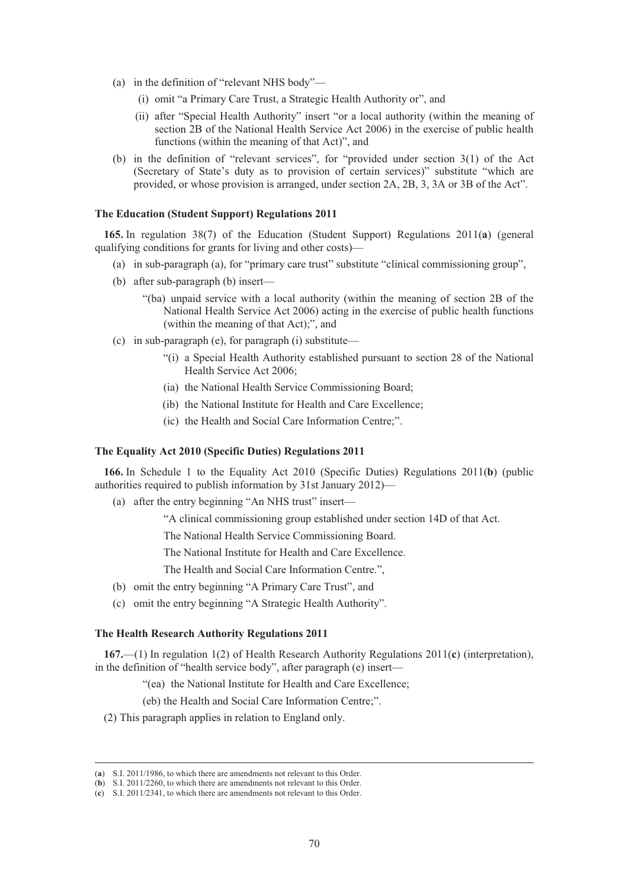- (a) in the definition of "relevant NHS body"—
	- (i) omit "a Primary Care Trust, a Strategic Health Authority or", and
	- (ii) after "Special Health Authority" insert "or a local authority (within the meaning of section 2B of the National Health Service Act 2006) in the exercise of public health functions (within the meaning of that Act)", and
- (b) in the definition of "relevant services", for "provided under section 3(1) of the Act (Secretary of State's duty as to provision of certain services)" substitute "which are provided, or whose provision is arranged, under section 2A, 2B, 3, 3A or 3B of the Act".

# **The Education (Student Support) Regulations 2011**

**165.** In regulation 38(7) of the Education (Student Support) Regulations 2011(**a**) (general qualifying conditions for grants for living and other costs)—

- (a) in sub-paragraph (a), for "primary care trust" substitute "clinical commissioning group",
- (b) after sub-paragraph (b) insert—
	- "(ba) unpaid service with a local authority (within the meaning of section 2B of the National Health Service Act 2006) acting in the exercise of public health functions (within the meaning of that Act);", and
- (c) in sub-paragraph (e), for paragraph (i) substitute—
	- "(i) a Special Health Authority established pursuant to section 28 of the National Health Service Act 2006;
	- (ia) the National Health Service Commissioning Board;
	- (ib) the National Institute for Health and Care Excellence;
	- (ic) the Health and Social Care Information Centre;".

### **The Equality Act 2010 (Specific Duties) Regulations 2011**

**166.** In Schedule 1 to the Equality Act 2010 (Specific Duties) Regulations 2011(**b**) (public authorities required to publish information by 31st January 2012)—

(a) after the entry beginning "An NHS trust" insert—

"A clinical commissioning group established under section 14D of that Act.

The National Health Service Commissioning Board.

The National Institute for Health and Care Excellence.

The Health and Social Care Information Centre.",

- (b) omit the entry beginning "A Primary Care Trust", and
- (c) omit the entry beginning "A Strategic Health Authority".

## **The Health Research Authority Regulations 2011**

**167.**—(1) In regulation 1(2) of Health Research Authority Regulations 2011(**c**) (interpretation), in the definition of "health service body", after paragraph (e) insert—

"(ea) the National Institute for Health and Care Excellence;

(eb) the Health and Social Care Information Centre;".

(2) This paragraph applies in relation to England only.

 <sup>(</sup>**a**) S.I. 2011/1986, to which there are amendments not relevant to this Order.

<sup>(</sup>**b**) S.I. 2011/2260, to which there are amendments not relevant to this Order.

<sup>(</sup>**c**) S.I. 2011/2341, to which there are amendments not relevant to this Order.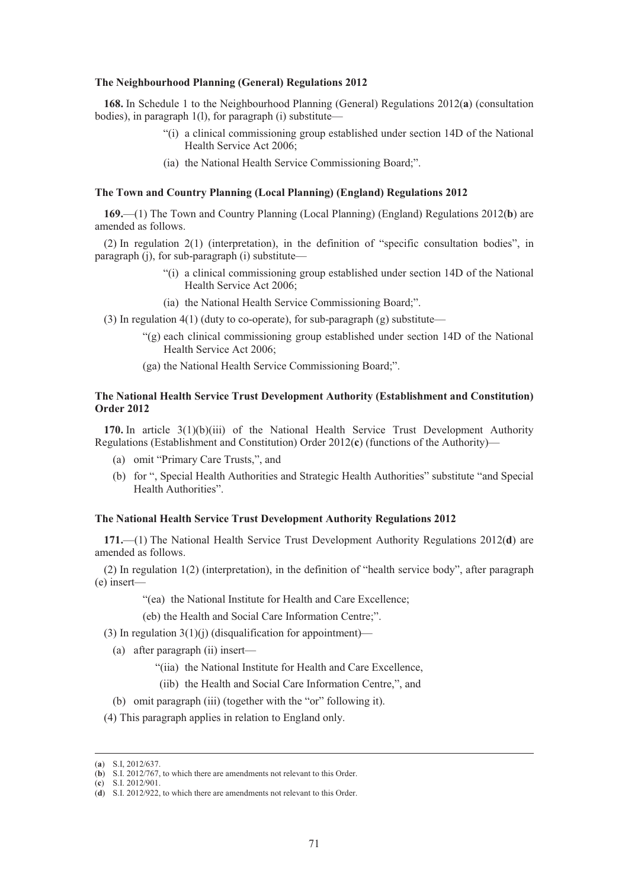#### **The Neighbourhood Planning (General) Regulations 2012**

**168.** In Schedule 1 to the Neighbourhood Planning (General) Regulations 2012(**a**) (consultation bodies), in paragraph 1(l), for paragraph (i) substitute—

- "(i) a clinical commissioning group established under section 14D of the National Health Service Act 2006;
- (ia) the National Health Service Commissioning Board;".

## **The Town and Country Planning (Local Planning) (England) Regulations 2012**

**169.**—(1) The Town and Country Planning (Local Planning) (England) Regulations 2012(**b**) are amended as follows.

(2) In regulation 2(1) (interpretation), in the definition of "specific consultation bodies", in paragraph (j), for sub-paragraph (i) substitute—

- "(i) a clinical commissioning group established under section 14D of the National Health Service Act 2006;
- (ia) the National Health Service Commissioning Board;".
- (3) In regulation  $4(1)$  (duty to co-operate), for sub-paragraph (g) substitute—
	- "(g) each clinical commissioning group established under section 14D of the National Health Service Act 2006;
	- (ga) the National Health Service Commissioning Board;".

## **The National Health Service Trust Development Authority (Establishment and Constitution) Order 2012**

**170.** In article 3(1)(b)(iii) of the National Health Service Trust Development Authority Regulations (Establishment and Constitution) Order 2012(**c**) (functions of the Authority)—

- (a) omit "Primary Care Trusts,", and
- (b) for ", Special Health Authorities and Strategic Health Authorities" substitute "and Special Health Authorities".

#### **The National Health Service Trust Development Authority Regulations 2012**

**171.**—(1) The National Health Service Trust Development Authority Regulations 2012(**d**) are amended as follows.

(2) In regulation 1(2) (interpretation), in the definition of "health service body", after paragraph (e) insert—

"(ea) the National Institute for Health and Care Excellence;

(eb) the Health and Social Care Information Centre;".

(3) In regulation  $3(1)(i)$  (disqualification for appointment)—

- (a) after paragraph (ii) insert—
	- "(iia) the National Institute for Health and Care Excellence,
	- (iib) the Health and Social Care Information Centre,", and
- (b) omit paragraph (iii) (together with the "or" following it).
- (4) This paragraph applies in relation to England only.

(**c**) S.I. 2012/901.

 <sup>(</sup>**a**) S.I, 2012/637.

<sup>(</sup>**b**) S.I. 2012/767, to which there are amendments not relevant to this Order.

<sup>(</sup>**d**) S.I. 2012/922, to which there are amendments not relevant to this Order.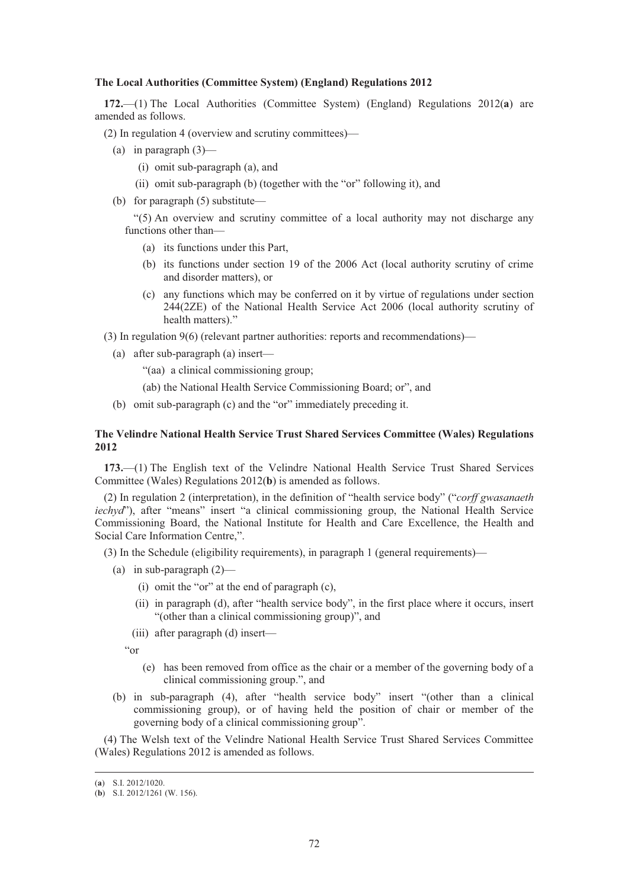#### **The Local Authorities (Committee System) (England) Regulations 2012**

**172.**—(1) The Local Authorities (Committee System) (England) Regulations 2012(**a**) are amended as follows.

(2) In regulation 4 (overview and scrutiny committees)—

- (a) in paragraph  $(3)$ 
	- (i) omit sub-paragraph (a), and
	- (ii) omit sub-paragraph (b) (together with the "or" following it), and
- (b) for paragraph (5) substitute—

"(5) An overview and scrutiny committee of a local authority may not discharge any functions other than—

- (a) its functions under this Part,
- (b) its functions under section 19 of the 2006 Act (local authority scrutiny of crime and disorder matters), or
- (c) any functions which may be conferred on it by virtue of regulations under section 244(2ZE) of the National Health Service Act 2006 (local authority scrutiny of health matters)."

(3) In regulation 9(6) (relevant partner authorities: reports and recommendations)—

- (a) after sub-paragraph (a) insert—
	- "(aa) a clinical commissioning group;
	- (ab) the National Health Service Commissioning Board; or", and
- (b) omit sub-paragraph (c) and the "or" immediately preceding it.

# **The Velindre National Health Service Trust Shared Services Committee (Wales) Regulations 2012**

**173.**—(1) The English text of the Velindre National Health Service Trust Shared Services Committee (Wales) Regulations 2012(**b**) is amended as follows.

(2) In regulation 2 (interpretation), in the definition of "health service body" ("*corff gwasanaeth iechyd*"), after "means" insert "a clinical commissioning group, the National Health Service Commissioning Board, the National Institute for Health and Care Excellence, the Health and Social Care Information Centre,".

(3) In the Schedule (eligibility requirements), in paragraph 1 (general requirements)—

- (a) in sub-paragraph  $(2)$ 
	- (i) omit the "or" at the end of paragraph (c),
	- (ii) in paragraph (d), after "health service body", in the first place where it occurs, insert "(other than a clinical commissioning group)", and
	- (iii) after paragraph (d) insert—

"or

- (e) has been removed from office as the chair or a member of the governing body of a clinical commissioning group.", and
- (b) in sub-paragraph (4), after "health service body" insert "(other than a clinical commissioning group), or of having held the position of chair or member of the governing body of a clinical commissioning group".

(4) The Welsh text of the Velindre National Health Service Trust Shared Services Committee (Wales) Regulations 2012 is amended as follows.

 <sup>(</sup>**a**) S.I. 2012/1020.

<sup>(</sup>**b**) S.I. 2012/1261 (W. 156).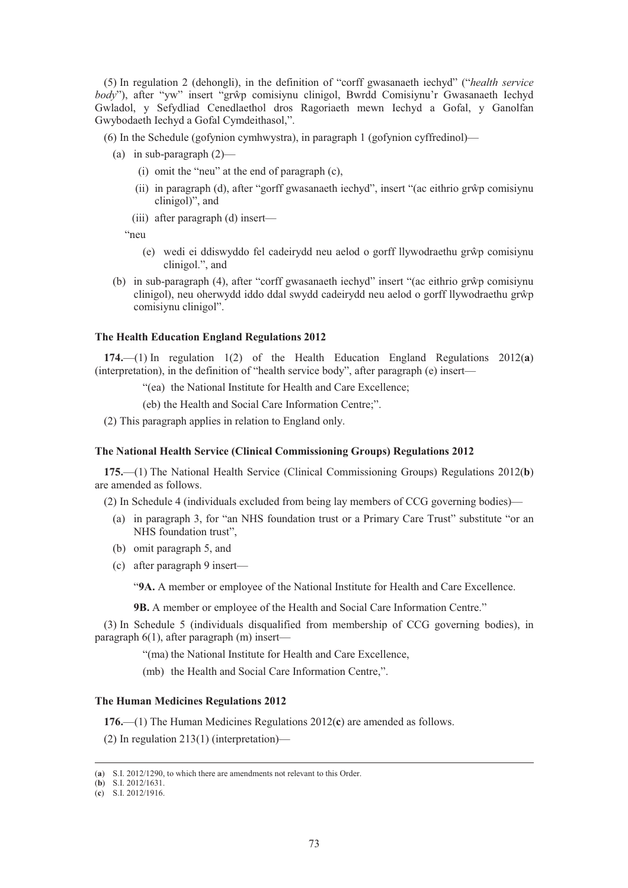(5) In regulation 2 (dehongli), in the definition of "corff gwasanaeth iechyd" ("*health service*  body"), after "yw" insert "grŵp comisiynu clinigol, Bwrdd Comisiynu'r Gwasanaeth Iechyd Gwladol, y Sefydliad Cenedlaethol dros Ragoriaeth mewn Iechyd a Gofal, y Ganolfan Gwybodaeth Iechyd a Gofal Cymdeithasol,".

(6) In the Schedule (gofynion cymhwystra), in paragraph 1 (gofynion cyffredinol)—

- (a) in sub-paragraph (2)—
	- (i) omit the "neu" at the end of paragraph (c),
	- (ii) in paragraph (d), after "gorff gwasanaeth iechyd", insert "(ac eithrio gr-p comisiynu clinigol)", and
	- (iii) after paragraph (d) insert—

"neu

- (e) wedi ei ddiswyddo fel cadeirydd neu aelod o gorff llywodraethu grŵp comisiynu clinigol.", and
- (b) in sub-paragraph (4), after "corff gwasanaeth iechyd" insert "(ac eithrio gr-p comisiynu clinigol), neu oherwydd iddo ddal swydd cadeirydd neu aelod o gorff llywodraethu grŵp comisiynu clinigol".

#### **The Health Education England Regulations 2012**

**174.**—(1) In regulation 1(2) of the Health Education England Regulations 2012(**a**) (interpretation), in the definition of "health service body", after paragraph (e) insert—

"(ea) the National Institute for Health and Care Excellence;

(eb) the Health and Social Care Information Centre;".

(2) This paragraph applies in relation to England only.

#### **The National Health Service (Clinical Commissioning Groups) Regulations 2012**

**175.**—(1) The National Health Service (Clinical Commissioning Groups) Regulations 2012(**b**) are amended as follows.

(2) In Schedule 4 (individuals excluded from being lay members of CCG governing bodies)—

- (a) in paragraph 3, for "an NHS foundation trust or a Primary Care Trust" substitute "or an NHS foundation trust",
- (b) omit paragraph 5, and
- (c) after paragraph 9 insert—

"**9A.** A member or employee of the National Institute for Health and Care Excellence.

**9B.** A member or employee of the Health and Social Care Information Centre."

(3) In Schedule 5 (individuals disqualified from membership of CCG governing bodies), in paragraph 6(1), after paragraph (m) insert—

"(ma) the National Institute for Health and Care Excellence,

(mb) the Health and Social Care Information Centre,".

#### **The Human Medicines Regulations 2012**

**176.**—(1) The Human Medicines Regulations 2012(**c**) are amended as follows.

(2) In regulation 213(1) (interpretation)—

 <sup>(</sup>**a**) S.I. 2012/1290, to which there are amendments not relevant to this Order.

<sup>(</sup>**b**) S.I. 2012/1631.

<sup>(</sup>**c**) S.I. 2012/1916.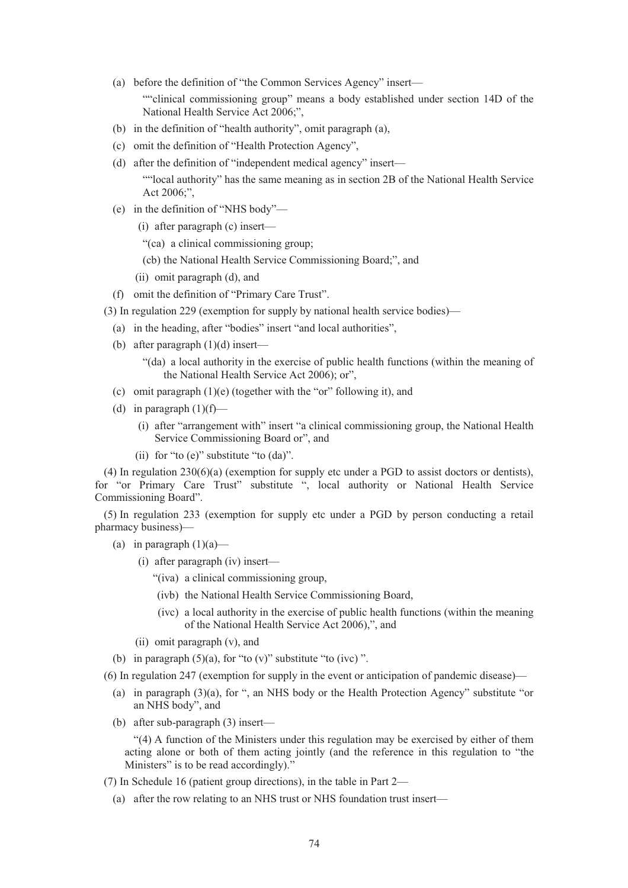- (a) before the definition of "the Common Services Agency" insert— ""clinical commissioning group" means a body established under section 14D of the National Health Service Act 2006;",
- (b) in the definition of "health authority", omit paragraph (a),
- (c) omit the definition of "Health Protection Agency",
- (d) after the definition of "independent medical agency" insert— ""local authority" has the same meaning as in section 2B of the National Health Service Act 2006;",
- (e) in the definition of "NHS body"—
	- (i) after paragraph (c) insert—
	- "(ca) a clinical commissioning group;
	- (cb) the National Health Service Commissioning Board;", and
	- (ii) omit paragraph (d), and
- (f) omit the definition of "Primary Care Trust".
- (3) In regulation 229 (exemption for supply by national health service bodies)—
- (a) in the heading, after "bodies" insert "and local authorities",
- (b) after paragraph  $(1)(d)$  insert—

"(da) a local authority in the exercise of public health functions (within the meaning of the National Health Service Act 2006); or",

- (c) omit paragraph (1)(e) (together with the "or" following it), and
- (d) in paragraph  $(1)(f)$ 
	- (i) after "arrangement with" insert "a clinical commissioning group, the National Health Service Commissioning Board or", and
	- (ii) for "to (e)" substitute "to (da)".

(4) In regulation 230(6)(a) (exemption for supply etc under a PGD to assist doctors or dentists), for "or Primary Care Trust" substitute ", local authority or National Health Service Commissioning Board".

(5) In regulation 233 (exemption for supply etc under a PGD by person conducting a retail pharmacy business)—

- (a) in paragraph  $(1)(a)$ 
	- (i) after paragraph (iv) insert—
		- "(iva) a clinical commissioning group,
		- (ivb) the National Health Service Commissioning Board,
		- (ivc) a local authority in the exercise of public health functions (within the meaning of the National Health Service Act 2006),", and
	- (ii) omit paragraph (v), and
- (b) in paragraph  $(5)(a)$ , for "to  $(v)$ " substitute "to  $(ivc)$ ".
- (6) In regulation 247 (exemption for supply in the event or anticipation of pandemic disease)—
	- (a) in paragraph (3)(a), for ", an NHS body or the Health Protection Agency" substitute "or an NHS body", and
	- (b) after sub-paragraph (3) insert—

"(4) A function of the Ministers under this regulation may be exercised by either of them acting alone or both of them acting jointly (and the reference in this regulation to "the Ministers" is to be read accordingly)."

- (7) In Schedule 16 (patient group directions), in the table in Part 2—
	- (a) after the row relating to an NHS trust or NHS foundation trust insert—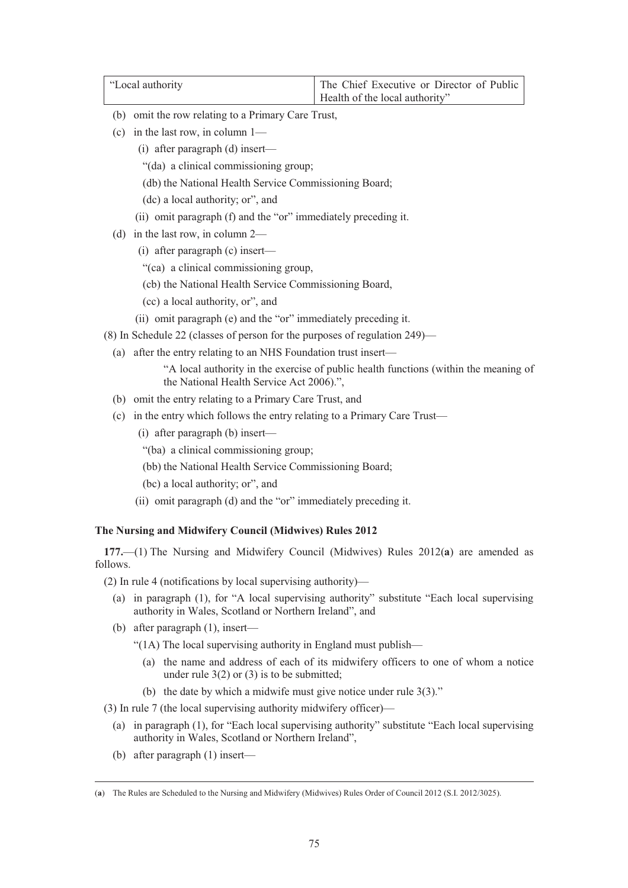| "Local authority" | The Chief Executive or Director of Public |
|-------------------|-------------------------------------------|
|                   | Health of the local authority"            |

- (b) omit the row relating to a Primary Care Trust,
- (c) in the last row, in column 1—
	- (i) after paragraph (d) insert—
	- "(da) a clinical commissioning group;
	- (db) the National Health Service Commissioning Board;
	- (dc) a local authority; or", and
	- (ii) omit paragraph (f) and the "or" immediately preceding it.
- (d) in the last row, in column 2—
	- (i) after paragraph (c) insert—
	- "(ca) a clinical commissioning group,
	- (cb) the National Health Service Commissioning Board,
	- (cc) a local authority, or", and
	- (ii) omit paragraph (e) and the "or" immediately preceding it.
- (8) In Schedule 22 (classes of person for the purposes of regulation 249)—
	- (a) after the entry relating to an NHS Foundation trust insert—
		- "A local authority in the exercise of public health functions (within the meaning of the National Health Service Act 2006).",
	- (b) omit the entry relating to a Primary Care Trust, and
	- (c) in the entry which follows the entry relating to a Primary Care Trust—
		- (i) after paragraph (b) insert—
		- "(ba) a clinical commissioning group;
		- (bb) the National Health Service Commissioning Board;
		- (bc) a local authority; or", and
		- (ii) omit paragraph (d) and the "or" immediately preceding it.

# **The Nursing and Midwifery Council (Midwives) Rules 2012**

**177.**—(1) The Nursing and Midwifery Council (Midwives) Rules 2012(**a**) are amended as follows.

- (2) In rule 4 (notifications by local supervising authority)—
	- (a) in paragraph (1), for "A local supervising authority" substitute "Each local supervising authority in Wales, Scotland or Northern Ireland", and
	- (b) after paragraph (1), insert—
		- "(1A) The local supervising authority in England must publish—
			- (a) the name and address of each of its midwifery officers to one of whom a notice under rule  $3(2)$  or  $(3)$  is to be submitted;
			- (b) the date by which a midwife must give notice under rule 3(3)."

(3) In rule 7 (the local supervising authority midwifery officer)—

- (a) in paragraph (1), for "Each local supervising authority" substitute "Each local supervising authority in Wales, Scotland or Northern Ireland",
- (b) after paragraph (1) insert—

 <sup>(</sup>**a**) The Rules are Scheduled to the Nursing and Midwifery (Midwives) Rules Order of Council 2012 (S.I. 2012/3025).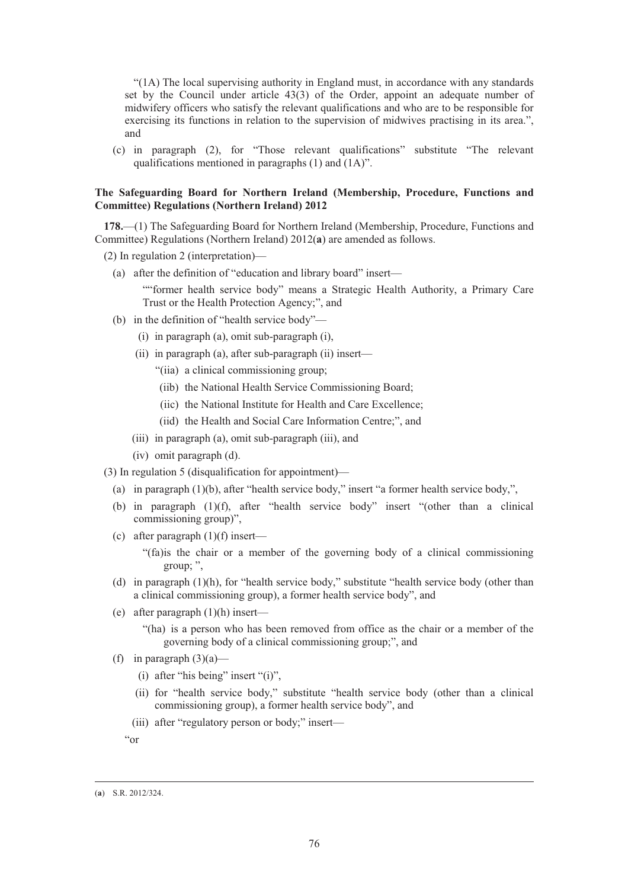"(1A) The local supervising authority in England must, in accordance with any standards set by the Council under article 43(3) of the Order, appoint an adequate number of midwifery officers who satisfy the relevant qualifications and who are to be responsible for exercising its functions in relation to the supervision of midwives practising in its area.", and

(c) in paragraph (2), for "Those relevant qualifications" substitute "The relevant qualifications mentioned in paragraphs (1) and (1A)".

# **The Safeguarding Board for Northern Ireland (Membership, Procedure, Functions and Committee) Regulations (Northern Ireland) 2012**

**178.**—(1) The Safeguarding Board for Northern Ireland (Membership, Procedure, Functions and Committee) Regulations (Northern Ireland) 2012(**a**) are amended as follows.

(2) In regulation 2 (interpretation)—

(a) after the definition of "education and library board" insert—

""former health service body" means a Strategic Health Authority, a Primary Care Trust or the Health Protection Agency;", and

- (b) in the definition of "health service body"—
	- (i) in paragraph (a), omit sub-paragraph (i),
	- (ii) in paragraph (a), after sub-paragraph (ii) insert—
		- "(iia) a clinical commissioning group;
		- (iib) the National Health Service Commissioning Board;
		- (iic) the National Institute for Health and Care Excellence;
		- (iid) the Health and Social Care Information Centre;", and
	- (iii) in paragraph (a), omit sub-paragraph (iii), and
	- (iv) omit paragraph (d).

(3) In regulation 5 (disqualification for appointment)—

- (a) in paragraph (1)(b), after "health service body," insert "a former health service body,",
- (b) in paragraph (1)(f), after "health service body" insert "(other than a clinical commissioning group)",
- (c) after paragraph (1)(f) insert—
	- "(fa)is the chair or a member of the governing body of a clinical commissioning group; ",
- (d) in paragraph (1)(h), for "health service body," substitute "health service body (other than a clinical commissioning group), a former health service body", and
- (e) after paragraph (1)(h) insert—
	- "(ha) is a person who has been removed from office as the chair or a member of the governing body of a clinical commissioning group;", and
- (f) in paragraph  $(3)(a)$ 
	- (i) after "his being" insert "(i)",
	- (ii) for "health service body," substitute "health service body (other than a clinical commissioning group), a former health service body", and
	- (iii) after "regulatory person or body;" insert—

"or

 <sup>(</sup>**a**) S.R. 2012/324.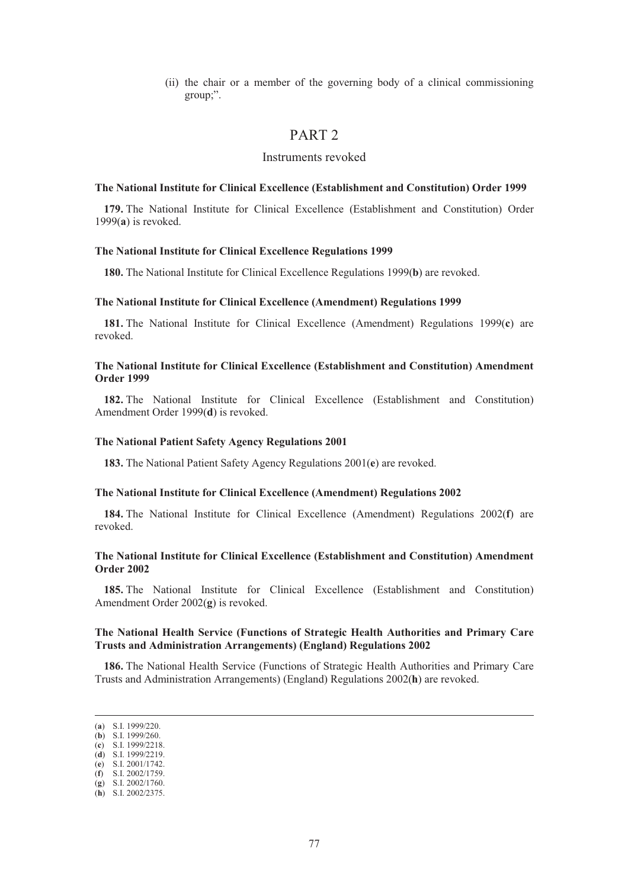(ii) the chair or a member of the governing body of a clinical commissioning group;".

# PART 2

# Instruments revoked

#### **The National Institute for Clinical Excellence (Establishment and Constitution) Order 1999**

**179.** The National Institute for Clinical Excellence (Establishment and Constitution) Order 1999(**a**) is revoked.

#### **The National Institute for Clinical Excellence Regulations 1999**

**180.** The National Institute for Clinical Excellence Regulations 1999(**b**) are revoked.

#### **The National Institute for Clinical Excellence (Amendment) Regulations 1999**

**181.** The National Institute for Clinical Excellence (Amendment) Regulations 1999(**c**) are revoked.

# **The National Institute for Clinical Excellence (Establishment and Constitution) Amendment Order 1999**

**182.** The National Institute for Clinical Excellence (Establishment and Constitution) Amendment Order 1999(**d**) is revoked.

#### **The National Patient Safety Agency Regulations 2001**

**183.** The National Patient Safety Agency Regulations 2001(**e**) are revoked.

#### **The National Institute for Clinical Excellence (Amendment) Regulations 2002**

**184.** The National Institute for Clinical Excellence (Amendment) Regulations 2002(**f**) are revoked.

# **The National Institute for Clinical Excellence (Establishment and Constitution) Amendment Order 2002**

**185.** The National Institute for Clinical Excellence (Establishment and Constitution) Amendment Order 2002(**g**) is revoked.

# **The National Health Service (Functions of Strategic Health Authorities and Primary Care Trusts and Administration Arrangements) (England) Regulations 2002**

**186.** The National Health Service (Functions of Strategic Health Authorities and Primary Care Trusts and Administration Arrangements) (England) Regulations 2002(**h**) are revoked.

 <sup>(</sup>**a**) S.I. 1999/220.

<sup>(</sup>**b**) S.I. 1999/260. (**c**) S.I. 1999/2218.

<sup>(</sup>**d**) S.I. 1999/2219.

<sup>(</sup>**e**) S.I. 2001/1742.

<sup>(</sup>**f**) S.I. 2002/1759.

<sup>(</sup>**g**) S.I. 2002/1760.

<sup>(</sup>**h**) S.I. 2002/2375.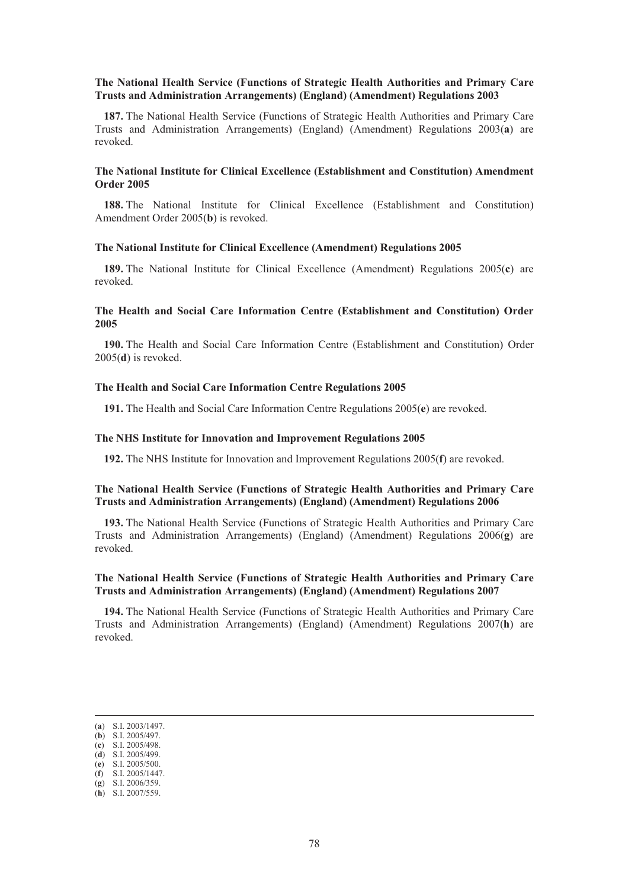#### **The National Health Service (Functions of Strategic Health Authorities and Primary Care Trusts and Administration Arrangements) (England) (Amendment) Regulations 2003**

**187.** The National Health Service (Functions of Strategic Health Authorities and Primary Care Trusts and Administration Arrangements) (England) (Amendment) Regulations 2003(**a**) are revoked.

# **The National Institute for Clinical Excellence (Establishment and Constitution) Amendment Order 2005**

**188.** The National Institute for Clinical Excellence (Establishment and Constitution) Amendment Order 2005(**b**) is revoked.

#### **The National Institute for Clinical Excellence (Amendment) Regulations 2005**

**189.** The National Institute for Clinical Excellence (Amendment) Regulations 2005(**c**) are revoked.

# **The Health and Social Care Information Centre (Establishment and Constitution) Order 2005**

**190.** The Health and Social Care Information Centre (Establishment and Constitution) Order 2005(**d**) is revoked.

## **The Health and Social Care Information Centre Regulations 2005**

**191.** The Health and Social Care Information Centre Regulations 2005(**e**) are revoked.

#### **The NHS Institute for Innovation and Improvement Regulations 2005**

**192.** The NHS Institute for Innovation and Improvement Regulations 2005(**f**) are revoked.

# **The National Health Service (Functions of Strategic Health Authorities and Primary Care Trusts and Administration Arrangements) (England) (Amendment) Regulations 2006**

**193.** The National Health Service (Functions of Strategic Health Authorities and Primary Care Trusts and Administration Arrangements) (England) (Amendment) Regulations 2006(**g**) are revoked.

# **The National Health Service (Functions of Strategic Health Authorities and Primary Care Trusts and Administration Arrangements) (England) (Amendment) Regulations 2007**

**194.** The National Health Service (Functions of Strategic Health Authorities and Primary Care Trusts and Administration Arrangements) (England) (Amendment) Regulations 2007(**h**) are revoked.

 <sup>(</sup>**a**) S.I. 2003/1497.

<sup>(</sup>**b**) S.I. 2005/497. (**c**) S.I. 2005/498.

<sup>(</sup>**d**) S.I. 2005/499.

<sup>(</sup>**e**) S.I. 2005/500.

<sup>(</sup>**f**) S.I. 2005/1447.

<sup>(</sup>**g**) S.I. 2006/359.

<sup>(</sup>**h**) S.I. 2007/559.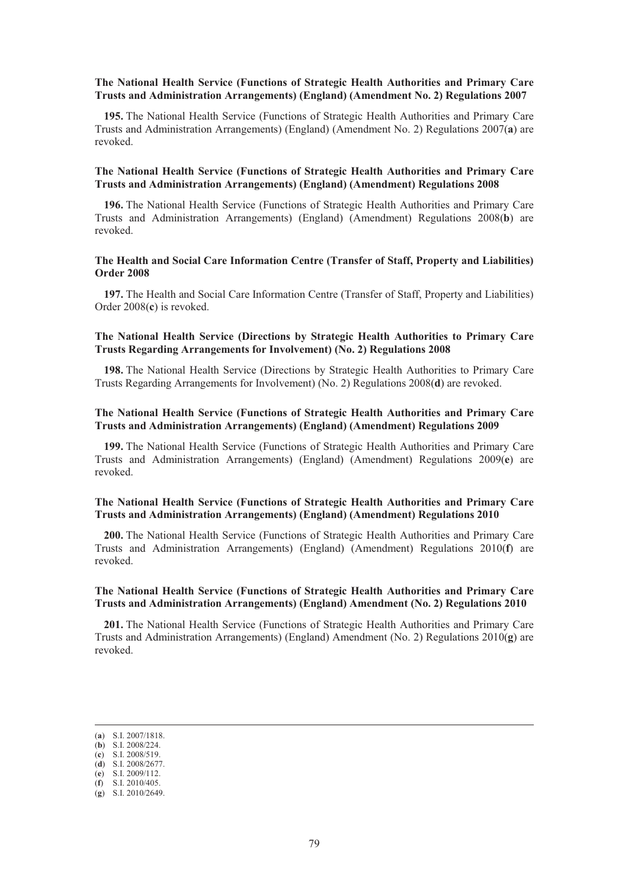# **The National Health Service (Functions of Strategic Health Authorities and Primary Care Trusts and Administration Arrangements) (England) (Amendment No. 2) Regulations 2007**

**195.** The National Health Service (Functions of Strategic Health Authorities and Primary Care Trusts and Administration Arrangements) (England) (Amendment No. 2) Regulations 2007(**a**) are revoked.

# **The National Health Service (Functions of Strategic Health Authorities and Primary Care Trusts and Administration Arrangements) (England) (Amendment) Regulations 2008**

**196.** The National Health Service (Functions of Strategic Health Authorities and Primary Care Trusts and Administration Arrangements) (England) (Amendment) Regulations 2008(**b**) are revoked.

# **The Health and Social Care Information Centre (Transfer of Staff, Property and Liabilities) Order 2008**

**197.** The Health and Social Care Information Centre (Transfer of Staff, Property and Liabilities) Order 2008(**c**) is revoked.

# **The National Health Service (Directions by Strategic Health Authorities to Primary Care Trusts Regarding Arrangements for Involvement) (No. 2) Regulations 2008**

**198.** The National Health Service (Directions by Strategic Health Authorities to Primary Care Trusts Regarding Arrangements for Involvement) (No. 2) Regulations 2008(**d**) are revoked.

# **The National Health Service (Functions of Strategic Health Authorities and Primary Care Trusts and Administration Arrangements) (England) (Amendment) Regulations 2009**

**199.** The National Health Service (Functions of Strategic Health Authorities and Primary Care Trusts and Administration Arrangements) (England) (Amendment) Regulations 2009(**e**) are revoked.

# **The National Health Service (Functions of Strategic Health Authorities and Primary Care Trusts and Administration Arrangements) (England) (Amendment) Regulations 2010**

**200.** The National Health Service (Functions of Strategic Health Authorities and Primary Care Trusts and Administration Arrangements) (England) (Amendment) Regulations 2010(**f**) are revoked.

# **The National Health Service (Functions of Strategic Health Authorities and Primary Care Trusts and Administration Arrangements) (England) Amendment (No. 2) Regulations 2010**

**201.** The National Health Service (Functions of Strategic Health Authorities and Primary Care Trusts and Administration Arrangements) (England) Amendment (No. 2) Regulations 2010(**g**) are revoked.

 <sup>(</sup>**a**) S.I. 2007/1818. (**b**) S.I. 2008/224.

<sup>(</sup>**c**) S.I. 2008/519.

<sup>(</sup>**d**) S.I. 2008/2677.

<sup>(</sup>**e**) S.I. 2009/112.

<sup>(</sup>**f**) S.I. 2010/405.

<sup>(</sup>**g**) S.I. 2010/2649.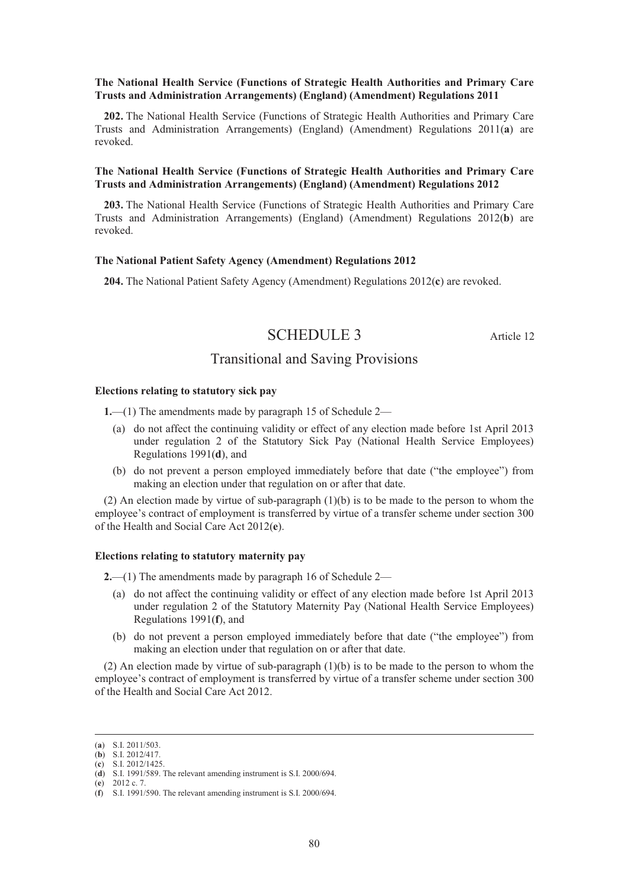# **The National Health Service (Functions of Strategic Health Authorities and Primary Care Trusts and Administration Arrangements) (England) (Amendment) Regulations 2011**

**202.** The National Health Service (Functions of Strategic Health Authorities and Primary Care Trusts and Administration Arrangements) (England) (Amendment) Regulations 2011(**a**) are revoked.

# **The National Health Service (Functions of Strategic Health Authorities and Primary Care Trusts and Administration Arrangements) (England) (Amendment) Regulations 2012**

**203.** The National Health Service (Functions of Strategic Health Authorities and Primary Care Trusts and Administration Arrangements) (England) (Amendment) Regulations 2012(**b**) are revoked.

#### **The National Patient Safety Agency (Amendment) Regulations 2012**

**204.** The National Patient Safety Agency (Amendment) Regulations 2012(**c**) are revoked.

# SCHEDULE 3 Article 12

# Transitional and Saving Provisions

#### **Elections relating to statutory sick pay**

**1.**—(1) The amendments made by paragraph 15 of Schedule 2—

- (a) do not affect the continuing validity or effect of any election made before 1st April 2013 under regulation 2 of the Statutory Sick Pay (National Health Service Employees) Regulations 1991(**d**), and
- (b) do not prevent a person employed immediately before that date ("the employee") from making an election under that regulation on or after that date.

(2) An election made by virtue of sub-paragraph (1)(b) is to be made to the person to whom the employee's contract of employment is transferred by virtue of a transfer scheme under section 300 of the Health and Social Care Act 2012(**e**).

#### **Elections relating to statutory maternity pay**

**2.**—(1) The amendments made by paragraph 16 of Schedule 2—

- (a) do not affect the continuing validity or effect of any election made before 1st April 2013 under regulation 2 of the Statutory Maternity Pay (National Health Service Employees) Regulations 1991(**f**), and
- (b) do not prevent a person employed immediately before that date ("the employee") from making an election under that regulation on or after that date.

(2) An election made by virtue of sub-paragraph  $(1)(b)$  is to be made to the person to whom the employee's contract of employment is transferred by virtue of a transfer scheme under section 300 of the Health and Social Care Act 2012.

(**e**) 2012 c. 7.

 <sup>(</sup>**a**) S.I. 2011/503.

<sup>(</sup>**b**) S.I. 2012/417.

<sup>(</sup>**c**) S.I. 2012/1425.

<sup>(</sup>**d**) S.I. 1991/589. The relevant amending instrument is S.I. 2000/694.

<sup>(</sup>**f**) S.I. 1991/590. The relevant amending instrument is S.I. 2000/694.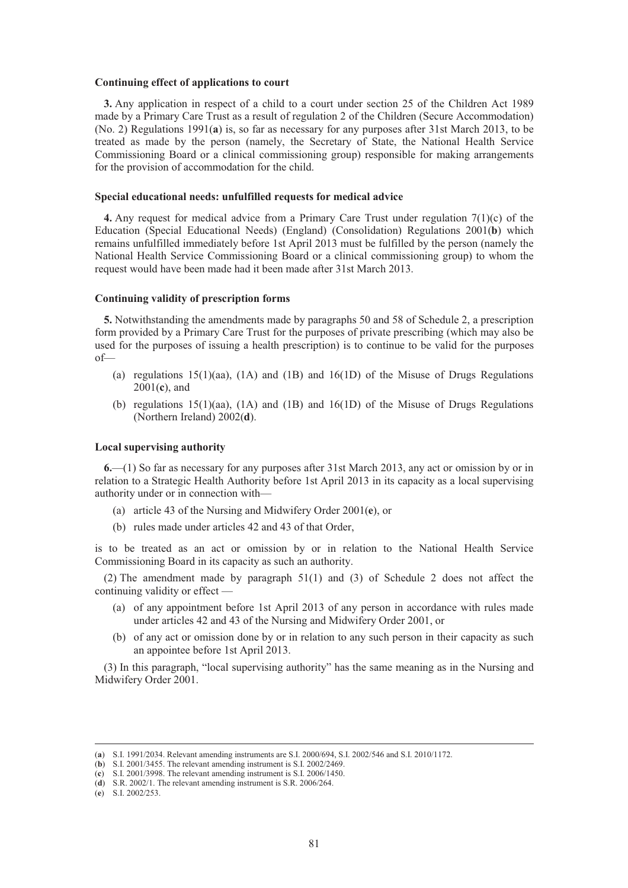#### **Continuing effect of applications to court**

**3.** Any application in respect of a child to a court under section 25 of the Children Act 1989 made by a Primary Care Trust as a result of regulation 2 of the Children (Secure Accommodation) (No. 2) Regulations 1991(**a**) is, so far as necessary for any purposes after 31st March 2013, to be treated as made by the person (namely, the Secretary of State, the National Health Service Commissioning Board or a clinical commissioning group) responsible for making arrangements for the provision of accommodation for the child.

## **Special educational needs: unfulfilled requests for medical advice**

**4.** Any request for medical advice from a Primary Care Trust under regulation 7(1)(c) of the Education (Special Educational Needs) (England) (Consolidation) Regulations 2001(**b**) which remains unfulfilled immediately before 1st April 2013 must be fulfilled by the person (namely the National Health Service Commissioning Board or a clinical commissioning group) to whom the request would have been made had it been made after 31st March 2013.

#### **Continuing validity of prescription forms**

**5.** Notwithstanding the amendments made by paragraphs 50 and 58 of Schedule 2, a prescription form provided by a Primary Care Trust for the purposes of private prescribing (which may also be used for the purposes of issuing a health prescription) is to continue to be valid for the purposes of—

- (a) regulations  $15(1)(aa)$ ,  $(1A)$  and  $(1B)$  and  $16(1D)$  of the Misuse of Drugs Regulations 2001(**c**), and
- (b) regulations 15(1)(aa), (1A) and (1B) and 16(1D) of the Misuse of Drugs Regulations (Northern Ireland) 2002(**d**).

# **Local supervising authority**

**6.**—(1) So far as necessary for any purposes after 31st March 2013, any act or omission by or in relation to a Strategic Health Authority before 1st April 2013 in its capacity as a local supervising authority under or in connection with—

- (a) article 43 of the Nursing and Midwifery Order 2001(**e**), or
- (b) rules made under articles 42 and 43 of that Order,

is to be treated as an act or omission by or in relation to the National Health Service Commissioning Board in its capacity as such an authority.

(2) The amendment made by paragraph 51(1) and (3) of Schedule 2 does not affect the continuing validity or effect —

- (a) of any appointment before 1st April 2013 of any person in accordance with rules made under articles 42 and 43 of the Nursing and Midwifery Order 2001, or
- (b) of any act or omission done by or in relation to any such person in their capacity as such an appointee before 1st April 2013.

(3) In this paragraph, "local supervising authority" has the same meaning as in the Nursing and Midwifery Order 2001.

 <sup>(</sup>**a**) S.I. 1991/2034. Relevant amending instruments are S.I. 2000/694, S.I. 2002/546 and S.I. 2010/1172.

<sup>(</sup>**b**) S.I. 2001/3455. The relevant amending instrument is S.I. 2002/2469.

<sup>(</sup>**c**) S.I. 2001/3998. The relevant amending instrument is S.I. 2006/1450. (**d**) S.R. 2002/1. The relevant amending instrument is S.R. 2006/264.

<sup>(</sup>**e**) S.I. 2002/253.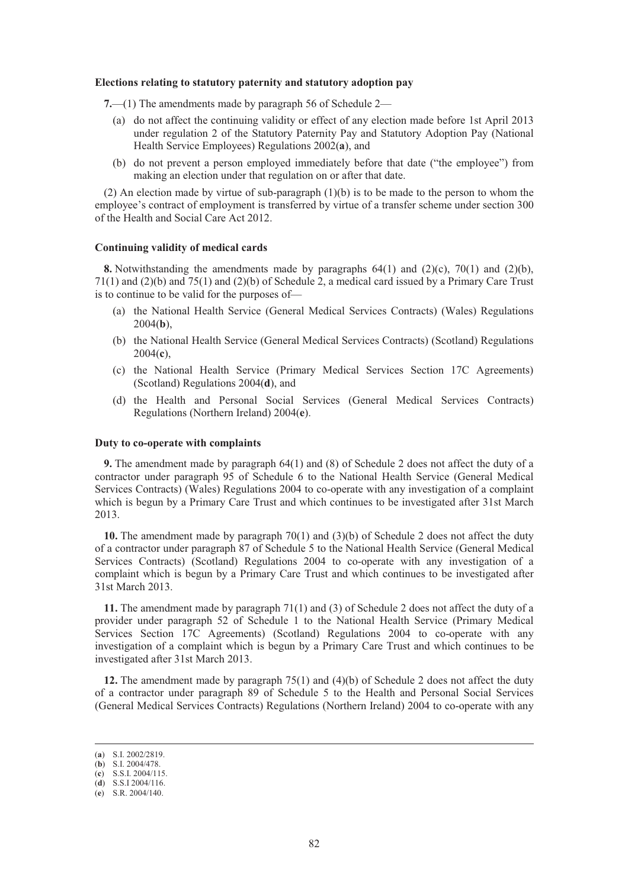#### **Elections relating to statutory paternity and statutory adoption pay**

**7.**—(1) The amendments made by paragraph 56 of Schedule 2—

- (a) do not affect the continuing validity or effect of any election made before 1st April 2013 under regulation 2 of the Statutory Paternity Pay and Statutory Adoption Pay (National Health Service Employees) Regulations 2002(**a**), and
- (b) do not prevent a person employed immediately before that date ("the employee") from making an election under that regulation on or after that date.

(2) An election made by virtue of sub-paragraph  $(1)(b)$  is to be made to the person to whom the employee's contract of employment is transferred by virtue of a transfer scheme under section 300 of the Health and Social Care Act 2012.

#### **Continuing validity of medical cards**

**8.** Notwithstanding the amendments made by paragraphs 64(1) and (2)(c), 70(1) and (2)(b), 71(1) and (2)(b) and 75(1) and (2)(b) of Schedule 2, a medical card issued by a Primary Care Trust is to continue to be valid for the purposes of—

- (a) the National Health Service (General Medical Services Contracts) (Wales) Regulations 2004(**b**),
- (b) the National Health Service (General Medical Services Contracts) (Scotland) Regulations 2004(**c**),
- (c) the National Health Service (Primary Medical Services Section 17C Agreements) (Scotland) Regulations 2004(**d**), and
- (d) the Health and Personal Social Services (General Medical Services Contracts) Regulations (Northern Ireland) 2004(**e**).

# **Duty to co-operate with complaints**

**9.** The amendment made by paragraph 64(1) and (8) of Schedule 2 does not affect the duty of a contractor under paragraph 95 of Schedule 6 to the National Health Service (General Medical Services Contracts) (Wales) Regulations 2004 to co-operate with any investigation of a complaint which is begun by a Primary Care Trust and which continues to be investigated after 31st March 2013.

**10.** The amendment made by paragraph 70(1) and (3)(b) of Schedule 2 does not affect the duty of a contractor under paragraph 87 of Schedule 5 to the National Health Service (General Medical Services Contracts) (Scotland) Regulations 2004 to co-operate with any investigation of a complaint which is begun by a Primary Care Trust and which continues to be investigated after 31st March 2013.

**11.** The amendment made by paragraph 71(1) and (3) of Schedule 2 does not affect the duty of a provider under paragraph 52 of Schedule 1 to the National Health Service (Primary Medical Services Section 17C Agreements) (Scotland) Regulations 2004 to co-operate with any investigation of a complaint which is begun by a Primary Care Trust and which continues to be investigated after 31st March 2013.

**12.** The amendment made by paragraph 75(1) and (4)(b) of Schedule 2 does not affect the duty of a contractor under paragraph 89 of Schedule 5 to the Health and Personal Social Services (General Medical Services Contracts) Regulations (Northern Ireland) 2004 to co-operate with any

 <sup>(</sup>**a**) S.I. 2002/2819.

<sup>(</sup>**b**) S.I. 2004/478.

<sup>(</sup>**c**) S.S.I. 2004/115.

<sup>(</sup>**d**) S.S.I 2004/116. (**e**) S.R. 2004/140.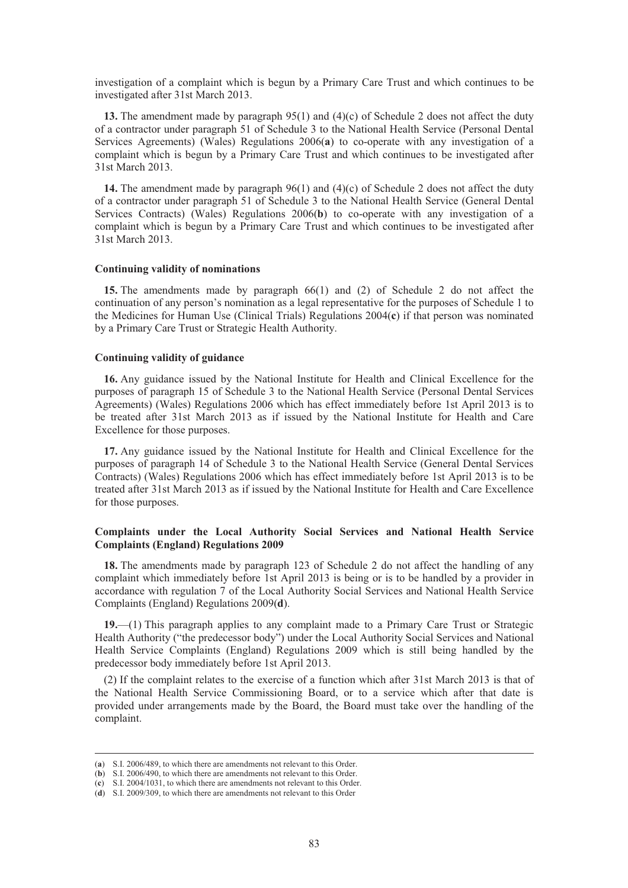investigation of a complaint which is begun by a Primary Care Trust and which continues to be investigated after 31st March 2013.

**13.** The amendment made by paragraph 95(1) and (4)(c) of Schedule 2 does not affect the duty of a contractor under paragraph 51 of Schedule 3 to the National Health Service (Personal Dental Services Agreements) (Wales) Regulations 2006(**a**) to co-operate with any investigation of a complaint which is begun by a Primary Care Trust and which continues to be investigated after 31st March 2013.

**14.** The amendment made by paragraph 96(1) and (4)(c) of Schedule 2 does not affect the duty of a contractor under paragraph 51 of Schedule 3 to the National Health Service (General Dental Services Contracts) (Wales) Regulations 2006(**b**) to co-operate with any investigation of a complaint which is begun by a Primary Care Trust and which continues to be investigated after 31st March 2013.

#### **Continuing validity of nominations**

**15.** The amendments made by paragraph 66(1) and (2) of Schedule 2 do not affect the continuation of any person's nomination as a legal representative for the purposes of Schedule 1 to the Medicines for Human Use (Clinical Trials) Regulations 2004(**c**) if that person was nominated by a Primary Care Trust or Strategic Health Authority.

#### **Continuing validity of guidance**

**16.** Any guidance issued by the National Institute for Health and Clinical Excellence for the purposes of paragraph 15 of Schedule 3 to the National Health Service (Personal Dental Services Agreements) (Wales) Regulations 2006 which has effect immediately before 1st April 2013 is to be treated after 31st March 2013 as if issued by the National Institute for Health and Care Excellence for those purposes.

**17.** Any guidance issued by the National Institute for Health and Clinical Excellence for the purposes of paragraph 14 of Schedule 3 to the National Health Service (General Dental Services Contracts) (Wales) Regulations 2006 which has effect immediately before 1st April 2013 is to be treated after 31st March 2013 as if issued by the National Institute for Health and Care Excellence for those purposes.

# **Complaints under the Local Authority Social Services and National Health Service Complaints (England) Regulations 2009**

**18.** The amendments made by paragraph 123 of Schedule 2 do not affect the handling of any complaint which immediately before 1st April 2013 is being or is to be handled by a provider in accordance with regulation 7 of the Local Authority Social Services and National Health Service Complaints (England) Regulations 2009(**d**).

**19.**—(1) This paragraph applies to any complaint made to a Primary Care Trust or Strategic Health Authority ("the predecessor body") under the Local Authority Social Services and National Health Service Complaints (England) Regulations 2009 which is still being handled by the predecessor body immediately before 1st April 2013.

(2) If the complaint relates to the exercise of a function which after 31st March 2013 is that of the National Health Service Commissioning Board, or to a service which after that date is provided under arrangements made by the Board, the Board must take over the handling of the complaint.

 <sup>(</sup>**a**) S.I. 2006/489, to which there are amendments not relevant to this Order.

<sup>(</sup>**b**) S.I. 2006/490, to which there are amendments not relevant to this Order.

<sup>(</sup>**c**) S.I. 2004/1031, to which there are amendments not relevant to this Order.

<sup>(</sup>**d**) S.I. 2009/309, to which there are amendments not relevant to this Order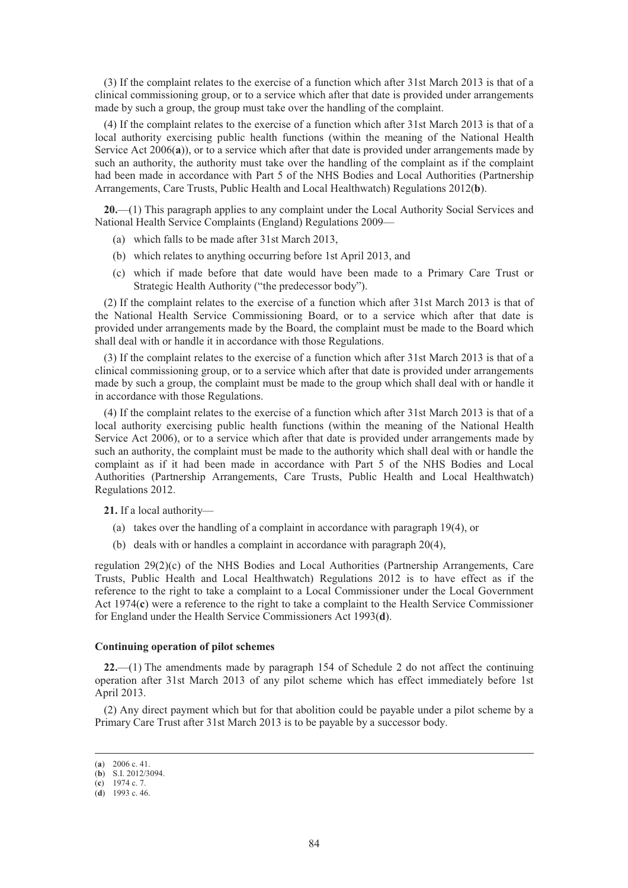(3) If the complaint relates to the exercise of a function which after 31st March 2013 is that of a clinical commissioning group, or to a service which after that date is provided under arrangements made by such a group, the group must take over the handling of the complaint.

(4) If the complaint relates to the exercise of a function which after 31st March 2013 is that of a local authority exercising public health functions (within the meaning of the National Health Service Act 2006(a)), or to a service which after that date is provided under arrangements made by such an authority, the authority must take over the handling of the complaint as if the complaint had been made in accordance with Part 5 of the NHS Bodies and Local Authorities (Partnership Arrangements, Care Trusts, Public Health and Local Healthwatch) Regulations 2012(**b**).

**20.**—(1) This paragraph applies to any complaint under the Local Authority Social Services and National Health Service Complaints (England) Regulations 2009—

- (a) which falls to be made after 31st March 2013,
- (b) which relates to anything occurring before 1st April 2013, and
- (c) which if made before that date would have been made to a Primary Care Trust or Strategic Health Authority ("the predecessor body").

(2) If the complaint relates to the exercise of a function which after 31st March 2013 is that of the National Health Service Commissioning Board, or to a service which after that date is provided under arrangements made by the Board, the complaint must be made to the Board which shall deal with or handle it in accordance with those Regulations.

(3) If the complaint relates to the exercise of a function which after 31st March 2013 is that of a clinical commissioning group, or to a service which after that date is provided under arrangements made by such a group, the complaint must be made to the group which shall deal with or handle it in accordance with those Regulations.

(4) If the complaint relates to the exercise of a function which after 31st March 2013 is that of a local authority exercising public health functions (within the meaning of the National Health Service Act 2006), or to a service which after that date is provided under arrangements made by such an authority, the complaint must be made to the authority which shall deal with or handle the complaint as if it had been made in accordance with Part 5 of the NHS Bodies and Local Authorities (Partnership Arrangements, Care Trusts, Public Health and Local Healthwatch) Regulations 2012.

**21.** If a local authority—

- (a) takes over the handling of a complaint in accordance with paragraph 19(4), or
- (b) deals with or handles a complaint in accordance with paragraph 20(4),

regulation 29(2)(c) of the NHS Bodies and Local Authorities (Partnership Arrangements, Care Trusts, Public Health and Local Healthwatch) Regulations 2012 is to have effect as if the reference to the right to take a complaint to a Local Commissioner under the Local Government Act 1974(**c**) were a reference to the right to take a complaint to the Health Service Commissioner for England under the Health Service Commissioners Act 1993(**d**).

#### **Continuing operation of pilot schemes**

**22.**—(1) The amendments made by paragraph 154 of Schedule 2 do not affect the continuing operation after 31st March 2013 of any pilot scheme which has effect immediately before 1st April 2013.

(2) Any direct payment which but for that abolition could be payable under a pilot scheme by a Primary Care Trust after 31st March 2013 is to be payable by a successor body.

 <sup>(</sup>**a**) 2006 c. 41. (**b**) S.I. 2012/3094.

<sup>(</sup>**c**) 1974 c. 7.

<sup>(</sup>**d**) 1993 c. 46.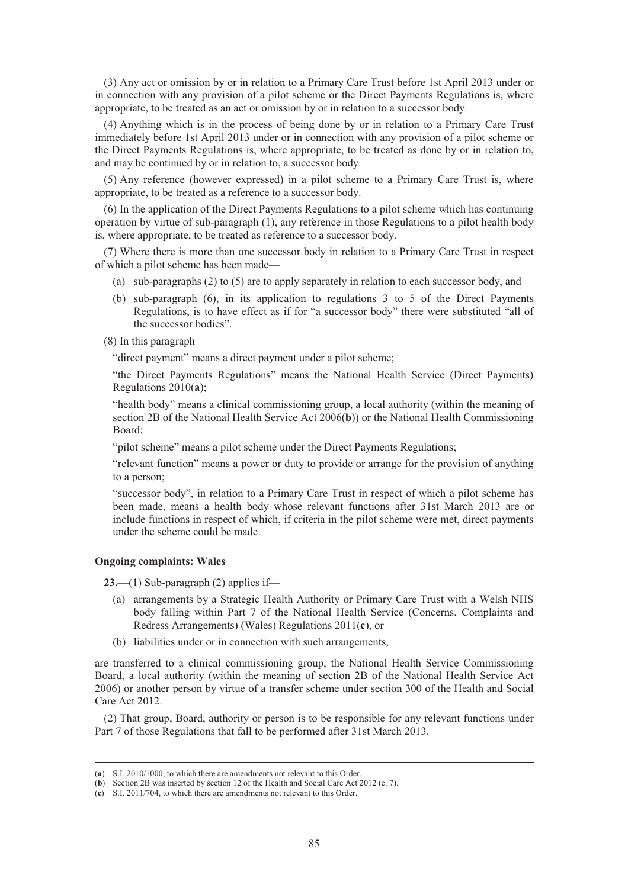(3) Any act or omission by or in relation to a Primary Care Trust before 1st April 2013 under or in connection with any provision of a pilot scheme or the Direct Payments Regulations is, where appropriate, to be treated as an act or omission by or in relation to a successor body.

(4) Anything which is in the process of being done by or in relation to a Primary Care Trust immediately before 1st April 2013 under or in connection with any provision of a pilot scheme or the Direct Payments Regulations is, where appropriate, to be treated as done by or in relation to, and may be continued by or in relation to, a successor body.

(5) Any reference (however expressed) in a pilot scheme to a Primary Care Trust is, where appropriate, to be treated as a reference to a successor body.

(6) In the application of the Direct Payments Regulations to a pilot scheme which has continuing operation by virtue of sub-paragraph (1), any reference in those Regulations to a pilot health body is, where appropriate, to be treated as reference to a successor body.

(7) Where there is more than one successor body in relation to a Primary Care Trust in respect of which a pilot scheme has been made—

- (a) sub-paragraphs (2) to (5) are to apply separately in relation to each successor body, and
- (b) sub-paragraph (6), in its application to regulations 3 to 5 of the Direct Payments Regulations, is to have effect as if for "a successor body" there were substituted "all of the successor bodies".

(8) In this paragraph—

"direct payment" means a direct payment under a pilot scheme;

"the Direct Payments Regulations" means the National Health Service (Direct Payments) Regulations 2010(**a**);

"health body" means a clinical commissioning group, a local authority (within the meaning of section 2B of the National Health Service Act 2006(**b**)) or the National Health Commissioning Board;

"pilot scheme" means a pilot scheme under the Direct Payments Regulations;

"relevant function" means a power or duty to provide or arrange for the provision of anything to a person;

"successor body", in relation to a Primary Care Trust in respect of which a pilot scheme has been made, means a health body whose relevant functions after 31st March 2013 are or include functions in respect of which, if criteria in the pilot scheme were met, direct payments under the scheme could be made.

#### **Ongoing complaints: Wales**

**23.**—(1) Sub-paragraph (2) applies if—

- (a) arrangements by a Strategic Health Authority or Primary Care Trust with a Welsh NHS body falling within Part 7 of the National Health Service (Concerns, Complaints and Redress Arrangements) (Wales) Regulations 2011(**c**), or
- (b) liabilities under or in connection with such arrangements,

are transferred to a clinical commissioning group, the National Health Service Commissioning Board, a local authority (within the meaning of section 2B of the National Health Service Act 2006) or another person by virtue of a transfer scheme under section 300 of the Health and Social Care Act 2012.

(2) That group, Board, authority or person is to be responsible for any relevant functions under Part 7 of those Regulations that fall to be performed after 31st March 2013.

 <sup>(</sup>**a**) S.I. 2010/1000, to which there are amendments not relevant to this Order.

<sup>(</sup>**b**) Section 2B was inserted by section 12 of the Health and Social Care Act 2012 (c. 7).

<sup>(</sup>**c**) S.I. 2011/704, to which there are amendments not relevant to this Order.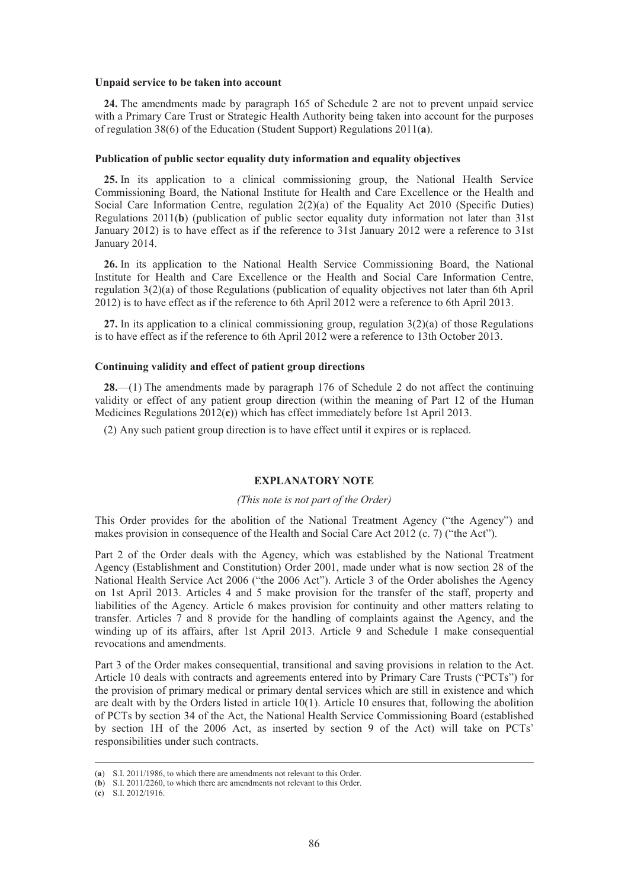#### **Unpaid service to be taken into account**

**24.** The amendments made by paragraph 165 of Schedule 2 are not to prevent unpaid service with a Primary Care Trust or Strategic Health Authority being taken into account for the purposes of regulation 38(6) of the Education (Student Support) Regulations 2011(**a**).

#### **Publication of public sector equality duty information and equality objectives**

**25.** In its application to a clinical commissioning group, the National Health Service Commissioning Board, the National Institute for Health and Care Excellence or the Health and Social Care Information Centre, regulation  $2(2)(a)$  of the Equality Act 2010 (Specific Duties) Regulations 2011(**b**) (publication of public sector equality duty information not later than 31st January 2012) is to have effect as if the reference to 31st January 2012 were a reference to 31st January 2014.

**26.** In its application to the National Health Service Commissioning Board, the National Institute for Health and Care Excellence or the Health and Social Care Information Centre, regulation 3(2)(a) of those Regulations (publication of equality objectives not later than 6th April 2012) is to have effect as if the reference to 6th April 2012 were a reference to 6th April 2013.

**27.** In its application to a clinical commissioning group, regulation 3(2)(a) of those Regulations is to have effect as if the reference to 6th April 2012 were a reference to 13th October 2013.

# **Continuing validity and effect of patient group directions**

**28.**—(1) The amendments made by paragraph 176 of Schedule 2 do not affect the continuing validity or effect of any patient group direction (within the meaning of Part 12 of the Human Medicines Regulations 2012(**c**)) which has effect immediately before 1st April 2013.

(2) Any such patient group direction is to have effect until it expires or is replaced.

# **EXPLANATORY NOTE**

#### *(This note is not part of the Order)*

This Order provides for the abolition of the National Treatment Agency ("the Agency") and makes provision in consequence of the Health and Social Care Act 2012 (c. 7) ("the Act").

Part 2 of the Order deals with the Agency, which was established by the National Treatment Agency (Establishment and Constitution) Order 2001, made under what is now section 28 of the National Health Service Act 2006 ("the 2006 Act"). Article 3 of the Order abolishes the Agency on 1st April 2013. Articles 4 and 5 make provision for the transfer of the staff, property and liabilities of the Agency. Article 6 makes provision for continuity and other matters relating to transfer. Articles 7 and 8 provide for the handling of complaints against the Agency, and the winding up of its affairs, after 1st April 2013. Article 9 and Schedule 1 make consequential revocations and amendments.

Part 3 of the Order makes consequential, transitional and saving provisions in relation to the Act. Article 10 deals with contracts and agreements entered into by Primary Care Trusts ("PCTs") for the provision of primary medical or primary dental services which are still in existence and which are dealt with by the Orders listed in article 10(1). Article 10 ensures that, following the abolition of PCTs by section 34 of the Act, the National Health Service Commissioning Board (established by section 1H of the 2006 Act, as inserted by section 9 of the Act) will take on PCTs' responsibilities under such contracts.

 <sup>(</sup>**a**) S.I. 2011/1986, to which there are amendments not relevant to this Order.

<sup>(</sup>**b**) S.I. 2011/2260, to which there are amendments not relevant to this Order.

<sup>(</sup>**c**) S.I. 2012/1916.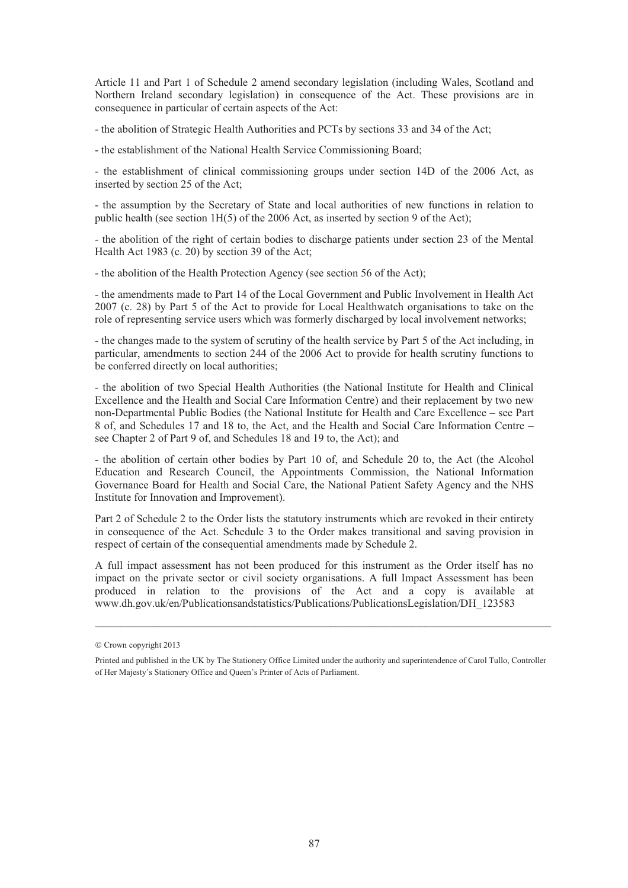Article 11 and Part 1 of Schedule 2 amend secondary legislation (including Wales, Scotland and Northern Ireland secondary legislation) in consequence of the Act. These provisions are in consequence in particular of certain aspects of the Act:

- the abolition of Strategic Health Authorities and PCTs by sections 33 and 34 of the Act;

- the establishment of the National Health Service Commissioning Board;

- the establishment of clinical commissioning groups under section 14D of the 2006 Act, as inserted by section 25 of the Act;

- the assumption by the Secretary of State and local authorities of new functions in relation to public health (see section 1H(5) of the 2006 Act, as inserted by section 9 of the Act);

- the abolition of the right of certain bodies to discharge patients under section 23 of the Mental Health Act 1983 (c. 20) by section 39 of the Act;

- the abolition of the Health Protection Agency (see section 56 of the Act);

- the amendments made to Part 14 of the Local Government and Public Involvement in Health Act 2007 (c. 28) by Part 5 of the Act to provide for Local Healthwatch organisations to take on the role of representing service users which was formerly discharged by local involvement networks;

- the changes made to the system of scrutiny of the health service by Part 5 of the Act including, in particular, amendments to section 244 of the 2006 Act to provide for health scrutiny functions to be conferred directly on local authorities;

- the abolition of two Special Health Authorities (the National Institute for Health and Clinical Excellence and the Health and Social Care Information Centre) and their replacement by two new non-Departmental Public Bodies (the National Institute for Health and Care Excellence – see Part 8 of, and Schedules 17 and 18 to, the Act, and the Health and Social Care Information Centre – see Chapter 2 of Part 9 of, and Schedules 18 and 19 to, the Act); and

- the abolition of certain other bodies by Part 10 of, and Schedule 20 to, the Act (the Alcohol Education and Research Council, the Appointments Commission, the National Information Governance Board for Health and Social Care, the National Patient Safety Agency and the NHS Institute for Innovation and Improvement).

Part 2 of Schedule 2 to the Order lists the statutory instruments which are revoked in their entirety in consequence of the Act. Schedule 3 to the Order makes transitional and saving provision in respect of certain of the consequential amendments made by Schedule 2.

A full impact assessment has not been produced for this instrument as the Order itself has no impact on the private sector or civil society organisations. A full Impact Assessment has been produced in relation to the provisions of the Act and a copy is available at www.dh.gov.uk/en/Publicationsandstatistics/Publications/PublicationsLegislation/DH\_123583

 $\mathcal{L}_\mathcal{L} = \mathcal{L}_\mathcal{L} = \mathcal{L}_\mathcal{L} = \mathcal{L}_\mathcal{L} = \mathcal{L}_\mathcal{L} = \mathcal{L}_\mathcal{L} = \mathcal{L}_\mathcal{L} = \mathcal{L}_\mathcal{L} = \mathcal{L}_\mathcal{L} = \mathcal{L}_\mathcal{L} = \mathcal{L}_\mathcal{L} = \mathcal{L}_\mathcal{L} = \mathcal{L}_\mathcal{L} = \mathcal{L}_\mathcal{L} = \mathcal{L}_\mathcal{L} = \mathcal{L}_\mathcal{L} = \mathcal{L}_\mathcal{L}$ 

<sup>©</sup> Crown copyright 2013

Printed and published in the UK by The Stationery Office Limited under the authority and superintendence of Carol Tullo, Controller of Her Majesty's Stationery Office and Queen's Printer of Acts of Parliament.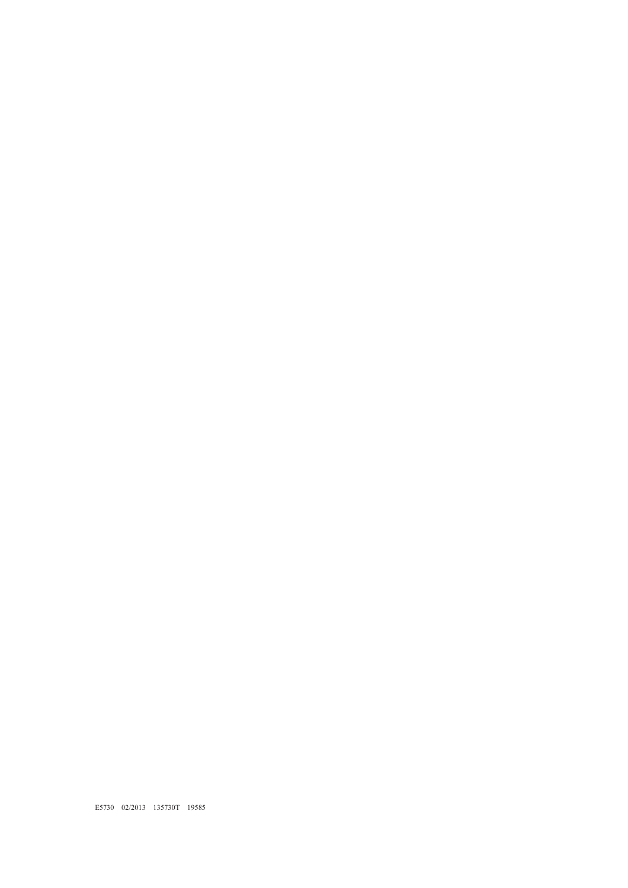E5730 02/2013 135730T 19585